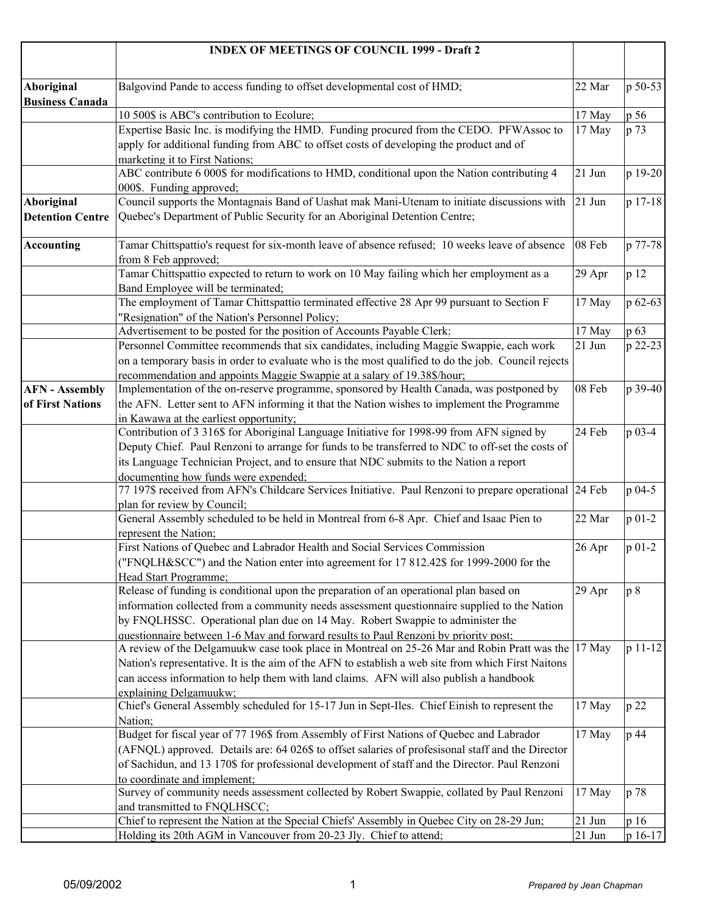|                                      | <b>INDEX OF MEETINGS OF COUNCIL 1999 - Draft 2</b>                                                                                                                  |          |          |
|--------------------------------------|---------------------------------------------------------------------------------------------------------------------------------------------------------------------|----------|----------|
|                                      |                                                                                                                                                                     |          |          |
| Aboriginal<br><b>Business Canada</b> | Balgovind Pande to access funding to offset developmental cost of HMD;                                                                                              | 22 Mar   | p 50-53  |
|                                      | 10 500\$ is ABC's contribution to Ecolure;                                                                                                                          | 17 May   | p 56     |
|                                      | Expertise Basic Inc. is modifying the HMD. Funding procured from the CEDO. PFWAssoc to                                                                              | 17 May   | p 73     |
|                                      | apply for additional funding from ABC to offset costs of developing the product and of                                                                              |          |          |
|                                      | marketing it to First Nations;                                                                                                                                      |          |          |
|                                      | ABC contribute 6 000\$ for modifications to HMD, conditional upon the Nation contributing 4                                                                         | 21 Jun   | p 19-20  |
|                                      | 000\$. Funding approved;                                                                                                                                            |          |          |
| Aboriginal                           | Council supports the Montagnais Band of Uashat mak Mani-Utenam to initiate discussions with                                                                         | 21 Jun   | p 17-18  |
| <b>Detention Centre</b>              | Quebec's Department of Public Security for an Aboriginal Detention Centre;                                                                                          |          |          |
| <b>Accounting</b>                    | Tamar Chittspattio's request for six-month leave of absence refused; 10 weeks leave of absence                                                                      | 08 Feb   | p 77-78  |
|                                      | from 8 Feb approved;                                                                                                                                                |          |          |
|                                      | Tamar Chittspattio expected to return to work on 10 May failing which her employment as a                                                                           | 29 Apr   | p 12     |
|                                      | Band Employee will be terminated;                                                                                                                                   |          |          |
|                                      | The employment of Tamar Chittspattio terminated effective 28 Apr 99 pursuant to Section F                                                                           | 17 May   | p 62-63  |
|                                      | "Resignation" of the Nation's Personnel Policy;                                                                                                                     |          |          |
|                                      | Advertisement to be posted for the position of Accounts Payable Clerk;                                                                                              | 17 May   | $p\ 63$  |
|                                      | Personnel Committee recommends that six candidates, including Maggie Swappie, each work                                                                             | 21 Jun   | p 22-23  |
|                                      | on a temporary basis in order to evaluate who is the most qualified to do the job. Council rejects                                                                  |          |          |
| <b>AFN</b> - Assembly                | recommendation and appoints Maggie Swappie at a salary of 19.38\$/hour;<br>Implementation of the on-reserve programme, sponsored by Health Canada, was postponed by | 08 Feb   | p 39-40  |
| of First Nations                     | the AFN. Letter sent to AFN informing it that the Nation wishes to implement the Programme                                                                          |          |          |
|                                      | in Kawawa at the earliest opportunity;                                                                                                                              |          |          |
|                                      | Contribution of 3 316\$ for Aboriginal Language Initiative for 1998-99 from AFN signed by                                                                           | 24 Feb   | p 03-4   |
|                                      | Deputy Chief. Paul Renzoni to arrange for funds to be transferred to NDC to off-set the costs of                                                                    |          |          |
|                                      | its Language Technician Project, and to ensure that NDC submits to the Nation a report                                                                              |          |          |
|                                      | documenting how funds were expended;                                                                                                                                |          |          |
|                                      | 77 197\$ received from AFN's Childcare Services Initiative. Paul Renzoni to prepare operational 24 Feb                                                              |          | p 04-5   |
|                                      | plan for review by Council;                                                                                                                                         |          |          |
|                                      | General Assembly scheduled to be held in Montreal from 6-8 Apr. Chief and Isaac Pien to                                                                             | 22 Mar   | $p 01-2$ |
|                                      | represent the Nation;<br>First Nations of Quebec and Labrador Health and Social Services Commission                                                                 | 26 Apr   | $p 01-2$ |
|                                      | ("FNQLH&SCC") and the Nation enter into agreement for 17 812.42\$ for 1999-2000 for the                                                                             |          |          |
|                                      | Head Start Programme;                                                                                                                                               |          |          |
|                                      | Release of funding is conditional upon the preparation of an operational plan based on                                                                              | 29 Apr   | p8       |
|                                      | information collected from a community needs assessment questionnaire supplied to the Nation                                                                        |          |          |
|                                      | by FNQLHSSC. Operational plan due on 14 May. Robert Swappie to administer the                                                                                       |          |          |
|                                      | questionnaire between 1-6 May and forward results to Paul Renzoni by priority post;                                                                                 |          |          |
|                                      | A review of the Delgamuukw case took place in Montreal on 25-26 Mar and Robin Pratt was the 17 May                                                                  |          | p 11-12  |
|                                      | Nation's representative. It is the aim of the AFN to establish a web site from which First Nations                                                                  |          |          |
|                                      | can access information to help them with land claims. AFN will also publish a handbook                                                                              |          |          |
|                                      | explaining Delgamuukw;                                                                                                                                              |          |          |
|                                      | Chief's General Assembly scheduled for 15-17 Jun in Sept-Iles. Chief Einish to represent the                                                                        | 17 May   | p22      |
|                                      | Nation;                                                                                                                                                             |          |          |
|                                      | Budget for fiscal year of 77 196\$ from Assembly of First Nations of Quebec and Labrador                                                                            | 17 May   | p 44     |
|                                      | (AFNQL) approved. Details are: 64 026\$ to offset salaries of profesisonal staff and the Director                                                                   |          |          |
|                                      | of Sachidun, and 13 170\$ for professional development of staff and the Director. Paul Renzoni                                                                      |          |          |
|                                      | to coordinate and implement;<br>Survey of community needs assessment collected by Robert Swappie, collated by Paul Renzoni                                          | 17 May   | p 78     |
|                                      | and transmitted to FNQLHSCC;                                                                                                                                        |          |          |
|                                      | Chief to represent the Nation at the Special Chiefs' Assembly in Quebec City on 28-29 Jun;                                                                          | $21$ Jun | p 16     |
|                                      | Holding its 20th AGM in Vancouver from 20-23 Jly. Chief to attend;                                                                                                  | 21 Jun   | p 16-17  |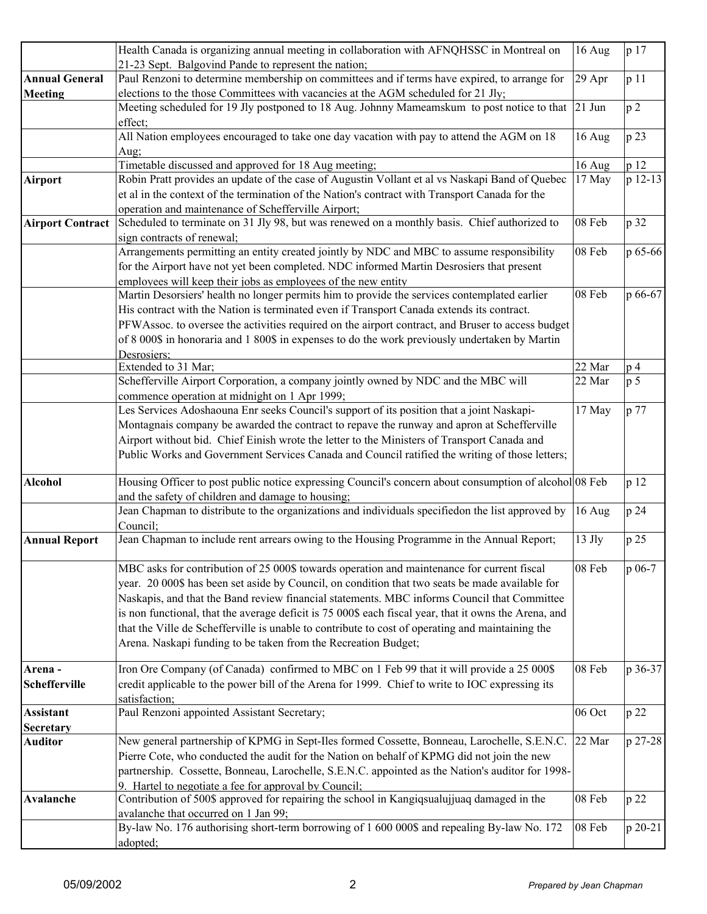|                         | Health Canada is organizing annual meeting in collaboration with AFNQHSSC in Montreal on               | 16 Aug             | p 17           |
|-------------------------|--------------------------------------------------------------------------------------------------------|--------------------|----------------|
|                         | 21-23 Sept. Balgovind Pande to represent the nation;                                                   |                    |                |
| <b>Annual General</b>   | Paul Renzoni to determine membership on committees and if terms have expired, to arrange for           | 29 Apr             | p 11           |
| <b>Meeting</b>          | elections to the those Committees with vacancies at the AGM scheduled for 21 Jly;                      |                    |                |
|                         | Meeting scheduled for 19 Jly postponed to 18 Aug. Johnny Mameamskum to post notice to that 21 Jun      |                    | p <sub>2</sub> |
|                         | effect;<br>All Nation employees encouraged to take one day vacation with pay to attend the AGM on 18   | 16 Aug             | p 23           |
|                         | Aug;                                                                                                   |                    |                |
|                         | Timetable discussed and approved for 18 Aug meeting;                                                   | 16 Aug             | p 12           |
| <b>Airport</b>          | Robin Pratt provides an update of the case of Augustin Vollant et al vs Naskapi Band of Quebec         | 17 May             | p 12-13        |
|                         | et al in the context of the termination of the Nation's contract with Transport Canada for the         |                    |                |
|                         | operation and maintenance of Schefferville Airport;                                                    |                    |                |
| <b>Airport Contract</b> | Scheduled to terminate on 31 Jly 98, but was renewed on a monthly basis. Chief authorized to           | 08 Feb             | p 32           |
|                         | sign contracts of renewal;                                                                             |                    |                |
|                         | Arrangements permitting an entity created jointly by NDC and MBC to assume responsibility              | 08 Feb             | p 65-66        |
|                         | for the Airport have not yet been completed. NDC informed Martin Desrosiers that present               |                    |                |
|                         | employees will keep their jobs as employees of the new entity                                          |                    |                |
|                         | Martin Desorsiers' health no longer permits him to provide the services contemplated earlier           | 08 Feb             | p 66-67        |
|                         | His contract with the Nation is terminated even if Transport Canada extends its contract.              |                    |                |
|                         | PFWAssoc. to oversee the activities required on the airport contract, and Bruser to access budget      |                    |                |
|                         | of 8 000\$ in honoraria and 1 800\$ in expenses to do the work previously undertaken by Martin         |                    |                |
|                         | Desrosiers:                                                                                            |                    |                |
|                         | Extended to 31 Mar;                                                                                    | 22 Mar             | p <sub>4</sub> |
|                         | Schefferville Airport Corporation, a company jointly owned by NDC and the MBC will                     | 22 Mar             | p <sub>5</sub> |
|                         | commence operation at midnight on 1 Apr 1999;                                                          |                    |                |
|                         | Les Services Adoshaouna Enr seeks Council's support of its position that a joint Naskapi-              | 17 May             | p 77           |
|                         | Montagnais company be awarded the contract to repave the runway and apron at Schefferville             |                    |                |
|                         | Airport without bid. Chief Einish wrote the letter to the Ministers of Transport Canada and            |                    |                |
|                         | Public Works and Government Services Canada and Council ratified the writing of those letters;         |                    |                |
| <b>Alcohol</b>          | Housing Officer to post public notice expressing Council's concern about consumption of alcohol 08 Feb |                    | p 12           |
|                         | and the safety of children and damage to housing;                                                      |                    |                |
|                         | Jean Chapman to distribute to the organizations and individuals specifiedon the list approved by       | 16 Aug             | p 24           |
|                         | Council;                                                                                               |                    |                |
| <b>Annual Report</b>    | Jean Chapman to include rent arrears owing to the Housing Programme in the Annual Report;              | $13$ Jly           | p 25           |
|                         | MBC asks for contribution of 25 000\$ towards operation and maintenance for current fiscal             | 08 Feb             | p 06-7         |
|                         | year. 20 000\$ has been set aside by Council, on condition that two seats be made available for        |                    |                |
|                         | Naskapis, and that the Band review financial statements. MBC informs Council that Committee            |                    |                |
|                         | is non functional, that the average deficit is 75 000\$ each fiscal year, that it owns the Arena, and  |                    |                |
|                         | that the Ville de Schefferville is unable to contribute to cost of operating and maintaining the       |                    |                |
|                         | Arena. Naskapi funding to be taken from the Recreation Budget;                                         |                    |                |
| Arena-                  | Iron Ore Company (of Canada) confirmed to MBC on 1 Feb 99 that it will provide a 25 000\$              | 08 Feb             | p 36-37        |
| <b>Schefferville</b>    | credit applicable to the power bill of the Arena for 1999. Chief to write to IOC expressing its        |                    |                |
|                         | satisfaction;                                                                                          |                    |                |
| <b>Assistant</b>        | Paul Renzoni appointed Assistant Secretary;                                                            | 06 Oct             | p 22           |
| <b>Secretary</b>        |                                                                                                        |                    |                |
| Auditor                 | New general partnership of KPMG in Sept-Iles formed Cossette, Bonneau, Larochelle, S.E.N.C.            | 22 Mar             | p 27-28        |
|                         | Pierre Cote, who conducted the audit for the Nation on behalf of KPMG did not join the new             |                    |                |
|                         | partnership. Cossette, Bonneau, Larochelle, S.E.N.C. appointed as the Nation's auditor for 1998-       |                    |                |
|                         | 9. Hartel to negotiate a fee for approval by Council;                                                  |                    |                |
| Avalanche               | Contribution of 500\$ approved for repairing the school in Kangiqsualujjuaq damaged in the             | 08 Feb             | p 22           |
|                         | avalanche that occurred on 1 Jan 99;                                                                   |                    |                |
|                         | By-law No. 176 authorising short-term borrowing of 1 600 000\$ and repealing By-law No. 172            | $08\ \mathrm{Feb}$ | p 20-21        |
|                         | adopted;                                                                                               |                    |                |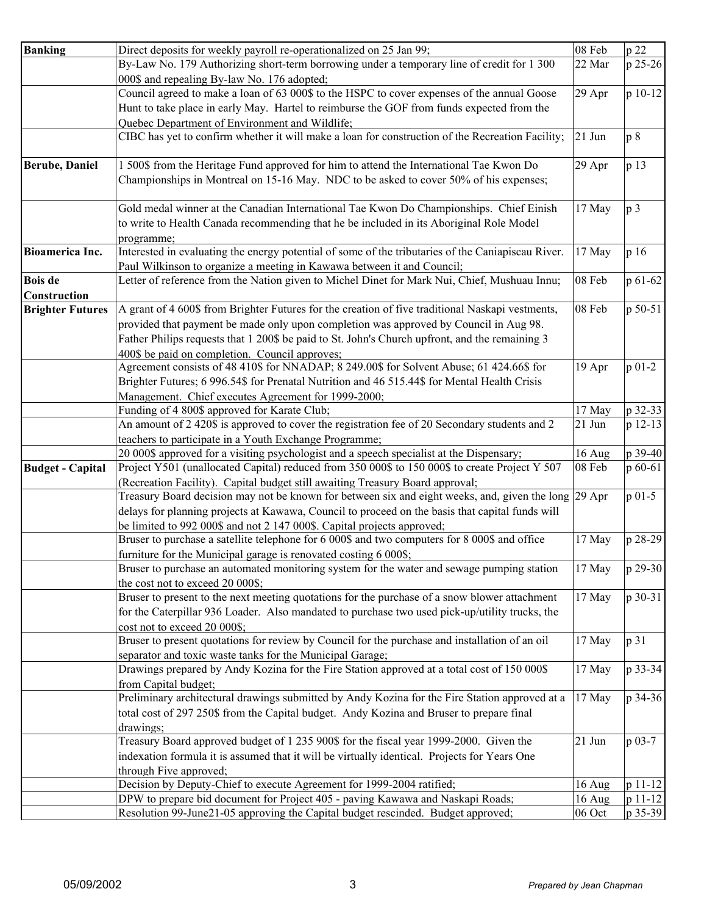| By-Law No. 179 Authorizing short-term borrowing under a temporary line of credit for 1 300<br>22 Mar<br>p 25-26<br>000\$ and repealing By-law No. 176 adopted;<br>Council agreed to make a loan of 63 000\$ to the HSPC to cover expenses of the annual Goose<br>29 Apr<br>Hunt to take place in early May. Hartel to reimburse the GOF from funds expected from the<br>Quebec Department of Environment and Wildlife;<br>CIBC has yet to confirm whether it will make a loan for construction of the Recreation Facility;<br>21 Jun<br>p8<br>1 500\$ from the Heritage Fund approved for him to attend the International Tae Kwon Do<br>p 13<br>29 Apr<br><b>Berube, Daniel</b><br>Championships in Montreal on 15-16 May. NDC to be asked to cover 50% of his expenses;<br>Gold medal winner at the Canadian International Tae Kwon Do Championships. Chief Einish<br>17 May<br>p <sub>3</sub><br>to write to Health Canada recommending that he be included in its Aboriginal Role Model<br>programme;<br>Interested in evaluating the energy potential of some of the tributaries of the Caniapiscau River.<br>17 May<br><b>Bioamerica Inc.</b><br>p 16<br>Paul Wilkinson to organize a meeting in Kawawa between it and Council;<br>Letter of reference from the Nation given to Michel Dinet for Mark Nui, Chief, Mushuau Innu;<br>08 Feb<br><b>Bois</b> de<br>p 61-62<br>Construction<br>08 Feb<br>p 50-51<br>A grant of 4 600\$ from Brighter Futures for the creation of five traditional Naskapi vestments,<br><b>Brighter Futures</b><br>provided that payment be made only upon completion was approved by Council in Aug 98.<br>Father Philips requests that 1 200\$ be paid to St. John's Church upfront, and the remaining 3<br>400\$ be paid on completion. Council approves;<br>Agreement consists of 48 410\$ for NNADAP; 8 249.00\$ for Solvent Abuse; 61 424.66\$ for<br>$p 01-2$<br>19 Apr<br>Brighter Futures; 6 996.54\$ for Prenatal Nutrition and 46 515.44\$ for Mental Health Crisis<br>Management. Chief executes Agreement for 1999-2000;<br>17 May<br>p 32-33<br>Funding of 4 800\$ approved for Karate Club;<br>An amount of 2 420\$ is approved to cover the registration fee of 20 Secondary students and 2<br>$21$ Jun<br>p 12-13<br>teachers to participate in a Youth Exchange Programme;<br>20 000\$ approved for a visiting psychologist and a speech specialist at the Dispensary;<br>p 39-40<br>16 Aug<br>Project Y501 (unallocated Capital) reduced from 350 000\$ to 150 000\$ to create Project Y 507<br>p 60-61<br>08 Feb<br><b>Budget - Capital</b><br>(Recreation Facility). Capital budget still awaiting Treasury Board approval;<br>Treasury Board decision may not be known for between six and eight weeks, and, given the long 29 Apr<br>$p$ 01-5<br>delays for planning projects at Kawawa, Council to proceed on the basis that capital funds will<br>be limited to 992 000\$ and not 2 147 000\$. Capital projects approved;<br>Bruser to purchase a satellite telephone for 6 000\$ and two computers for 8 000\$ and office<br>17 May<br>p 28-29<br>furniture for the Municipal garage is renovated costing 6 000\$;<br>p 29-30<br>Bruser to purchase an automated monitoring system for the water and sewage pumping station<br>17 May<br>the cost not to exceed 20 000\$;<br>Bruser to present to the next meeting quotations for the purchase of a snow blower attachment<br>17 May<br>p 30-31<br>for the Caterpillar 936 Loader. Also mandated to purchase two used pick-up/utility trucks, the<br>cost not to exceed 20 000\$;<br>Bruser to present quotations for review by Council for the purchase and installation of an oil<br>p 31<br>17 May<br>separator and toxic waste tanks for the Municipal Garage;<br>p 33-34<br>Drawings prepared by Andy Kozina for the Fire Station approved at a total cost of 150 000\$<br>17 May<br>from Capital budget;<br>Preliminary architectural drawings submitted by Andy Kozina for the Fire Station approved at a<br>p 34-36<br>17 May<br>total cost of 297 250\$ from the Capital budget. Andy Kozina and Bruser to prepare final<br>drawings;<br>Treasury Board approved budget of 1 235 900\$ for the fiscal year 1999-2000. Given the<br>21 Jun<br>p 03-7<br>indexation formula it is assumed that it will be virtually identical. Projects for Years One<br>through Five approved;<br>Decision by Deputy-Chief to execute Agreement for 1999-2004 ratified:<br>16 Aug<br>DPW to prepare bid document for Project 405 - paving Kawawa and Naskapi Roads;<br>16 Aug<br>Resolution 99-June21-05 approving the Capital budget rescinded. Budget approved;<br>p 35-39<br>06 Oct |                |                                                                     |        |         |
|-------------------------------------------------------------------------------------------------------------------------------------------------------------------------------------------------------------------------------------------------------------------------------------------------------------------------------------------------------------------------------------------------------------------------------------------------------------------------------------------------------------------------------------------------------------------------------------------------------------------------------------------------------------------------------------------------------------------------------------------------------------------------------------------------------------------------------------------------------------------------------------------------------------------------------------------------------------------------------------------------------------------------------------------------------------------------------------------------------------------------------------------------------------------------------------------------------------------------------------------------------------------------------------------------------------------------------------------------------------------------------------------------------------------------------------------------------------------------------------------------------------------------------------------------------------------------------------------------------------------------------------------------------------------------------------------------------------------------------------------------------------------------------------------------------------------------------------------------------------------------------------------------------------------------------------------------------------------------------------------------------------------------------------------------------------------------------------------------------------------------------------------------------------------------------------------------------------------------------------------------------------------------------------------------------------------------------------------------------------------------------------------------------------------------------------------------------------------------------------------------------------------------------------------------------------------------------------------------------------------------------------------------------------------------------------------------------------------------------------------------------------------------------------------------------------------------------------------------------------------------------------------------------------------------------------------------------------------------------------------------------------------------------------------------------------------------------------------------------------------------------------------------------------------------------------------------------------------------------------------------------------------------------------------------------------------------------------------------------------------------------------------------------------------------------------------------------------------------------------------------------------------------------------------------------------------------------------------------------------------------------------------------------------------------------------------------------------------------------------------------------------------------------------------------------------------------------------------------------------------------------------------------------------------------------------------------------------------------------------------------------------------------------------------------------------------------------------------------------------------------------------------------------------------------------------------------------------------------------------------------------------------------------------------------------------------------------------------------------------------------------------------------------------------------------------------------------------------------------------------------------------------------------------------------------------------------------------------------------------------------------------------------------------------------------------------|----------------|---------------------------------------------------------------------|--------|---------|
|                                                                                                                                                                                                                                                                                                                                                                                                                                                                                                                                                                                                                                                                                                                                                                                                                                                                                                                                                                                                                                                                                                                                                                                                                                                                                                                                                                                                                                                                                                                                                                                                                                                                                                                                                                                                                                                                                                                                                                                                                                                                                                                                                                                                                                                                                                                                                                                                                                                                                                                                                                                                                                                                                                                                                                                                                                                                                                                                                                                                                                                                                                                                                                                                                                                                                                                                                                                                                                                                                                                                                                                                                                                                                                                                                                                                                                                                                                                                                                                                                                                                                                                                                                                                                                                                                                                                                                                                                                                                                                                                                                                                                                                                                           | <b>Banking</b> | Direct deposits for weekly payroll re-operationalized on 25 Jan 99; | 08 Feb | p 22    |
|                                                                                                                                                                                                                                                                                                                                                                                                                                                                                                                                                                                                                                                                                                                                                                                                                                                                                                                                                                                                                                                                                                                                                                                                                                                                                                                                                                                                                                                                                                                                                                                                                                                                                                                                                                                                                                                                                                                                                                                                                                                                                                                                                                                                                                                                                                                                                                                                                                                                                                                                                                                                                                                                                                                                                                                                                                                                                                                                                                                                                                                                                                                                                                                                                                                                                                                                                                                                                                                                                                                                                                                                                                                                                                                                                                                                                                                                                                                                                                                                                                                                                                                                                                                                                                                                                                                                                                                                                                                                                                                                                                                                                                                                                           |                |                                                                     |        |         |
|                                                                                                                                                                                                                                                                                                                                                                                                                                                                                                                                                                                                                                                                                                                                                                                                                                                                                                                                                                                                                                                                                                                                                                                                                                                                                                                                                                                                                                                                                                                                                                                                                                                                                                                                                                                                                                                                                                                                                                                                                                                                                                                                                                                                                                                                                                                                                                                                                                                                                                                                                                                                                                                                                                                                                                                                                                                                                                                                                                                                                                                                                                                                                                                                                                                                                                                                                                                                                                                                                                                                                                                                                                                                                                                                                                                                                                                                                                                                                                                                                                                                                                                                                                                                                                                                                                                                                                                                                                                                                                                                                                                                                                                                                           |                |                                                                     |        |         |
|                                                                                                                                                                                                                                                                                                                                                                                                                                                                                                                                                                                                                                                                                                                                                                                                                                                                                                                                                                                                                                                                                                                                                                                                                                                                                                                                                                                                                                                                                                                                                                                                                                                                                                                                                                                                                                                                                                                                                                                                                                                                                                                                                                                                                                                                                                                                                                                                                                                                                                                                                                                                                                                                                                                                                                                                                                                                                                                                                                                                                                                                                                                                                                                                                                                                                                                                                                                                                                                                                                                                                                                                                                                                                                                                                                                                                                                                                                                                                                                                                                                                                                                                                                                                                                                                                                                                                                                                                                                                                                                                                                                                                                                                                           |                |                                                                     |        | p 10-12 |
|                                                                                                                                                                                                                                                                                                                                                                                                                                                                                                                                                                                                                                                                                                                                                                                                                                                                                                                                                                                                                                                                                                                                                                                                                                                                                                                                                                                                                                                                                                                                                                                                                                                                                                                                                                                                                                                                                                                                                                                                                                                                                                                                                                                                                                                                                                                                                                                                                                                                                                                                                                                                                                                                                                                                                                                                                                                                                                                                                                                                                                                                                                                                                                                                                                                                                                                                                                                                                                                                                                                                                                                                                                                                                                                                                                                                                                                                                                                                                                                                                                                                                                                                                                                                                                                                                                                                                                                                                                                                                                                                                                                                                                                                                           |                |                                                                     |        |         |
|                                                                                                                                                                                                                                                                                                                                                                                                                                                                                                                                                                                                                                                                                                                                                                                                                                                                                                                                                                                                                                                                                                                                                                                                                                                                                                                                                                                                                                                                                                                                                                                                                                                                                                                                                                                                                                                                                                                                                                                                                                                                                                                                                                                                                                                                                                                                                                                                                                                                                                                                                                                                                                                                                                                                                                                                                                                                                                                                                                                                                                                                                                                                                                                                                                                                                                                                                                                                                                                                                                                                                                                                                                                                                                                                                                                                                                                                                                                                                                                                                                                                                                                                                                                                                                                                                                                                                                                                                                                                                                                                                                                                                                                                                           |                |                                                                     |        |         |
|                                                                                                                                                                                                                                                                                                                                                                                                                                                                                                                                                                                                                                                                                                                                                                                                                                                                                                                                                                                                                                                                                                                                                                                                                                                                                                                                                                                                                                                                                                                                                                                                                                                                                                                                                                                                                                                                                                                                                                                                                                                                                                                                                                                                                                                                                                                                                                                                                                                                                                                                                                                                                                                                                                                                                                                                                                                                                                                                                                                                                                                                                                                                                                                                                                                                                                                                                                                                                                                                                                                                                                                                                                                                                                                                                                                                                                                                                                                                                                                                                                                                                                                                                                                                                                                                                                                                                                                                                                                                                                                                                                                                                                                                                           |                |                                                                     |        |         |
|                                                                                                                                                                                                                                                                                                                                                                                                                                                                                                                                                                                                                                                                                                                                                                                                                                                                                                                                                                                                                                                                                                                                                                                                                                                                                                                                                                                                                                                                                                                                                                                                                                                                                                                                                                                                                                                                                                                                                                                                                                                                                                                                                                                                                                                                                                                                                                                                                                                                                                                                                                                                                                                                                                                                                                                                                                                                                                                                                                                                                                                                                                                                                                                                                                                                                                                                                                                                                                                                                                                                                                                                                                                                                                                                                                                                                                                                                                                                                                                                                                                                                                                                                                                                                                                                                                                                                                                                                                                                                                                                                                                                                                                                                           |                |                                                                     |        |         |
|                                                                                                                                                                                                                                                                                                                                                                                                                                                                                                                                                                                                                                                                                                                                                                                                                                                                                                                                                                                                                                                                                                                                                                                                                                                                                                                                                                                                                                                                                                                                                                                                                                                                                                                                                                                                                                                                                                                                                                                                                                                                                                                                                                                                                                                                                                                                                                                                                                                                                                                                                                                                                                                                                                                                                                                                                                                                                                                                                                                                                                                                                                                                                                                                                                                                                                                                                                                                                                                                                                                                                                                                                                                                                                                                                                                                                                                                                                                                                                                                                                                                                                                                                                                                                                                                                                                                                                                                                                                                                                                                                                                                                                                                                           |                |                                                                     |        |         |
|                                                                                                                                                                                                                                                                                                                                                                                                                                                                                                                                                                                                                                                                                                                                                                                                                                                                                                                                                                                                                                                                                                                                                                                                                                                                                                                                                                                                                                                                                                                                                                                                                                                                                                                                                                                                                                                                                                                                                                                                                                                                                                                                                                                                                                                                                                                                                                                                                                                                                                                                                                                                                                                                                                                                                                                                                                                                                                                                                                                                                                                                                                                                                                                                                                                                                                                                                                                                                                                                                                                                                                                                                                                                                                                                                                                                                                                                                                                                                                                                                                                                                                                                                                                                                                                                                                                                                                                                                                                                                                                                                                                                                                                                                           |                |                                                                     |        |         |
|                                                                                                                                                                                                                                                                                                                                                                                                                                                                                                                                                                                                                                                                                                                                                                                                                                                                                                                                                                                                                                                                                                                                                                                                                                                                                                                                                                                                                                                                                                                                                                                                                                                                                                                                                                                                                                                                                                                                                                                                                                                                                                                                                                                                                                                                                                                                                                                                                                                                                                                                                                                                                                                                                                                                                                                                                                                                                                                                                                                                                                                                                                                                                                                                                                                                                                                                                                                                                                                                                                                                                                                                                                                                                                                                                                                                                                                                                                                                                                                                                                                                                                                                                                                                                                                                                                                                                                                                                                                                                                                                                                                                                                                                                           |                |                                                                     |        |         |
|                                                                                                                                                                                                                                                                                                                                                                                                                                                                                                                                                                                                                                                                                                                                                                                                                                                                                                                                                                                                                                                                                                                                                                                                                                                                                                                                                                                                                                                                                                                                                                                                                                                                                                                                                                                                                                                                                                                                                                                                                                                                                                                                                                                                                                                                                                                                                                                                                                                                                                                                                                                                                                                                                                                                                                                                                                                                                                                                                                                                                                                                                                                                                                                                                                                                                                                                                                                                                                                                                                                                                                                                                                                                                                                                                                                                                                                                                                                                                                                                                                                                                                                                                                                                                                                                                                                                                                                                                                                                                                                                                                                                                                                                                           |                |                                                                     |        |         |
|                                                                                                                                                                                                                                                                                                                                                                                                                                                                                                                                                                                                                                                                                                                                                                                                                                                                                                                                                                                                                                                                                                                                                                                                                                                                                                                                                                                                                                                                                                                                                                                                                                                                                                                                                                                                                                                                                                                                                                                                                                                                                                                                                                                                                                                                                                                                                                                                                                                                                                                                                                                                                                                                                                                                                                                                                                                                                                                                                                                                                                                                                                                                                                                                                                                                                                                                                                                                                                                                                                                                                                                                                                                                                                                                                                                                                                                                                                                                                                                                                                                                                                                                                                                                                                                                                                                                                                                                                                                                                                                                                                                                                                                                                           |                |                                                                     |        |         |
|                                                                                                                                                                                                                                                                                                                                                                                                                                                                                                                                                                                                                                                                                                                                                                                                                                                                                                                                                                                                                                                                                                                                                                                                                                                                                                                                                                                                                                                                                                                                                                                                                                                                                                                                                                                                                                                                                                                                                                                                                                                                                                                                                                                                                                                                                                                                                                                                                                                                                                                                                                                                                                                                                                                                                                                                                                                                                                                                                                                                                                                                                                                                                                                                                                                                                                                                                                                                                                                                                                                                                                                                                                                                                                                                                                                                                                                                                                                                                                                                                                                                                                                                                                                                                                                                                                                                                                                                                                                                                                                                                                                                                                                                                           |                |                                                                     |        |         |
|                                                                                                                                                                                                                                                                                                                                                                                                                                                                                                                                                                                                                                                                                                                                                                                                                                                                                                                                                                                                                                                                                                                                                                                                                                                                                                                                                                                                                                                                                                                                                                                                                                                                                                                                                                                                                                                                                                                                                                                                                                                                                                                                                                                                                                                                                                                                                                                                                                                                                                                                                                                                                                                                                                                                                                                                                                                                                                                                                                                                                                                                                                                                                                                                                                                                                                                                                                                                                                                                                                                                                                                                                                                                                                                                                                                                                                                                                                                                                                                                                                                                                                                                                                                                                                                                                                                                                                                                                                                                                                                                                                                                                                                                                           |                |                                                                     |        |         |
|                                                                                                                                                                                                                                                                                                                                                                                                                                                                                                                                                                                                                                                                                                                                                                                                                                                                                                                                                                                                                                                                                                                                                                                                                                                                                                                                                                                                                                                                                                                                                                                                                                                                                                                                                                                                                                                                                                                                                                                                                                                                                                                                                                                                                                                                                                                                                                                                                                                                                                                                                                                                                                                                                                                                                                                                                                                                                                                                                                                                                                                                                                                                                                                                                                                                                                                                                                                                                                                                                                                                                                                                                                                                                                                                                                                                                                                                                                                                                                                                                                                                                                                                                                                                                                                                                                                                                                                                                                                                                                                                                                                                                                                                                           |                |                                                                     |        |         |
|                                                                                                                                                                                                                                                                                                                                                                                                                                                                                                                                                                                                                                                                                                                                                                                                                                                                                                                                                                                                                                                                                                                                                                                                                                                                                                                                                                                                                                                                                                                                                                                                                                                                                                                                                                                                                                                                                                                                                                                                                                                                                                                                                                                                                                                                                                                                                                                                                                                                                                                                                                                                                                                                                                                                                                                                                                                                                                                                                                                                                                                                                                                                                                                                                                                                                                                                                                                                                                                                                                                                                                                                                                                                                                                                                                                                                                                                                                                                                                                                                                                                                                                                                                                                                                                                                                                                                                                                                                                                                                                                                                                                                                                                                           |                |                                                                     |        |         |
|                                                                                                                                                                                                                                                                                                                                                                                                                                                                                                                                                                                                                                                                                                                                                                                                                                                                                                                                                                                                                                                                                                                                                                                                                                                                                                                                                                                                                                                                                                                                                                                                                                                                                                                                                                                                                                                                                                                                                                                                                                                                                                                                                                                                                                                                                                                                                                                                                                                                                                                                                                                                                                                                                                                                                                                                                                                                                                                                                                                                                                                                                                                                                                                                                                                                                                                                                                                                                                                                                                                                                                                                                                                                                                                                                                                                                                                                                                                                                                                                                                                                                                                                                                                                                                                                                                                                                                                                                                                                                                                                                                                                                                                                                           |                |                                                                     |        |         |
|                                                                                                                                                                                                                                                                                                                                                                                                                                                                                                                                                                                                                                                                                                                                                                                                                                                                                                                                                                                                                                                                                                                                                                                                                                                                                                                                                                                                                                                                                                                                                                                                                                                                                                                                                                                                                                                                                                                                                                                                                                                                                                                                                                                                                                                                                                                                                                                                                                                                                                                                                                                                                                                                                                                                                                                                                                                                                                                                                                                                                                                                                                                                                                                                                                                                                                                                                                                                                                                                                                                                                                                                                                                                                                                                                                                                                                                                                                                                                                                                                                                                                                                                                                                                                                                                                                                                                                                                                                                                                                                                                                                                                                                                                           |                |                                                                     |        |         |
|                                                                                                                                                                                                                                                                                                                                                                                                                                                                                                                                                                                                                                                                                                                                                                                                                                                                                                                                                                                                                                                                                                                                                                                                                                                                                                                                                                                                                                                                                                                                                                                                                                                                                                                                                                                                                                                                                                                                                                                                                                                                                                                                                                                                                                                                                                                                                                                                                                                                                                                                                                                                                                                                                                                                                                                                                                                                                                                                                                                                                                                                                                                                                                                                                                                                                                                                                                                                                                                                                                                                                                                                                                                                                                                                                                                                                                                                                                                                                                                                                                                                                                                                                                                                                                                                                                                                                                                                                                                                                                                                                                                                                                                                                           |                |                                                                     |        |         |
|                                                                                                                                                                                                                                                                                                                                                                                                                                                                                                                                                                                                                                                                                                                                                                                                                                                                                                                                                                                                                                                                                                                                                                                                                                                                                                                                                                                                                                                                                                                                                                                                                                                                                                                                                                                                                                                                                                                                                                                                                                                                                                                                                                                                                                                                                                                                                                                                                                                                                                                                                                                                                                                                                                                                                                                                                                                                                                                                                                                                                                                                                                                                                                                                                                                                                                                                                                                                                                                                                                                                                                                                                                                                                                                                                                                                                                                                                                                                                                                                                                                                                                                                                                                                                                                                                                                                                                                                                                                                                                                                                                                                                                                                                           |                |                                                                     |        |         |
|                                                                                                                                                                                                                                                                                                                                                                                                                                                                                                                                                                                                                                                                                                                                                                                                                                                                                                                                                                                                                                                                                                                                                                                                                                                                                                                                                                                                                                                                                                                                                                                                                                                                                                                                                                                                                                                                                                                                                                                                                                                                                                                                                                                                                                                                                                                                                                                                                                                                                                                                                                                                                                                                                                                                                                                                                                                                                                                                                                                                                                                                                                                                                                                                                                                                                                                                                                                                                                                                                                                                                                                                                                                                                                                                                                                                                                                                                                                                                                                                                                                                                                                                                                                                                                                                                                                                                                                                                                                                                                                                                                                                                                                                                           |                |                                                                     |        |         |
|                                                                                                                                                                                                                                                                                                                                                                                                                                                                                                                                                                                                                                                                                                                                                                                                                                                                                                                                                                                                                                                                                                                                                                                                                                                                                                                                                                                                                                                                                                                                                                                                                                                                                                                                                                                                                                                                                                                                                                                                                                                                                                                                                                                                                                                                                                                                                                                                                                                                                                                                                                                                                                                                                                                                                                                                                                                                                                                                                                                                                                                                                                                                                                                                                                                                                                                                                                                                                                                                                                                                                                                                                                                                                                                                                                                                                                                                                                                                                                                                                                                                                                                                                                                                                                                                                                                                                                                                                                                                                                                                                                                                                                                                                           |                |                                                                     |        |         |
|                                                                                                                                                                                                                                                                                                                                                                                                                                                                                                                                                                                                                                                                                                                                                                                                                                                                                                                                                                                                                                                                                                                                                                                                                                                                                                                                                                                                                                                                                                                                                                                                                                                                                                                                                                                                                                                                                                                                                                                                                                                                                                                                                                                                                                                                                                                                                                                                                                                                                                                                                                                                                                                                                                                                                                                                                                                                                                                                                                                                                                                                                                                                                                                                                                                                                                                                                                                                                                                                                                                                                                                                                                                                                                                                                                                                                                                                                                                                                                                                                                                                                                                                                                                                                                                                                                                                                                                                                                                                                                                                                                                                                                                                                           |                |                                                                     |        |         |
|                                                                                                                                                                                                                                                                                                                                                                                                                                                                                                                                                                                                                                                                                                                                                                                                                                                                                                                                                                                                                                                                                                                                                                                                                                                                                                                                                                                                                                                                                                                                                                                                                                                                                                                                                                                                                                                                                                                                                                                                                                                                                                                                                                                                                                                                                                                                                                                                                                                                                                                                                                                                                                                                                                                                                                                                                                                                                                                                                                                                                                                                                                                                                                                                                                                                                                                                                                                                                                                                                                                                                                                                                                                                                                                                                                                                                                                                                                                                                                                                                                                                                                                                                                                                                                                                                                                                                                                                                                                                                                                                                                                                                                                                                           |                |                                                                     |        |         |
|                                                                                                                                                                                                                                                                                                                                                                                                                                                                                                                                                                                                                                                                                                                                                                                                                                                                                                                                                                                                                                                                                                                                                                                                                                                                                                                                                                                                                                                                                                                                                                                                                                                                                                                                                                                                                                                                                                                                                                                                                                                                                                                                                                                                                                                                                                                                                                                                                                                                                                                                                                                                                                                                                                                                                                                                                                                                                                                                                                                                                                                                                                                                                                                                                                                                                                                                                                                                                                                                                                                                                                                                                                                                                                                                                                                                                                                                                                                                                                                                                                                                                                                                                                                                                                                                                                                                                                                                                                                                                                                                                                                                                                                                                           |                |                                                                     |        |         |
|                                                                                                                                                                                                                                                                                                                                                                                                                                                                                                                                                                                                                                                                                                                                                                                                                                                                                                                                                                                                                                                                                                                                                                                                                                                                                                                                                                                                                                                                                                                                                                                                                                                                                                                                                                                                                                                                                                                                                                                                                                                                                                                                                                                                                                                                                                                                                                                                                                                                                                                                                                                                                                                                                                                                                                                                                                                                                                                                                                                                                                                                                                                                                                                                                                                                                                                                                                                                                                                                                                                                                                                                                                                                                                                                                                                                                                                                                                                                                                                                                                                                                                                                                                                                                                                                                                                                                                                                                                                                                                                                                                                                                                                                                           |                |                                                                     |        |         |
|                                                                                                                                                                                                                                                                                                                                                                                                                                                                                                                                                                                                                                                                                                                                                                                                                                                                                                                                                                                                                                                                                                                                                                                                                                                                                                                                                                                                                                                                                                                                                                                                                                                                                                                                                                                                                                                                                                                                                                                                                                                                                                                                                                                                                                                                                                                                                                                                                                                                                                                                                                                                                                                                                                                                                                                                                                                                                                                                                                                                                                                                                                                                                                                                                                                                                                                                                                                                                                                                                                                                                                                                                                                                                                                                                                                                                                                                                                                                                                                                                                                                                                                                                                                                                                                                                                                                                                                                                                                                                                                                                                                                                                                                                           |                |                                                                     |        |         |
|                                                                                                                                                                                                                                                                                                                                                                                                                                                                                                                                                                                                                                                                                                                                                                                                                                                                                                                                                                                                                                                                                                                                                                                                                                                                                                                                                                                                                                                                                                                                                                                                                                                                                                                                                                                                                                                                                                                                                                                                                                                                                                                                                                                                                                                                                                                                                                                                                                                                                                                                                                                                                                                                                                                                                                                                                                                                                                                                                                                                                                                                                                                                                                                                                                                                                                                                                                                                                                                                                                                                                                                                                                                                                                                                                                                                                                                                                                                                                                                                                                                                                                                                                                                                                                                                                                                                                                                                                                                                                                                                                                                                                                                                                           |                |                                                                     |        |         |
|                                                                                                                                                                                                                                                                                                                                                                                                                                                                                                                                                                                                                                                                                                                                                                                                                                                                                                                                                                                                                                                                                                                                                                                                                                                                                                                                                                                                                                                                                                                                                                                                                                                                                                                                                                                                                                                                                                                                                                                                                                                                                                                                                                                                                                                                                                                                                                                                                                                                                                                                                                                                                                                                                                                                                                                                                                                                                                                                                                                                                                                                                                                                                                                                                                                                                                                                                                                                                                                                                                                                                                                                                                                                                                                                                                                                                                                                                                                                                                                                                                                                                                                                                                                                                                                                                                                                                                                                                                                                                                                                                                                                                                                                                           |                |                                                                     |        |         |
|                                                                                                                                                                                                                                                                                                                                                                                                                                                                                                                                                                                                                                                                                                                                                                                                                                                                                                                                                                                                                                                                                                                                                                                                                                                                                                                                                                                                                                                                                                                                                                                                                                                                                                                                                                                                                                                                                                                                                                                                                                                                                                                                                                                                                                                                                                                                                                                                                                                                                                                                                                                                                                                                                                                                                                                                                                                                                                                                                                                                                                                                                                                                                                                                                                                                                                                                                                                                                                                                                                                                                                                                                                                                                                                                                                                                                                                                                                                                                                                                                                                                                                                                                                                                                                                                                                                                                                                                                                                                                                                                                                                                                                                                                           |                |                                                                     |        |         |
|                                                                                                                                                                                                                                                                                                                                                                                                                                                                                                                                                                                                                                                                                                                                                                                                                                                                                                                                                                                                                                                                                                                                                                                                                                                                                                                                                                                                                                                                                                                                                                                                                                                                                                                                                                                                                                                                                                                                                                                                                                                                                                                                                                                                                                                                                                                                                                                                                                                                                                                                                                                                                                                                                                                                                                                                                                                                                                                                                                                                                                                                                                                                                                                                                                                                                                                                                                                                                                                                                                                                                                                                                                                                                                                                                                                                                                                                                                                                                                                                                                                                                                                                                                                                                                                                                                                                                                                                                                                                                                                                                                                                                                                                                           |                |                                                                     |        |         |
|                                                                                                                                                                                                                                                                                                                                                                                                                                                                                                                                                                                                                                                                                                                                                                                                                                                                                                                                                                                                                                                                                                                                                                                                                                                                                                                                                                                                                                                                                                                                                                                                                                                                                                                                                                                                                                                                                                                                                                                                                                                                                                                                                                                                                                                                                                                                                                                                                                                                                                                                                                                                                                                                                                                                                                                                                                                                                                                                                                                                                                                                                                                                                                                                                                                                                                                                                                                                                                                                                                                                                                                                                                                                                                                                                                                                                                                                                                                                                                                                                                                                                                                                                                                                                                                                                                                                                                                                                                                                                                                                                                                                                                                                                           |                |                                                                     |        |         |
|                                                                                                                                                                                                                                                                                                                                                                                                                                                                                                                                                                                                                                                                                                                                                                                                                                                                                                                                                                                                                                                                                                                                                                                                                                                                                                                                                                                                                                                                                                                                                                                                                                                                                                                                                                                                                                                                                                                                                                                                                                                                                                                                                                                                                                                                                                                                                                                                                                                                                                                                                                                                                                                                                                                                                                                                                                                                                                                                                                                                                                                                                                                                                                                                                                                                                                                                                                                                                                                                                                                                                                                                                                                                                                                                                                                                                                                                                                                                                                                                                                                                                                                                                                                                                                                                                                                                                                                                                                                                                                                                                                                                                                                                                           |                |                                                                     |        |         |
|                                                                                                                                                                                                                                                                                                                                                                                                                                                                                                                                                                                                                                                                                                                                                                                                                                                                                                                                                                                                                                                                                                                                                                                                                                                                                                                                                                                                                                                                                                                                                                                                                                                                                                                                                                                                                                                                                                                                                                                                                                                                                                                                                                                                                                                                                                                                                                                                                                                                                                                                                                                                                                                                                                                                                                                                                                                                                                                                                                                                                                                                                                                                                                                                                                                                                                                                                                                                                                                                                                                                                                                                                                                                                                                                                                                                                                                                                                                                                                                                                                                                                                                                                                                                                                                                                                                                                                                                                                                                                                                                                                                                                                                                                           |                |                                                                     |        |         |
|                                                                                                                                                                                                                                                                                                                                                                                                                                                                                                                                                                                                                                                                                                                                                                                                                                                                                                                                                                                                                                                                                                                                                                                                                                                                                                                                                                                                                                                                                                                                                                                                                                                                                                                                                                                                                                                                                                                                                                                                                                                                                                                                                                                                                                                                                                                                                                                                                                                                                                                                                                                                                                                                                                                                                                                                                                                                                                                                                                                                                                                                                                                                                                                                                                                                                                                                                                                                                                                                                                                                                                                                                                                                                                                                                                                                                                                                                                                                                                                                                                                                                                                                                                                                                                                                                                                                                                                                                                                                                                                                                                                                                                                                                           |                |                                                                     |        |         |
|                                                                                                                                                                                                                                                                                                                                                                                                                                                                                                                                                                                                                                                                                                                                                                                                                                                                                                                                                                                                                                                                                                                                                                                                                                                                                                                                                                                                                                                                                                                                                                                                                                                                                                                                                                                                                                                                                                                                                                                                                                                                                                                                                                                                                                                                                                                                                                                                                                                                                                                                                                                                                                                                                                                                                                                                                                                                                                                                                                                                                                                                                                                                                                                                                                                                                                                                                                                                                                                                                                                                                                                                                                                                                                                                                                                                                                                                                                                                                                                                                                                                                                                                                                                                                                                                                                                                                                                                                                                                                                                                                                                                                                                                                           |                |                                                                     |        |         |
|                                                                                                                                                                                                                                                                                                                                                                                                                                                                                                                                                                                                                                                                                                                                                                                                                                                                                                                                                                                                                                                                                                                                                                                                                                                                                                                                                                                                                                                                                                                                                                                                                                                                                                                                                                                                                                                                                                                                                                                                                                                                                                                                                                                                                                                                                                                                                                                                                                                                                                                                                                                                                                                                                                                                                                                                                                                                                                                                                                                                                                                                                                                                                                                                                                                                                                                                                                                                                                                                                                                                                                                                                                                                                                                                                                                                                                                                                                                                                                                                                                                                                                                                                                                                                                                                                                                                                                                                                                                                                                                                                                                                                                                                                           |                |                                                                     |        |         |
|                                                                                                                                                                                                                                                                                                                                                                                                                                                                                                                                                                                                                                                                                                                                                                                                                                                                                                                                                                                                                                                                                                                                                                                                                                                                                                                                                                                                                                                                                                                                                                                                                                                                                                                                                                                                                                                                                                                                                                                                                                                                                                                                                                                                                                                                                                                                                                                                                                                                                                                                                                                                                                                                                                                                                                                                                                                                                                                                                                                                                                                                                                                                                                                                                                                                                                                                                                                                                                                                                                                                                                                                                                                                                                                                                                                                                                                                                                                                                                                                                                                                                                                                                                                                                                                                                                                                                                                                                                                                                                                                                                                                                                                                                           |                |                                                                     |        |         |
|                                                                                                                                                                                                                                                                                                                                                                                                                                                                                                                                                                                                                                                                                                                                                                                                                                                                                                                                                                                                                                                                                                                                                                                                                                                                                                                                                                                                                                                                                                                                                                                                                                                                                                                                                                                                                                                                                                                                                                                                                                                                                                                                                                                                                                                                                                                                                                                                                                                                                                                                                                                                                                                                                                                                                                                                                                                                                                                                                                                                                                                                                                                                                                                                                                                                                                                                                                                                                                                                                                                                                                                                                                                                                                                                                                                                                                                                                                                                                                                                                                                                                                                                                                                                                                                                                                                                                                                                                                                                                                                                                                                                                                                                                           |                |                                                                     |        |         |
|                                                                                                                                                                                                                                                                                                                                                                                                                                                                                                                                                                                                                                                                                                                                                                                                                                                                                                                                                                                                                                                                                                                                                                                                                                                                                                                                                                                                                                                                                                                                                                                                                                                                                                                                                                                                                                                                                                                                                                                                                                                                                                                                                                                                                                                                                                                                                                                                                                                                                                                                                                                                                                                                                                                                                                                                                                                                                                                                                                                                                                                                                                                                                                                                                                                                                                                                                                                                                                                                                                                                                                                                                                                                                                                                                                                                                                                                                                                                                                                                                                                                                                                                                                                                                                                                                                                                                                                                                                                                                                                                                                                                                                                                                           |                |                                                                     |        |         |
|                                                                                                                                                                                                                                                                                                                                                                                                                                                                                                                                                                                                                                                                                                                                                                                                                                                                                                                                                                                                                                                                                                                                                                                                                                                                                                                                                                                                                                                                                                                                                                                                                                                                                                                                                                                                                                                                                                                                                                                                                                                                                                                                                                                                                                                                                                                                                                                                                                                                                                                                                                                                                                                                                                                                                                                                                                                                                                                                                                                                                                                                                                                                                                                                                                                                                                                                                                                                                                                                                                                                                                                                                                                                                                                                                                                                                                                                                                                                                                                                                                                                                                                                                                                                                                                                                                                                                                                                                                                                                                                                                                                                                                                                                           |                |                                                                     |        |         |
|                                                                                                                                                                                                                                                                                                                                                                                                                                                                                                                                                                                                                                                                                                                                                                                                                                                                                                                                                                                                                                                                                                                                                                                                                                                                                                                                                                                                                                                                                                                                                                                                                                                                                                                                                                                                                                                                                                                                                                                                                                                                                                                                                                                                                                                                                                                                                                                                                                                                                                                                                                                                                                                                                                                                                                                                                                                                                                                                                                                                                                                                                                                                                                                                                                                                                                                                                                                                                                                                                                                                                                                                                                                                                                                                                                                                                                                                                                                                                                                                                                                                                                                                                                                                                                                                                                                                                                                                                                                                                                                                                                                                                                                                                           |                |                                                                     |        |         |
|                                                                                                                                                                                                                                                                                                                                                                                                                                                                                                                                                                                                                                                                                                                                                                                                                                                                                                                                                                                                                                                                                                                                                                                                                                                                                                                                                                                                                                                                                                                                                                                                                                                                                                                                                                                                                                                                                                                                                                                                                                                                                                                                                                                                                                                                                                                                                                                                                                                                                                                                                                                                                                                                                                                                                                                                                                                                                                                                                                                                                                                                                                                                                                                                                                                                                                                                                                                                                                                                                                                                                                                                                                                                                                                                                                                                                                                                                                                                                                                                                                                                                                                                                                                                                                                                                                                                                                                                                                                                                                                                                                                                                                                                                           |                |                                                                     |        |         |
|                                                                                                                                                                                                                                                                                                                                                                                                                                                                                                                                                                                                                                                                                                                                                                                                                                                                                                                                                                                                                                                                                                                                                                                                                                                                                                                                                                                                                                                                                                                                                                                                                                                                                                                                                                                                                                                                                                                                                                                                                                                                                                                                                                                                                                                                                                                                                                                                                                                                                                                                                                                                                                                                                                                                                                                                                                                                                                                                                                                                                                                                                                                                                                                                                                                                                                                                                                                                                                                                                                                                                                                                                                                                                                                                                                                                                                                                                                                                                                                                                                                                                                                                                                                                                                                                                                                                                                                                                                                                                                                                                                                                                                                                                           |                |                                                                     |        |         |
|                                                                                                                                                                                                                                                                                                                                                                                                                                                                                                                                                                                                                                                                                                                                                                                                                                                                                                                                                                                                                                                                                                                                                                                                                                                                                                                                                                                                                                                                                                                                                                                                                                                                                                                                                                                                                                                                                                                                                                                                                                                                                                                                                                                                                                                                                                                                                                                                                                                                                                                                                                                                                                                                                                                                                                                                                                                                                                                                                                                                                                                                                                                                                                                                                                                                                                                                                                                                                                                                                                                                                                                                                                                                                                                                                                                                                                                                                                                                                                                                                                                                                                                                                                                                                                                                                                                                                                                                                                                                                                                                                                                                                                                                                           |                |                                                                     |        |         |
|                                                                                                                                                                                                                                                                                                                                                                                                                                                                                                                                                                                                                                                                                                                                                                                                                                                                                                                                                                                                                                                                                                                                                                                                                                                                                                                                                                                                                                                                                                                                                                                                                                                                                                                                                                                                                                                                                                                                                                                                                                                                                                                                                                                                                                                                                                                                                                                                                                                                                                                                                                                                                                                                                                                                                                                                                                                                                                                                                                                                                                                                                                                                                                                                                                                                                                                                                                                                                                                                                                                                                                                                                                                                                                                                                                                                                                                                                                                                                                                                                                                                                                                                                                                                                                                                                                                                                                                                                                                                                                                                                                                                                                                                                           |                |                                                                     |        |         |
|                                                                                                                                                                                                                                                                                                                                                                                                                                                                                                                                                                                                                                                                                                                                                                                                                                                                                                                                                                                                                                                                                                                                                                                                                                                                                                                                                                                                                                                                                                                                                                                                                                                                                                                                                                                                                                                                                                                                                                                                                                                                                                                                                                                                                                                                                                                                                                                                                                                                                                                                                                                                                                                                                                                                                                                                                                                                                                                                                                                                                                                                                                                                                                                                                                                                                                                                                                                                                                                                                                                                                                                                                                                                                                                                                                                                                                                                                                                                                                                                                                                                                                                                                                                                                                                                                                                                                                                                                                                                                                                                                                                                                                                                                           |                |                                                                     |        |         |
|                                                                                                                                                                                                                                                                                                                                                                                                                                                                                                                                                                                                                                                                                                                                                                                                                                                                                                                                                                                                                                                                                                                                                                                                                                                                                                                                                                                                                                                                                                                                                                                                                                                                                                                                                                                                                                                                                                                                                                                                                                                                                                                                                                                                                                                                                                                                                                                                                                                                                                                                                                                                                                                                                                                                                                                                                                                                                                                                                                                                                                                                                                                                                                                                                                                                                                                                                                                                                                                                                                                                                                                                                                                                                                                                                                                                                                                                                                                                                                                                                                                                                                                                                                                                                                                                                                                                                                                                                                                                                                                                                                                                                                                                                           |                |                                                                     |        |         |
|                                                                                                                                                                                                                                                                                                                                                                                                                                                                                                                                                                                                                                                                                                                                                                                                                                                                                                                                                                                                                                                                                                                                                                                                                                                                                                                                                                                                                                                                                                                                                                                                                                                                                                                                                                                                                                                                                                                                                                                                                                                                                                                                                                                                                                                                                                                                                                                                                                                                                                                                                                                                                                                                                                                                                                                                                                                                                                                                                                                                                                                                                                                                                                                                                                                                                                                                                                                                                                                                                                                                                                                                                                                                                                                                                                                                                                                                                                                                                                                                                                                                                                                                                                                                                                                                                                                                                                                                                                                                                                                                                                                                                                                                                           |                |                                                                     |        |         |
|                                                                                                                                                                                                                                                                                                                                                                                                                                                                                                                                                                                                                                                                                                                                                                                                                                                                                                                                                                                                                                                                                                                                                                                                                                                                                                                                                                                                                                                                                                                                                                                                                                                                                                                                                                                                                                                                                                                                                                                                                                                                                                                                                                                                                                                                                                                                                                                                                                                                                                                                                                                                                                                                                                                                                                                                                                                                                                                                                                                                                                                                                                                                                                                                                                                                                                                                                                                                                                                                                                                                                                                                                                                                                                                                                                                                                                                                                                                                                                                                                                                                                                                                                                                                                                                                                                                                                                                                                                                                                                                                                                                                                                                                                           |                |                                                                     |        |         |
|                                                                                                                                                                                                                                                                                                                                                                                                                                                                                                                                                                                                                                                                                                                                                                                                                                                                                                                                                                                                                                                                                                                                                                                                                                                                                                                                                                                                                                                                                                                                                                                                                                                                                                                                                                                                                                                                                                                                                                                                                                                                                                                                                                                                                                                                                                                                                                                                                                                                                                                                                                                                                                                                                                                                                                                                                                                                                                                                                                                                                                                                                                                                                                                                                                                                                                                                                                                                                                                                                                                                                                                                                                                                                                                                                                                                                                                                                                                                                                                                                                                                                                                                                                                                                                                                                                                                                                                                                                                                                                                                                                                                                                                                                           |                |                                                                     |        |         |
|                                                                                                                                                                                                                                                                                                                                                                                                                                                                                                                                                                                                                                                                                                                                                                                                                                                                                                                                                                                                                                                                                                                                                                                                                                                                                                                                                                                                                                                                                                                                                                                                                                                                                                                                                                                                                                                                                                                                                                                                                                                                                                                                                                                                                                                                                                                                                                                                                                                                                                                                                                                                                                                                                                                                                                                                                                                                                                                                                                                                                                                                                                                                                                                                                                                                                                                                                                                                                                                                                                                                                                                                                                                                                                                                                                                                                                                                                                                                                                                                                                                                                                                                                                                                                                                                                                                                                                                                                                                                                                                                                                                                                                                                                           |                |                                                                     |        | p 11-12 |
|                                                                                                                                                                                                                                                                                                                                                                                                                                                                                                                                                                                                                                                                                                                                                                                                                                                                                                                                                                                                                                                                                                                                                                                                                                                                                                                                                                                                                                                                                                                                                                                                                                                                                                                                                                                                                                                                                                                                                                                                                                                                                                                                                                                                                                                                                                                                                                                                                                                                                                                                                                                                                                                                                                                                                                                                                                                                                                                                                                                                                                                                                                                                                                                                                                                                                                                                                                                                                                                                                                                                                                                                                                                                                                                                                                                                                                                                                                                                                                                                                                                                                                                                                                                                                                                                                                                                                                                                                                                                                                                                                                                                                                                                                           |                |                                                                     |        | p 11-12 |
|                                                                                                                                                                                                                                                                                                                                                                                                                                                                                                                                                                                                                                                                                                                                                                                                                                                                                                                                                                                                                                                                                                                                                                                                                                                                                                                                                                                                                                                                                                                                                                                                                                                                                                                                                                                                                                                                                                                                                                                                                                                                                                                                                                                                                                                                                                                                                                                                                                                                                                                                                                                                                                                                                                                                                                                                                                                                                                                                                                                                                                                                                                                                                                                                                                                                                                                                                                                                                                                                                                                                                                                                                                                                                                                                                                                                                                                                                                                                                                                                                                                                                                                                                                                                                                                                                                                                                                                                                                                                                                                                                                                                                                                                                           |                |                                                                     |        |         |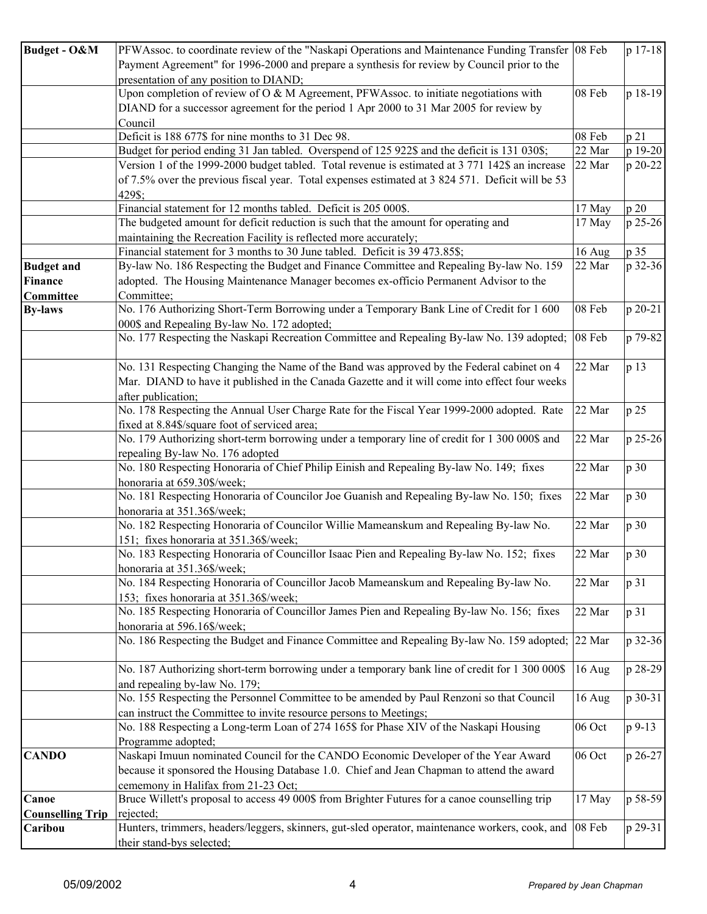| <b>Budget - O&amp;M</b> | PFWAssoc. to coordinate review of the "Naskapi Operations and Maintenance Funding Transfer   08 Feb                 |          | p 17-18 |
|-------------------------|---------------------------------------------------------------------------------------------------------------------|----------|---------|
|                         | Payment Agreement" for 1996-2000 and prepare a synthesis for review by Council prior to the                         |          |         |
|                         | presentation of any position to DIAND;                                                                              |          |         |
|                         | Upon completion of review of O & M Agreement, PFWAssoc. to initiate negotiations with                               | 08 Feb   | p 18-19 |
|                         | DIAND for a successor agreement for the period 1 Apr 2000 to 31 Mar 2005 for review by                              |          |         |
|                         |                                                                                                                     |          |         |
|                         | Council                                                                                                             |          |         |
|                         | Deficit is 188 677\$ for nine months to 31 Dec 98.                                                                  | 08 Feb   | p 21    |
|                         | Budget for period ending 31 Jan tabled. Overspend of 125 922\$ and the deficit is 131 030\$;                        | 22 Mar   | p 19-20 |
|                         | Version 1 of the 1999-2000 budget tabled. Total revenue is estimated at 3 771 142\$ an increase                     | 22 Mar   | p 20-22 |
|                         | of 7.5% over the previous fiscal year. Total expenses estimated at 3 824 571. Deficit will be 53                    |          |         |
|                         | 429\$;                                                                                                              |          |         |
|                         | Financial statement for 12 months tabled. Deficit is 205 000\$.                                                     | 17 May   | p 20    |
|                         | The budgeted amount for deficit reduction is such that the amount for operating and                                 | 17 May   | p 25-26 |
|                         | maintaining the Recreation Facility is reflected more accurately;                                                   |          |         |
|                         | Financial statement for 3 months to 30 June tabled. Deficit is 39 473.85\$;                                         | 16 Aug   | p 35    |
| <b>Budget and</b>       | By-law No. 186 Respecting the Budget and Finance Committee and Repealing By-law No. 159                             | 22 Mar   | p 32-36 |
| Finance                 | adopted. The Housing Maintenance Manager becomes ex-officio Permanent Advisor to the                                |          |         |
| <b>Committee</b>        | Committee;                                                                                                          |          |         |
| <b>By-laws</b>          | No. 176 Authorizing Short-Term Borrowing under a Temporary Bank Line of Credit for 1 600                            | 08 Feb   | p 20-21 |
|                         | 000\$ and Repealing By-law No. 172 adopted;                                                                         |          |         |
|                         | No. 177 Respecting the Naskapi Recreation Committee and Repealing By-law No. 139 adopted; 08 Feb                    |          | p 79-82 |
|                         |                                                                                                                     |          |         |
|                         |                                                                                                                     |          |         |
|                         | No. 131 Respecting Changing the Name of the Band was approved by the Federal cabinet on 4                           | 22 Mar   | p 13    |
|                         | Mar. DIAND to have it published in the Canada Gazette and it will come into effect four weeks                       |          |         |
|                         | after publication;                                                                                                  |          |         |
|                         | No. 178 Respecting the Annual User Charge Rate for the Fiscal Year 1999-2000 adopted. Rate                          | 22 Mar   | p 25    |
|                         | fixed at 8.84\$/square foot of serviced area;                                                                       |          |         |
|                         | No. 179 Authorizing short-term borrowing under a temporary line of credit for 1 300 000\$ and                       | 22 Mar   | p 25-26 |
|                         | repealing By-law No. 176 adopted                                                                                    |          |         |
|                         | No. 180 Respecting Honoraria of Chief Philip Einish and Repealing By-law No. 149; fixes                             | 22 Mar   | p 30    |
|                         | honoraria at 659.30\$/week;                                                                                         |          |         |
|                         | No. 181 Respecting Honoraria of Councilor Joe Guanish and Repealing By-law No. 150; fixes                           | 22 Mar   | p 30    |
|                         | honoraria at 351.36\$/week;                                                                                         |          |         |
|                         | No. 182 Respecting Honoraria of Councilor Willie Mameanskum and Repealing By-law No.                                | 22 Mar   | p 30    |
|                         | 151; fixes honoraria at 351.36\$/week;                                                                              |          |         |
|                         | No. 183 Respecting Honoraria of Councillor Isaac Pien and Repealing By-law No. 152; fixes                           | 22 Mar   | p 30    |
|                         |                                                                                                                     |          |         |
|                         | honoraria at 351.36\$/week;<br>No. 184 Respecting Honoraria of Councillor Jacob Mameanskum and Repealing By-law No. |          |         |
|                         |                                                                                                                     | 22 Mar   | p 31    |
|                         | 153; fixes honoraria at 351.36\$/week;                                                                              |          |         |
|                         | No. 185 Respecting Honoraria of Councillor James Pien and Repealing By-law No. 156; fixes                           | 22 Mar   | p 31    |
|                         | honoraria at 596.16\$/week;                                                                                         |          |         |
|                         | No. 186 Respecting the Budget and Finance Committee and Repealing By-law No. 159 adopted; 22 Mar                    |          | p 32-36 |
|                         |                                                                                                                     |          |         |
|                         | No. 187 Authorizing short-term borrowing under a temporary bank line of credit for 1 300 000\$                      | 16 Aug   | p 28-29 |
|                         | and repealing by-law No. 179;                                                                                       |          |         |
|                         | No. 155 Respecting the Personnel Committee to be amended by Paul Renzoni so that Council                            | 16 Aug   | p 30-31 |
|                         | can instruct the Committee to invite resource persons to Meetings;                                                  |          |         |
|                         | No. 188 Respecting a Long-term Loan of 274 165\$ for Phase XIV of the Naskapi Housing                               | 06 Oct   | p 9-13  |
|                         | Programme adopted;                                                                                                  |          |         |
| <b>CANDO</b>            | Naskapi Imuun nominated Council for the CANDO Economic Developer of the Year Award                                  | 06 Oct   | p 26-27 |
|                         | because it sponsored the Housing Database 1.0. Chief and Jean Chapman to attend the award                           |          |         |
|                         |                                                                                                                     |          |         |
|                         | cememony in Halifax from 21-23 Oct;                                                                                 |          |         |
| Canoe                   | Bruce Willett's proposal to access 49 000\$ from Brighter Futures for a canoe counselling trip                      | 17 May   | p 58-59 |
| <b>Counselling Trip</b> | rejected;                                                                                                           |          |         |
| Caribou                 | Hunters, trimmers, headers/leggers, skinners, gut-sled operator, maintenance workers, cook, and                     | $08$ Feb | p 29-31 |
|                         | their stand-bys selected;                                                                                           |          |         |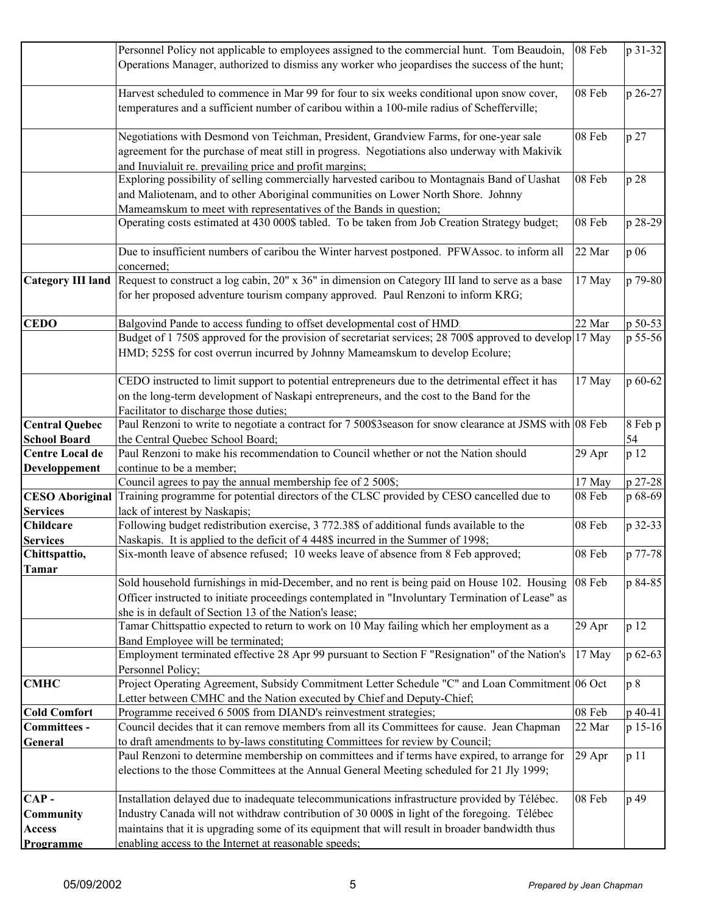|                                     | Personnel Policy not applicable to employees assigned to the commercial hunt. Tom Beaudoin,                                                                                                            | 08 Feb | p 31-32 |
|-------------------------------------|--------------------------------------------------------------------------------------------------------------------------------------------------------------------------------------------------------|--------|---------|
|                                     | Operations Manager, authorized to dismiss any worker who jeopardises the success of the hunt;                                                                                                          |        |         |
|                                     | Harvest scheduled to commence in Mar 99 for four to six weeks conditional upon snow cover,                                                                                                             | 08 Feb | p 26-27 |
|                                     | temperatures and a sufficient number of caribou within a 100-mile radius of Schefferville;                                                                                                             |        |         |
|                                     | Negotiations with Desmond von Teichman, President, Grandview Farms, for one-year sale                                                                                                                  | 08 Feb | p 27    |
|                                     | agreement for the purchase of meat still in progress. Negotiations also underway with Makivik                                                                                                          |        |         |
|                                     | and Inuvialuit re. prevailing price and profit margins;                                                                                                                                                |        |         |
|                                     | Exploring possibility of selling commercially harvested caribou to Montagnais Band of Uashat                                                                                                           | 08 Feb | p 28    |
|                                     | and Maliotenam, and to other Aboriginal communities on Lower North Shore. Johnny                                                                                                                       |        |         |
|                                     | Mameamskum to meet with representatives of the Bands in question;                                                                                                                                      |        |         |
|                                     | Operating costs estimated at 430 000\$ tabled. To be taken from Job Creation Strategy budget;                                                                                                          | 08 Feb | p 28-29 |
|                                     | Due to insufficient numbers of caribou the Winter harvest postponed. PFWAssoc. to inform all                                                                                                           | 22 Mar | p 06    |
|                                     | concerned;                                                                                                                                                                                             |        |         |
|                                     | Category III land Request to construct a log cabin, 20" x 36" in dimension on Category III land to serve as a base<br>for her proposed adventure tourism company approved. Paul Renzoni to inform KRG; | 17 May | p 79-80 |
| <b>CEDO</b>                         | Balgovind Pande to access funding to offset developmental cost of HMD.                                                                                                                                 | 22 Mar | p 50-53 |
|                                     | Budget of 1 750\$ approved for the provision of secretariat services; 28 700\$ approved to develop 17 May<br>HMD; 525\$ for cost overrun incurred by Johnny Mameamskum to develop Ecolure;             |        | p 55-56 |
|                                     | CEDO instructed to limit support to potential entrepreneurs due to the detrimental effect it has                                                                                                       | 17 May | p 60-62 |
|                                     | on the long-term development of Naskapi entrepreneurs, and the cost to the Band for the                                                                                                                |        |         |
|                                     | Facilitator to discharge those duties;                                                                                                                                                                 |        |         |
| <b>Central Quebec</b>               | Paul Renzoni to write to negotiate a contract for 7 500\$3season for snow clearance at JSMS with 08 Feb                                                                                                |        | 8 Feb p |
| <b>School Board</b>                 | the Central Quebec School Board;                                                                                                                                                                       |        | 54      |
| <b>Centre Local de</b>              | Paul Renzoni to make his recommendation to Council whether or not the Nation should                                                                                                                    | 29 Apr | p 12    |
| Developpement                       | continue to be a member;                                                                                                                                                                               |        |         |
|                                     | Council agrees to pay the annual membership fee of 2 500\$;                                                                                                                                            | 17 May | p 27-28 |
| <b>CESO Aboriginal</b>              | Training programme for potential directors of the CLSC provided by CESO cancelled due to<br>lack of interest by Naskapis;                                                                              | 08 Feb | p 68-69 |
| <b>Services</b><br><b>Childcare</b> | Following budget redistribution exercise, 3 772.38\$ of additional funds available to the                                                                                                              | 08 Feb | p 32-33 |
| <b>Services</b>                     | Naskapis. It is applied to the deficit of 4 448\$ incurred in the Summer of 1998;                                                                                                                      |        |         |
| Chittspattio,<br><b>Tamar</b>       | Six-month leave of absence refused; 10 weeks leave of absence from 8 Feb approved;                                                                                                                     | 08 Feb | p 77-78 |
|                                     | Sold household furnishings in mid-December, and no rent is being paid on House 102. Housing                                                                                                            | 08 Feb | p 84-85 |
|                                     | Officer instructed to initiate proceedings contemplated in "Involuntary Termination of Lease" as                                                                                                       |        |         |
|                                     | she is in default of Section 13 of the Nation's lease;                                                                                                                                                 |        |         |
|                                     | Tamar Chittspattio expected to return to work on 10 May failing which her employment as a                                                                                                              | 29 Apr | p 12    |
|                                     | Band Employee will be terminated;                                                                                                                                                                      |        |         |
|                                     | Employment terminated effective 28 Apr 99 pursuant to Section F "Resignation" of the Nation's                                                                                                          | 17 May | p 62-63 |
|                                     | Personnel Policy;                                                                                                                                                                                      |        |         |
| <b>CMHC</b>                         | Project Operating Agreement, Subsidy Commitment Letter Schedule "C" and Loan Commitment 06 Oct                                                                                                         |        | p 8     |
|                                     | Letter between CMHC and the Nation executed by Chief and Deputy-Chief;                                                                                                                                 |        |         |
| <b>Cold Comfort</b>                 | Programme received 6 500\$ from DIAND's reinvestment strategies;                                                                                                                                       | 08 Feb | p 40-41 |
| Committees -                        | Council decides that it can remove members from all its Committees for cause. Jean Chapman                                                                                                             | 22 Mar | p 15-16 |
| General                             | to draft amendments to by-laws constituting Committees for review by Council;                                                                                                                          |        |         |
|                                     | Paul Renzoni to determine membership on committees and if terms have expired, to arrange for<br>elections to the those Committees at the Annual General Meeting scheduled for 21 Jly 1999;             | 29 Apr | p 11    |
| $CAP -$                             | Installation delayed due to inadequate telecommunications infrastructure provided by Télébec.                                                                                                          | 08 Feb | p 49    |
| <b>Community</b>                    | Industry Canada will not withdraw contribution of 30 000\$ in light of the foregoing. Télébec                                                                                                          |        |         |
| <b>Access</b>                       | maintains that it is upgrading some of its equipment that will result in broader bandwidth thus                                                                                                        |        |         |
| Programme                           | enabling access to the Internet at reasonable speeds:                                                                                                                                                  |        |         |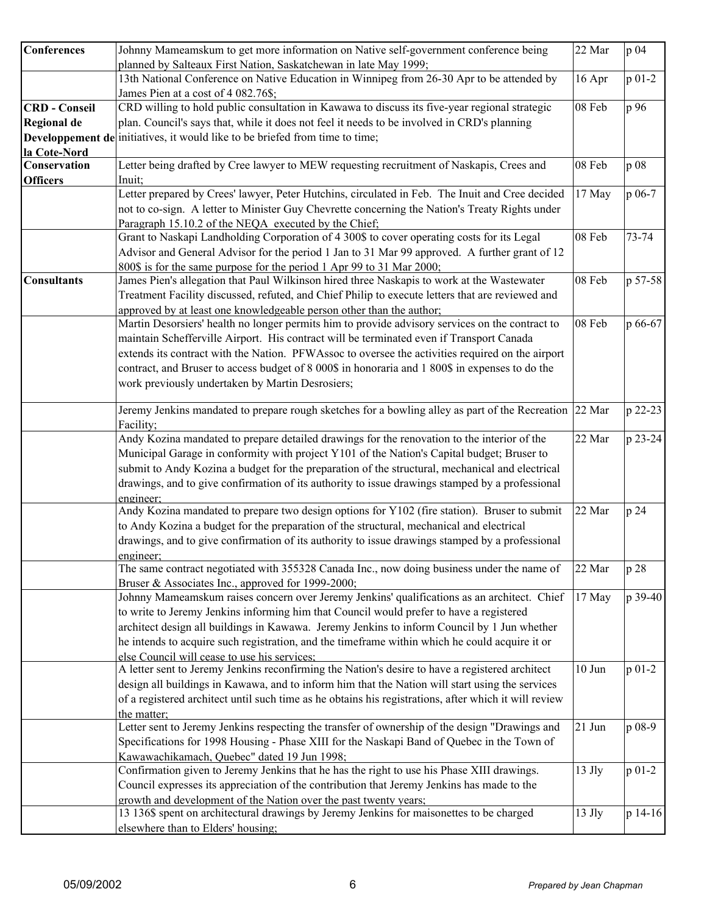| <b>Conferences</b>   | Johnny Mameamskum to get more information on Native self-government conference being                   | 22 Mar   | p 04      |
|----------------------|--------------------------------------------------------------------------------------------------------|----------|-----------|
|                      | planned by Salteaux First Nation, Saskatchewan in late May 1999;                                       |          |           |
|                      | 13th National Conference on Native Education in Winnipeg from 26-30 Apr to be attended by              | 16 Apr   | $p 01-2$  |
|                      | James Pien at a cost of 4 082.76\$;                                                                    |          |           |
| <b>CRD</b> - Conseil | CRD willing to hold public consultation in Kawawa to discuss its five-year regional strategic          | 08 Feb   | p 96      |
| Regional de          | plan. Council's says that, while it does not feel it needs to be involved in CRD's planning            |          |           |
|                      | Developpement de initiatives, it would like to be briefed from time to time;                           |          |           |
| la Cote-Nord         |                                                                                                        |          |           |
| Conservation         | Letter being drafted by Cree lawyer to MEW requesting recruitment of Naskapis, Crees and               | 08 Feb   | p 08      |
| <b>Officers</b>      | Inuit;                                                                                                 |          |           |
|                      | Letter prepared by Crees' lawyer, Peter Hutchins, circulated in Feb. The Inuit and Cree decided        | 17 May   | p 06-7    |
|                      | not to co-sign. A letter to Minister Guy Chevrette concerning the Nation's Treaty Rights under         |          |           |
|                      | Paragraph 15.10.2 of the NEQA executed by the Chief;                                                   |          |           |
|                      | Grant to Naskapi Landholding Corporation of 4 300\$ to cover operating costs for its Legal             | 08 Feb   | $73 - 74$ |
|                      | Advisor and General Advisor for the period 1 Jan to 31 Mar 99 approved. A further grant of 12          |          |           |
|                      | 800\$ is for the same purpose for the period 1 Apr 99 to 31 Mar 2000;                                  |          |           |
| <b>Consultants</b>   | James Pien's allegation that Paul Wilkinson hired three Naskapis to work at the Wastewater             | 08 Feb   | p 57-58   |
|                      | Treatment Facility discussed, refuted, and Chief Philip to execute letters that are reviewed and       |          |           |
|                      | approved by at least one knowledgeable person other than the author;                                   |          |           |
|                      | Martin Desorsiers' health no longer permits him to provide advisory services on the contract to        | 08 Feb   | p 66-67   |
|                      | maintain Schefferville Airport. His contract will be terminated even if Transport Canada               |          |           |
|                      | extends its contract with the Nation. PFWAssoc to oversee the activities required on the airport       |          |           |
|                      | contract, and Bruser to access budget of 8 000\$ in honoraria and 1 800\$ in expenses to do the        |          |           |
|                      | work previously undertaken by Martin Desrosiers;                                                       |          |           |
|                      |                                                                                                        |          |           |
|                      | Jeremy Jenkins mandated to prepare rough sketches for a bowling alley as part of the Recreation 22 Mar |          | p 22-23   |
|                      | Facility;                                                                                              |          |           |
|                      | Andy Kozina mandated to prepare detailed drawings for the renovation to the interior of the            | 22 Mar   | p 23-24   |
|                      | Municipal Garage in conformity with project Y101 of the Nation's Capital budget; Bruser to             |          |           |
|                      | submit to Andy Kozina a budget for the preparation of the structural, mechanical and electrical        |          |           |
|                      | drawings, and to give confirmation of its authority to issue drawings stamped by a professional        |          |           |
|                      | engineer:                                                                                              |          |           |
|                      | Andy Kozina mandated to prepare two design options for Y102 (fire station). Bruser to submit           | 22 Mar   | p 24      |
|                      | to Andy Kozina a budget for the preparation of the structural, mechanical and electrical               |          |           |
|                      | drawings, and to give confirmation of its authority to issue drawings stamped by a professional        |          |           |
|                      | engineer:                                                                                              |          |           |
|                      | The same contract negotiated with 355328 Canada Inc., now doing business under the name of             | 22 Mar   | p 28      |
|                      | Bruser & Associates Inc., approved for 1999-2000;                                                      |          |           |
|                      | Johnny Mameamskum raises concern over Jeremy Jenkins' qualifications as an architect. Chief            | 17 May   | p 39-40   |
|                      | to write to Jeremy Jenkins informing him that Council would prefer to have a registered                |          |           |
|                      | architect design all buildings in Kawawa. Jeremy Jenkins to inform Council by 1 Jun whether            |          |           |
|                      | he intends to acquire such registration, and the timeframe within which he could acquire it or         |          |           |
|                      | else Council will cease to use his services;                                                           |          |           |
|                      | A letter sent to Jeremy Jenkins reconfirming the Nation's desire to have a registered architect        | $10$ Jun | $p 01-2$  |
|                      | design all buildings in Kawawa, and to inform him that the Nation will start using the services        |          |           |
|                      | of a registered architect until such time as he obtains his registrations, after which it will review  |          |           |
|                      | the matter;                                                                                            |          |           |
|                      | Letter sent to Jeremy Jenkins respecting the transfer of ownership of the design "Drawings and         | 21 Jun   | p 08-9    |
|                      | Specifications for 1998 Housing - Phase XIII for the Naskapi Band of Quebec in the Town of             |          |           |
|                      | Kawawachikamach, Quebec" dated 19 Jun 1998;                                                            |          |           |
|                      | Confirmation given to Jeremy Jenkins that he has the right to use his Phase XIII drawings.             | $13$ Jly | $p 01-2$  |
|                      | Council expresses its appreciation of the contribution that Jeremy Jenkins has made to the             |          |           |
|                      | growth and development of the Nation over the past twenty years;                                       |          |           |
|                      | 13 136\$ spent on architectural drawings by Jeremy Jenkins for maisonettes to be charged               | $13$ Jly | p 14-16   |
|                      | elsewhere than to Elders' housing;                                                                     |          |           |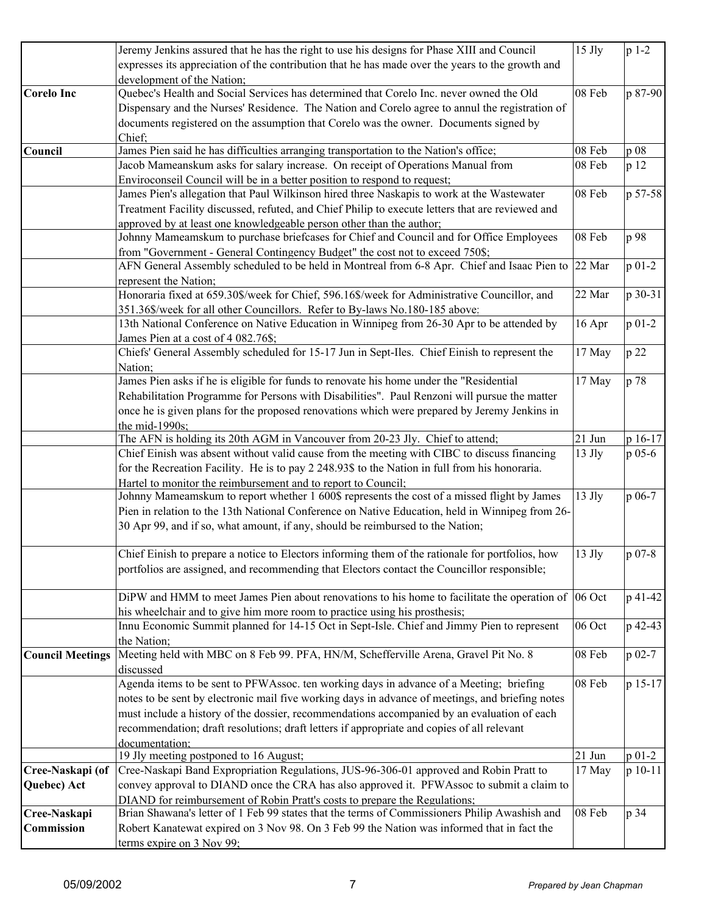|                            | Jeremy Jenkins assured that he has the right to use his designs for Phase XIII and Council                                                                                  | $15$ Jly | $p 1-2$    |
|----------------------------|-----------------------------------------------------------------------------------------------------------------------------------------------------------------------------|----------|------------|
|                            | expresses its appreciation of the contribution that he has made over the years to the growth and                                                                            |          |            |
|                            | development of the Nation;                                                                                                                                                  |          |            |
| <b>Corelo Inc</b>          | Quebec's Health and Social Services has determined that Corelo Inc. never owned the Old                                                                                     | 08 Feb   | p 87-90    |
|                            | Dispensary and the Nurses' Residence. The Nation and Corelo agree to annul the registration of                                                                              |          |            |
|                            | documents registered on the assumption that Corelo was the owner. Documents signed by                                                                                       |          |            |
|                            | Chief:                                                                                                                                                                      |          |            |
| Council                    | James Pien said he has difficulties arranging transportation to the Nation's office;                                                                                        | 08 Feb   | p 08       |
|                            | Jacob Mameanskum asks for salary increase. On receipt of Operations Manual from                                                                                             | 08 Feb   | p 12       |
|                            | Enviroconseil Council will be in a better position to respond to request;                                                                                                   |          |            |
|                            | James Pien's allegation that Paul Wilkinson hired three Naskapis to work at the Wastewater                                                                                  | 08 Feb   | p 57-58    |
|                            | Treatment Facility discussed, refuted, and Chief Philip to execute letters that are reviewed and                                                                            |          |            |
|                            | approved by at least one knowledgeable person other than the author;                                                                                                        |          |            |
|                            | Johnny Mameamskum to purchase briefcases for Chief and Council and for Office Employees                                                                                     | 08 Feb   | p 98       |
|                            | from "Government - General Contingency Budget" the cost not to exceed 750\$;                                                                                                |          |            |
|                            | AFN General Assembly scheduled to be held in Montreal from 6-8 Apr. Chief and Isaac Pien to 22 Mar                                                                          |          | $p 01-2$   |
|                            | represent the Nation;                                                                                                                                                       |          |            |
|                            | Honoraria fixed at 659.30\$/week for Chief, 596.16\$/week for Administrative Councillor, and                                                                                | 22 Mar   | p 30-31    |
|                            | 351.36\$/week for all other Councillors. Refer to By-laws No.180-185 above;                                                                                                 |          |            |
|                            | 13th National Conference on Native Education in Winnipeg from 26-30 Apr to be attended by                                                                                   | 16 Apr   | p 01-2     |
|                            | James Pien at a cost of 4 082.76\$;<br>Chiefs' General Assembly scheduled for 15-17 Jun in Sept-Iles. Chief Einish to represent the                                         |          |            |
|                            |                                                                                                                                                                             | 17 May   | p 22       |
|                            | Nation;<br>James Pien asks if he is eligible for funds to renovate his home under the "Residential                                                                          | 17 May   | p 78       |
|                            | Rehabilitation Programme for Persons with Disabilities". Paul Renzoni will pursue the matter                                                                                |          |            |
|                            | once he is given plans for the proposed renovations which were prepared by Jeremy Jenkins in                                                                                |          |            |
|                            | the mid-1990s;                                                                                                                                                              |          |            |
|                            | The AFN is holding its 20th AGM in Vancouver from 20-23 Jly. Chief to attend;                                                                                               | 21 Jun   | p 16-17    |
|                            | Chief Einish was absent without valid cause from the meeting with CIBC to discuss financing                                                                                 | 13 Jly   | p 05-6     |
|                            | for the Recreation Facility. He is to pay 2 248.93\$ to the Nation in full from his honoraria.                                                                              |          |            |
|                            | Hartel to monitor the reimbursement and to report to Council;                                                                                                               |          |            |
|                            | Johnny Mameamskum to report whether 1 600\$ represents the cost of a missed flight by James                                                                                 | $13$ Jly | p 06-7     |
|                            | Pien in relation to the 13th National Conference on Native Education, held in Winnipeg from 26-                                                                             |          |            |
|                            | 30 Apr 99, and if so, what amount, if any, should be reimbursed to the Nation;                                                                                              |          |            |
|                            |                                                                                                                                                                             |          |            |
|                            | Chief Einish to prepare a notice to Electors informing them of the rationale for portfolios, how                                                                            | $13$ Jly | $p_{07-8}$ |
|                            | portfolios are assigned, and recommending that Electors contact the Councillor responsible;                                                                                 |          |            |
|                            |                                                                                                                                                                             |          |            |
|                            | DiPW and HMM to meet James Pien about renovations to his home to facilitate the operation of $\left  06 \right.$ Oct                                                        |          | p 41-42    |
|                            | his wheelchair and to give him more room to practice using his prosthesis;                                                                                                  |          |            |
|                            | Innu Economic Summit planned for 14-15 Oct in Sept-Isle. Chief and Jimmy Pien to represent                                                                                  | 06 Oct   | p 42-43    |
|                            | the Nation;                                                                                                                                                                 |          |            |
| <b>Council Meetings</b>    | Meeting held with MBC on 8 Feb 99. PFA, HN/M, Schefferville Arena, Gravel Pit No. 8                                                                                         | 08 Feb   | p 02-7     |
|                            | discussed                                                                                                                                                                   |          |            |
|                            | Agenda items to be sent to PFWAssoc. ten working days in advance of a Meeting; briefing                                                                                     | 08 Feb   | p 15-17    |
|                            | notes to be sent by electronic mail five working days in advance of meetings, and briefing notes                                                                            |          |            |
|                            | must include a history of the dossier, recommendations accompanied by an evaluation of each                                                                                 |          |            |
|                            | recommendation; draft resolutions; draft letters if appropriate and copies of all relevant                                                                                  |          |            |
|                            | documentation:                                                                                                                                                              |          |            |
|                            | 19 Jly meeting postponed to 16 August;                                                                                                                                      | 21 Jun   | $p_{01-2}$ |
| Cree-Naskapi (of           | Cree-Naskapi Band Expropriation Regulations, JUS-96-306-01 approved and Robin Pratt to                                                                                      | 17 May   | $p 10-11$  |
| Quebec) Act                | convey approval to DIAND once the CRA has also approved it. PFWAssoc to submit a claim to                                                                                   |          |            |
|                            | DIAND for reimbursement of Robin Pratt's costs to prepare the Regulations;<br>Brian Shawana's letter of 1 Feb 99 states that the terms of Commissioners Philip Awashish and | 08 Feb   |            |
| Cree-Naskapi<br>Commission | Robert Kanatewat expired on 3 Nov 98. On 3 Feb 99 the Nation was informed that in fact the                                                                                  |          | p 34       |
|                            | terms expire on 3 Nov 99;                                                                                                                                                   |          |            |
|                            |                                                                                                                                                                             |          |            |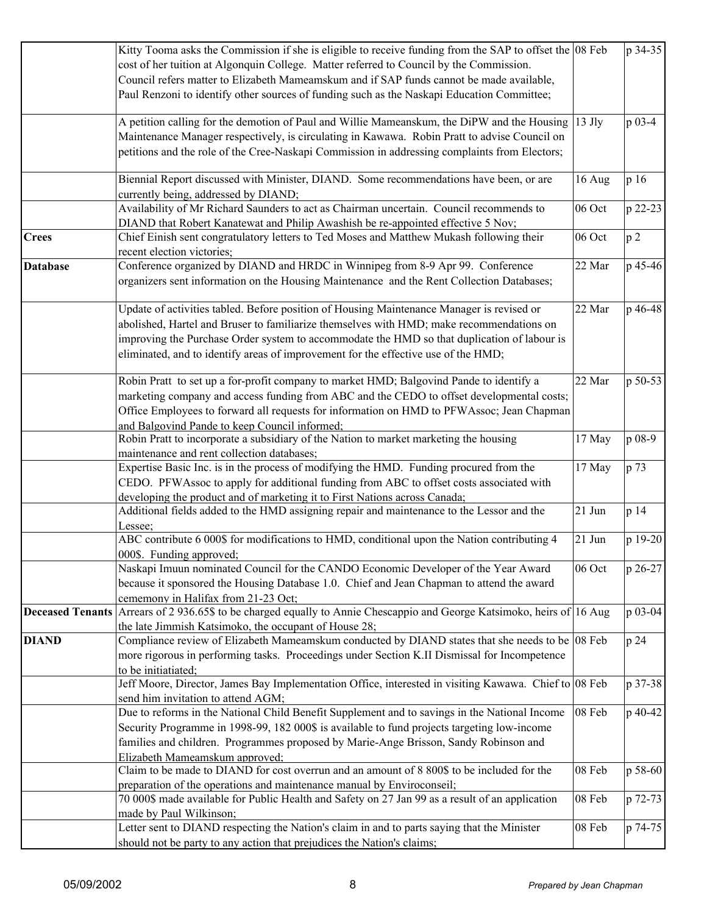|                         | Kitty Tooma asks the Commission if she is eligible to receive funding from the SAP to offset the 08 Feb                                                                 |          | p 34-35        |
|-------------------------|-------------------------------------------------------------------------------------------------------------------------------------------------------------------------|----------|----------------|
|                         | cost of her tuition at Algonquin College. Matter referred to Council by the Commission.                                                                                 |          |                |
|                         | Council refers matter to Elizabeth Mameamskum and if SAP funds cannot be made available,                                                                                |          |                |
|                         | Paul Renzoni to identify other sources of funding such as the Naskapi Education Committee;                                                                              |          |                |
|                         | A petition calling for the demotion of Paul and Willie Mameanskum, the DiPW and the Housing                                                                             | $13$ Jly | p 03-4         |
|                         | Maintenance Manager respectively, is circulating in Kawawa. Robin Pratt to advise Council on                                                                            |          |                |
|                         | petitions and the role of the Cree-Naskapi Commission in addressing complaints from Electors;                                                                           |          |                |
|                         | Biennial Report discussed with Minister, DIAND. Some recommendations have been, or are<br>currently being, addressed by DIAND;                                          | 16 Aug   | p 16           |
|                         | Availability of Mr Richard Saunders to act as Chairman uncertain. Council recommends to                                                                                 | 06 Oct   | p 22-23        |
|                         | DIAND that Robert Kanatewat and Philip Awashish be re-appointed effective 5 Nov;                                                                                        |          |                |
| <b>Crees</b>            | Chief Einish sent congratulatory letters to Ted Moses and Matthew Mukash following their<br>recent election victories;                                                  | 06 Oct   | p <sub>2</sub> |
| <b>Database</b>         | Conference organized by DIAND and HRDC in Winnipeg from 8-9 Apr 99. Conference                                                                                          | 22 Mar   | p 45-46        |
|                         | organizers sent information on the Housing Maintenance and the Rent Collection Databases;                                                                               |          |                |
|                         | Update of activities tabled. Before position of Housing Maintenance Manager is revised or                                                                               | 22 Mar   | p 46-48        |
|                         | abolished, Hartel and Bruser to familiarize themselves with HMD; make recommendations on                                                                                |          |                |
|                         | improving the Purchase Order system to accommodate the HMD so that duplication of labour is                                                                             |          |                |
|                         | eliminated, and to identify areas of improvement for the effective use of the HMD;                                                                                      |          |                |
|                         | Robin Pratt to set up a for-profit company to market HMD; Balgovind Pande to identify a                                                                                 | 22 Mar   | p 50-53        |
|                         | marketing company and access funding from ABC and the CEDO to offset developmental costs;                                                                               |          |                |
|                         | Office Employees to forward all requests for information on HMD to PFWAssoc; Jean Chapman                                                                               |          |                |
|                         | and Balgovind Pande to keep Council informed;                                                                                                                           |          |                |
|                         | Robin Pratt to incorporate a subsidiary of the Nation to market marketing the housing                                                                                   | 17 May   | p 08-9         |
|                         | maintenance and rent collection databases;<br>Expertise Basic Inc. is in the process of modifying the HMD. Funding procured from the                                    | 17 May   | p 73           |
|                         |                                                                                                                                                                         |          |                |
|                         | CEDO. PFWAssoc to apply for additional funding from ABC to offset costs associated with                                                                                 |          |                |
|                         | developing the product and of marketing it to First Nations across Canada;<br>Additional fields added to the HMD assigning repair and maintenance to the Lessor and the | 21 Jun   | p 14           |
|                         | Lessee;                                                                                                                                                                 |          |                |
|                         | ABC contribute 6 000\$ for modifications to HMD, conditional upon the Nation contributing 4                                                                             | 21 Jun   | p 19-20        |
|                         | 000\$. Funding approved;                                                                                                                                                |          |                |
|                         | Naskapi Imuun nominated Council for the CANDO Economic Developer of the Year Award                                                                                      | 06 Oct   | p 26-27        |
|                         | because it sponsored the Housing Database 1.0. Chief and Jean Chapman to attend the award                                                                               |          |                |
|                         | cememony in Halifax from 21-23 Oct;                                                                                                                                     |          |                |
| <b>Deceased Tenants</b> | Arrears of 2 936.65\$ to be charged equally to Annie Chescappio and George Katsimoko, heirs of 16 Aug                                                                   |          | p 03-04        |
|                         | the late Jimmish Katsimoko, the occupant of House 28;                                                                                                                   |          |                |
| <b>DIAND</b>            | Compliance review of Elizabeth Mameamskum conducted by DIAND states that she needs to be 08 Feb                                                                         |          | p 24           |
|                         | more rigorous in performing tasks. Proceedings under Section K.II Dismissal for Incompetence                                                                            |          |                |
|                         | to be initiatiated;<br>Jeff Moore, Director, James Bay Implementation Office, interested in visiting Kawawa. Chief to 08 Feb                                            |          | p 37-38        |
|                         | send him invitation to attend AGM;                                                                                                                                      |          |                |
|                         | Due to reforms in the National Child Benefit Supplement and to savings in the National Income                                                                           | 08 Feb   | p 40-42        |
|                         | Security Programme in 1998-99, 182 000\$ is available to fund projects targeting low-income                                                                             |          |                |
|                         | families and children. Programmes proposed by Marie-Ange Brisson, Sandy Robinson and                                                                                    |          |                |
|                         | Elizabeth Mameamskum approved:                                                                                                                                          |          |                |
|                         | Claim to be made to DIAND for cost overrun and an amount of 8 800\$ to be included for the                                                                              | 08 Feb   | p 58-60        |
|                         | preparation of the operations and maintenance manual by Enviroconseil;                                                                                                  |          |                |
|                         | 70 000\$ made available for Public Health and Safety on 27 Jan 99 as a result of an application<br>made by Paul Wilkinson;                                              | 08 Feb   | p 72-73        |
|                         | Letter sent to DIAND respecting the Nation's claim in and to parts saying that the Minister                                                                             | 08 Feb   | p 74-75        |
|                         | should not be party to any action that prejudices the Nation's claims;                                                                                                  |          |                |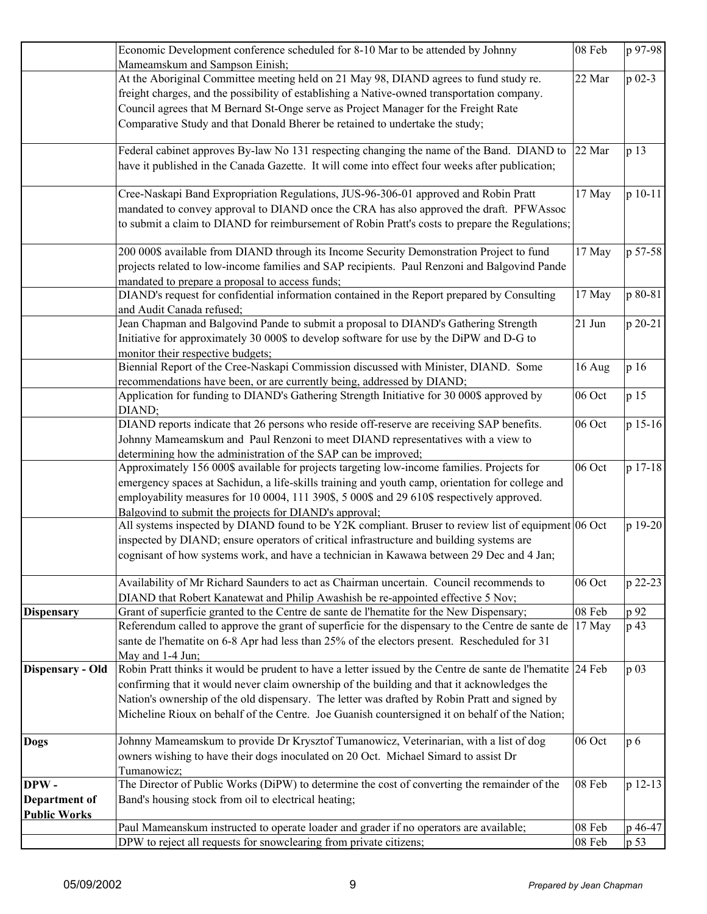|                     | Economic Development conference scheduled for 8-10 Mar to be attended by Johnny                                                                              | 08 Feb | p 97-98    |
|---------------------|--------------------------------------------------------------------------------------------------------------------------------------------------------------|--------|------------|
|                     | Mameamskum and Sampson Einish;                                                                                                                               |        |            |
|                     | At the Aboriginal Committee meeting held on 21 May 98, DIAND agrees to fund study re.                                                                        | 22 Mar | $p_{02-3}$ |
|                     | freight charges, and the possibility of establishing a Native-owned transportation company.                                                                  |        |            |
|                     | Council agrees that M Bernard St-Onge serve as Project Manager for the Freight Rate                                                                          |        |            |
|                     | Comparative Study and that Donald Bherer be retained to undertake the study;                                                                                 |        |            |
|                     | Federal cabinet approves By-law No 131 respecting changing the name of the Band. DIAND to                                                                    | 22 Mar | p 13       |
|                     | have it published in the Canada Gazette. It will come into effect four weeks after publication;                                                              |        |            |
|                     | Cree-Naskapi Band Expropriation Regulations, JUS-96-306-01 approved and Robin Pratt                                                                          | 17 May | p 10-11    |
|                     | mandated to convey approval to DIAND once the CRA has also approved the draft. PFWAssoc                                                                      |        |            |
|                     | to submit a claim to DIAND for reimbursement of Robin Pratt's costs to prepare the Regulations;                                                              |        |            |
|                     | 200 000\$ available from DIAND through its Income Security Demonstration Project to fund                                                                     | 17 May | p 57-58    |
|                     | projects related to low-income families and SAP recipients. Paul Renzoni and Balgovind Pande<br>mandated to prepare a proposal to access funds;              |        |            |
|                     | DIAND's request for confidential information contained in the Report prepared by Consulting                                                                  | 17 May | p 80-81    |
|                     | and Audit Canada refused;                                                                                                                                    |        |            |
|                     | Jean Chapman and Balgovind Pande to submit a proposal to DIAND's Gathering Strength                                                                          | 21 Jun | p 20-21    |
|                     | Initiative for approximately 30 000\$ to develop software for use by the DiPW and D-G to                                                                     |        |            |
|                     | monitor their respective budgets;<br>Biennial Report of the Cree-Naskapi Commission discussed with Minister, DIAND. Some                                     |        | p 16       |
|                     | recommendations have been, or are currently being, addressed by DIAND;                                                                                       | 16 Aug |            |
|                     | Application for funding to DIAND's Gathering Strength Initiative for 30 000\$ approved by                                                                    | 06 Oct | p 15       |
|                     | DIAND;                                                                                                                                                       |        |            |
|                     | DIAND reports indicate that 26 persons who reside off-reserve are receiving SAP benefits.                                                                    | 06 Oct | p 15-16    |
|                     | Johnny Mameamskum and Paul Renzoni to meet DIAND representatives with a view to                                                                              |        |            |
|                     | determining how the administration of the SAP can be improved;<br>Approximately 156 000\$ available for projects targeting low-income families. Projects for | 06 Oct | p 17-18    |
|                     | emergency spaces at Sachidun, a life-skills training and youth camp, orientation for college and                                                             |        |            |
|                     | employability measures for 10 0004, 111 390\$, 5 000\$ and 29 610\$ respectively approved.                                                                   |        |            |
|                     | Balgovind to submit the projects for DIAND's approval;                                                                                                       |        |            |
|                     | All systems inspected by DIAND found to be Y2K compliant. Bruser to review list of equipment 06 Oct                                                          |        | p 19-20    |
|                     | inspected by DIAND; ensure operators of critical infrastructure and building systems are                                                                     |        |            |
|                     | cognisant of how systems work, and have a technician in Kawawa between 29 Dec and 4 Jan;                                                                     |        |            |
|                     | Availability of Mr Richard Saunders to act as Chairman uncertain. Council recommends to                                                                      | 06 Oct | p 22-23    |
|                     | DIAND that Robert Kanatewat and Philip Awashish be re-appointed effective 5 Nov;                                                                             |        |            |
| <b>Dispensary</b>   | Grant of superficie granted to the Centre de sante de l'hematite for the New Dispensary;                                                                     | 08 Feb | p 92       |
|                     | Referendum called to approve the grant of superficie for the dispensary to the Centre de sante de                                                            | 17 May | p 43       |
|                     | sante de l'hematite on 6-8 Apr had less than 25% of the electors present. Rescheduled for 31                                                                 |        |            |
| Dispensary - Old    | May and 1-4 Jun;<br>Robin Pratt thinks it would be prudent to have a letter issued by the Centre de sante de l'hematite 24 Feb                               |        | p 03       |
|                     | confirming that it would never claim ownership of the building and that it acknowledges the                                                                  |        |            |
|                     | Nation's ownership of the old dispensary. The letter was drafted by Robin Pratt and signed by                                                                |        |            |
|                     | Micheline Rioux on behalf of the Centre. Joe Guanish countersigned it on behalf of the Nation;                                                               |        |            |
| <b>Dogs</b>         | Johnny Mameamskum to provide Dr Krysztof Tumanowicz, Veterinarian, with a list of dog                                                                        | 06 Oct | p 6        |
|                     | owners wishing to have their dogs inoculated on 20 Oct. Michael Simard to assist Dr                                                                          |        |            |
|                     | Tumanowicz;                                                                                                                                                  |        |            |
| DPW-                | The Director of Public Works (DiPW) to determine the cost of converting the remainder of the                                                                 | 08 Feb | p 12-13    |
| Department of       | Band's housing stock from oil to electrical heating;                                                                                                         |        |            |
| <b>Public Works</b> |                                                                                                                                                              |        |            |
|                     | Paul Mameanskum instructed to operate loader and grader if no operators are available;                                                                       | 08 Feb | p 46-47    |
|                     | DPW to reject all requests for snowclearing from private citizens;                                                                                           | 08 Feb | p 53       |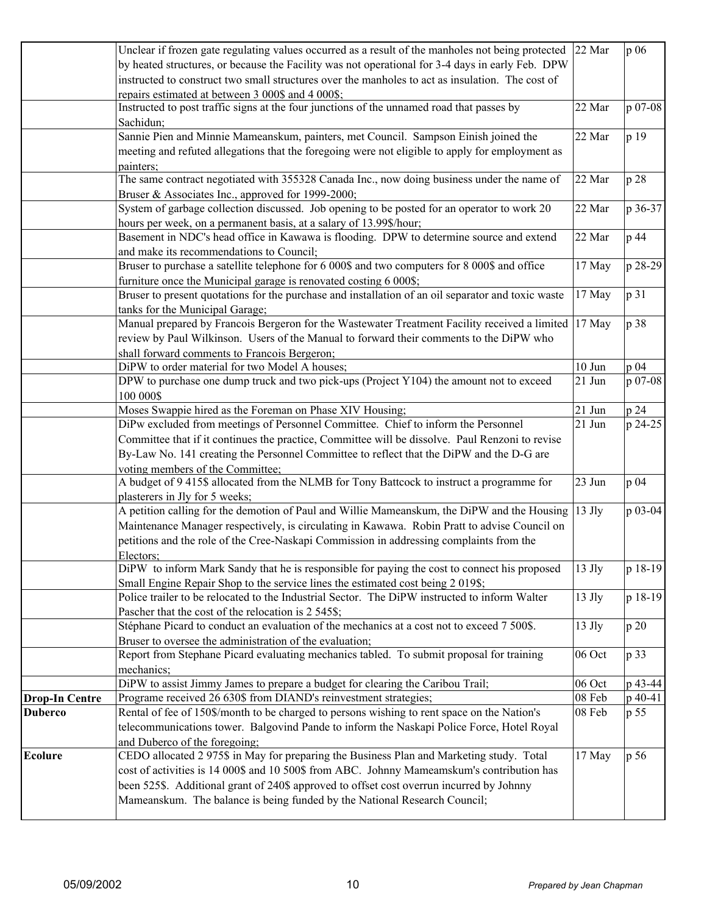|                       | Unclear if frozen gate regulating values occurred as a result of the manholes not being protected 22 Mar |                    | p 06    |
|-----------------------|----------------------------------------------------------------------------------------------------------|--------------------|---------|
|                       | by heated structures, or because the Facility was not operational for 3-4 days in early Feb. DPW         |                    |         |
|                       | instructed to construct two small structures over the manholes to act as insulation. The cost of         |                    |         |
|                       | repairs estimated at between 3 000\$ and 4 000\$;                                                        |                    |         |
|                       | Instructed to post traffic signs at the four junctions of the unnamed road that passes by                | 22 Mar             | p 07-08 |
|                       | Sachidun;                                                                                                |                    |         |
|                       | Sannie Pien and Minnie Mameanskum, painters, met Council. Sampson Einish joined the                      | 22 Mar             | p 19    |
|                       | meeting and refuted allegations that the foregoing were not eligible to apply for employment as          |                    |         |
|                       | painters;                                                                                                |                    |         |
|                       | The same contract negotiated with 355328 Canada Inc., now doing business under the name of               | 22 Mar             | p 28    |
|                       | Bruser & Associates Inc., approved for 1999-2000;                                                        |                    |         |
|                       | System of garbage collection discussed. Job opening to be posted for an operator to work 20              | 22 Mar             | p 36-37 |
|                       | hours per week, on a permanent basis, at a salary of 13.99\$/hour;                                       |                    |         |
|                       | Basement in NDC's head office in Kawawa is flooding. DPW to determine source and extend                  | 22 Mar             | p 44    |
|                       | and make its recommendations to Council;                                                                 |                    |         |
|                       | Bruser to purchase a satellite telephone for 6 000\$ and two computers for 8 000\$ and office            | 17 May             | p 28-29 |
|                       | furniture once the Municipal garage is renovated costing 6 000\$;                                        |                    |         |
|                       | Bruser to present quotations for the purchase and installation of an oil separator and toxic waste       | 17 May             | p 31    |
|                       | tanks for the Municipal Garage;                                                                          |                    |         |
|                       | Manual prepared by Francois Bergeron for the Wastewater Treatment Facility received a limited 17 May     |                    | p 38    |
|                       | review by Paul Wilkinson. Users of the Manual to forward their comments to the DiPW who                  |                    |         |
|                       | shall forward comments to Francois Bergeron;                                                             |                    |         |
|                       | DiPW to order material for two Model A houses;                                                           | $10$ Jun           | p 04    |
|                       | DPW to purchase one dump truck and two pick-ups (Project Y104) the amount not to exceed                  | 21 Jun             | p 07-08 |
|                       | 100 000\$                                                                                                |                    |         |
|                       | Moses Swappie hired as the Foreman on Phase XIV Housing;                                                 | 21 Jun             | p 24    |
|                       | DiPw excluded from meetings of Personnel Committee. Chief to inform the Personnel                        | 21 Jun             | p 24-25 |
|                       | Committee that if it continues the practice, Committee will be dissolve. Paul Renzoni to revise          |                    |         |
|                       | By-Law No. 141 creating the Personnel Committee to reflect that the DiPW and the D-G are                 |                    |         |
|                       | voting members of the Committee;                                                                         |                    |         |
|                       | A budget of 9 415\$ allocated from the NLMB for Tony Battcock to instruct a programme for                | 23 Jun             | p 04    |
|                       | plasterers in Jly for 5 weeks;                                                                           |                    |         |
|                       | A petition calling for the demotion of Paul and Willie Mameanskum, the DiPW and the Housing              | $13$ Jly           | p 03-04 |
|                       | Maintenance Manager respectively, is circulating in Kawawa. Robin Pratt to advise Council on             |                    |         |
|                       | petitions and the role of the Cree-Naskapi Commission in addressing complaints from the                  |                    |         |
|                       | Electors:                                                                                                |                    |         |
|                       | DiPW to inform Mark Sandy that he is responsible for paying the cost to connect his proposed             | $13$ Jly           | p 18-19 |
|                       | Small Engine Repair Shop to the service lines the estimated cost being 2 019\$;                          |                    |         |
|                       | Police trailer to be relocated to the Industrial Sector. The DiPW instructed to inform Walter            | 13 Jly             | p 18-19 |
|                       | Pascher that the cost of the relocation is 2 545\$;                                                      |                    |         |
|                       | Stéphane Picard to conduct an evaluation of the mechanics at a cost not to exceed 7 500\$.               | 13 Jly             | p 20    |
|                       | Bruser to oversee the administration of the evaluation;                                                  |                    |         |
|                       | Report from Stephane Picard evaluating mechanics tabled. To submit proposal for training                 | 06 Oct             | p 33    |
|                       | mechanics;                                                                                               |                    |         |
|                       | DiPW to assist Jimmy James to prepare a budget for clearing the Caribou Trail;                           | 06 Oct             | p 43-44 |
| <b>Drop-In Centre</b> | Programe received 26 630\$ from DIAND's reinvestment strategies;                                         | $08\ \mathrm{Feb}$ | p 40-41 |
| <b>Duberco</b>        | Rental of fee of 150\$/month to be charged to persons wishing to rent space on the Nation's              | 08 Feb             | p 55    |
|                       | telecommunications tower. Balgovind Pande to inform the Naskapi Police Force, Hotel Royal                |                    |         |
|                       | and Duberco of the foregoing;                                                                            |                    |         |
| <b>Ecolure</b>        | CEDO allocated 2 975\$ in May for preparing the Business Plan and Marketing study. Total                 | 17 May             | p 56    |
|                       | cost of activities is 14 000\$ and 10 500\$ from ABC. Johnny Mameamskum's contribution has               |                    |         |
|                       | been 525\$. Additional grant of 240\$ approved to offset cost overrun incurred by Johnny                 |                    |         |
|                       | Mameanskum. The balance is being funded by the National Research Council;                                |                    |         |
|                       |                                                                                                          |                    |         |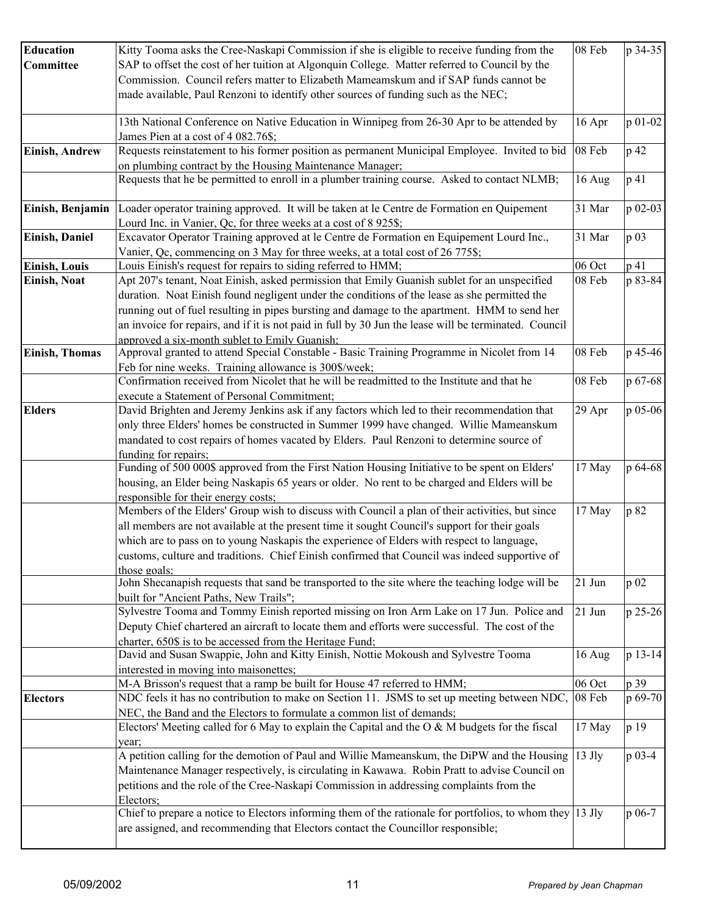| <b>Education</b>      | Kitty Tooma asks the Cree-Naskapi Commission if she is eligible to receive funding from the                                                    | 08 Feb   | p 34-35 |
|-----------------------|------------------------------------------------------------------------------------------------------------------------------------------------|----------|---------|
| Committee             | SAP to offset the cost of her tuition at Algonquin College. Matter referred to Council by the                                                  |          |         |
|                       | Commission. Council refers matter to Elizabeth Mameamskum and if SAP funds cannot be                                                           |          |         |
|                       |                                                                                                                                                |          |         |
|                       | made available, Paul Renzoni to identify other sources of funding such as the NEC;                                                             |          |         |
|                       | 13th National Conference on Native Education in Winnipeg from 26-30 Apr to be attended by                                                      | 16 Apr   | p 01-02 |
|                       | James Pien at a cost of 4 082.76\$;                                                                                                            |          |         |
| Einish, Andrew        | Requests reinstatement to his former position as permanent Municipal Employee. Invited to bid                                                  | 08 Feb   | p 42    |
|                       | on plumbing contract by the Housing Maintenance Manager;                                                                                       |          |         |
|                       | Requests that he be permitted to enroll in a plumber training course. Asked to contact NLMB;                                                   | 16 Aug   | p 41    |
| Einish, Benjamin      | Loader operator training approved. It will be taken at le Centre de Formation en Quipement                                                     | 31 Mar   | p 02-03 |
|                       | Lourd Inc. in Vanier, Qc, for three weeks at a cost of 8 925\$;                                                                                |          |         |
| Einish, Daniel        | Excavator Operator Training approved at le Centre de Formation en Equipement Lourd Inc.,                                                       | 31 Mar   | p 03    |
|                       | Vanier, Qc, commencing on 3 May for three weeks, at a total cost of 26 775\$;                                                                  |          |         |
| Einish, Louis         | Louis Einish's request for repairs to siding referred to HMM;                                                                                  | 06 Oct   | p 41    |
| <b>Einish, Noat</b>   | Apt 207's tenant, Noat Einish, asked permission that Emily Guanish sublet for an unspecified                                                   | 08 Feb   | p 83-84 |
|                       | duration. Noat Einish found negligent under the conditions of the lease as she permitted the                                                   |          |         |
|                       | running out of fuel resulting in pipes bursting and damage to the apartment. HMM to send her                                                   |          |         |
|                       | an invoice for repairs, and if it is not paid in full by 30 Jun the lease will be terminated. Council                                          |          |         |
|                       | approved a six-month sublet to Emily Guanish:                                                                                                  |          |         |
| <b>Einish, Thomas</b> | Approval granted to attend Special Constable - Basic Training Programme in Nicolet from 14                                                     | 08 Feb   | p 45-46 |
|                       | Feb for nine weeks. Training allowance is 300\$/week;                                                                                          |          |         |
|                       | Confirmation received from Nicolet that he will be readmitted to the Institute and that he                                                     | 08 Feb   | p 67-68 |
|                       | execute a Statement of Personal Commitment;                                                                                                    |          |         |
| <b>Elders</b>         | David Brighten and Jeremy Jenkins ask if any factors which led to their recommendation that                                                    | 29 Apr   | p 05-06 |
|                       | only three Elders' homes be constructed in Summer 1999 have changed. Willie Mameanskum                                                         |          |         |
|                       | mandated to cost repairs of homes vacated by Elders. Paul Renzoni to determine source of                                                       |          |         |
|                       | funding for repairs;                                                                                                                           |          |         |
|                       | Funding of 500 000\$ approved from the First Nation Housing Initiative to be spent on Elders'                                                  | 17 May   | p 64-68 |
|                       | housing, an Elder being Naskapis 65 years or older. No rent to be charged and Elders will be                                                   |          |         |
|                       | responsible for their energy costs;                                                                                                            |          |         |
|                       | Members of the Elders' Group wish to discuss with Council a plan of their activities, but since                                                | 17 May   | p 82    |
|                       | all members are not available at the present time it sought Council's support for their goals                                                  |          |         |
|                       | which are to pass on to young Naskapis the experience of Elders with respect to language,                                                      |          |         |
|                       | customs, culture and traditions. Chief Einish confirmed that Council was indeed supportive of                                                  |          |         |
|                       | those goals:                                                                                                                                   |          |         |
|                       | John Shecanapish requests that sand be transported to the site where the teaching lodge will be                                                | 21 Jun   | p 02    |
|                       | built for "Ancient Paths, New Trails";                                                                                                         |          |         |
|                       | Sylvestre Tooma and Tommy Einish reported missing on Iron Arm Lake on 17 Jun. Police and                                                       | 21 Jun   | p 25-26 |
|                       | Deputy Chief chartered an aircraft to locate them and efforts were successful. The cost of the                                                 |          |         |
|                       | charter, 650\$ is to be accessed from the Heritage Fund;<br>David and Susan Swappie, John and Kitty Einish, Nottie Mokoush and Sylvestre Tooma | 16 Aug   | p 13-14 |
|                       | interested in moving into maisonettes;                                                                                                         |          |         |
|                       | M-A Brisson's request that a ramp be built for House 47 referred to HMM;                                                                       | 06 Oct   | p 39    |
| <b>Electors</b>       | NDC feels it has no contribution to make on Section 11. JSMS to set up meeting between NDC,                                                    | 08 Feb   | p 69-70 |
|                       | NEC, the Band and the Electors to formulate a common list of demands;                                                                          |          |         |
|                       | Electors' Meeting called for 6 May to explain the Capital and the O & M budgets for the fiscal                                                 | 17 May   | p 19    |
|                       | year;                                                                                                                                          |          |         |
|                       | A petition calling for the demotion of Paul and Willie Mameanskum, the DiPW and the Housing                                                    | $13$ Jly | p 03-4  |
|                       | Maintenance Manager respectively, is circulating in Kawawa. Robin Pratt to advise Council on                                                   |          |         |
|                       | petitions and the role of the Cree-Naskapi Commission in addressing complaints from the                                                        |          |         |
|                       | Electors:                                                                                                                                      |          |         |
|                       | Chief to prepare a notice to Electors informing them of the rationale for portfolios, to whom they $ 13 \text{ Jly}$                           |          | p 06-7  |
|                       | are assigned, and recommending that Electors contact the Councillor responsible;                                                               |          |         |
|                       |                                                                                                                                                |          |         |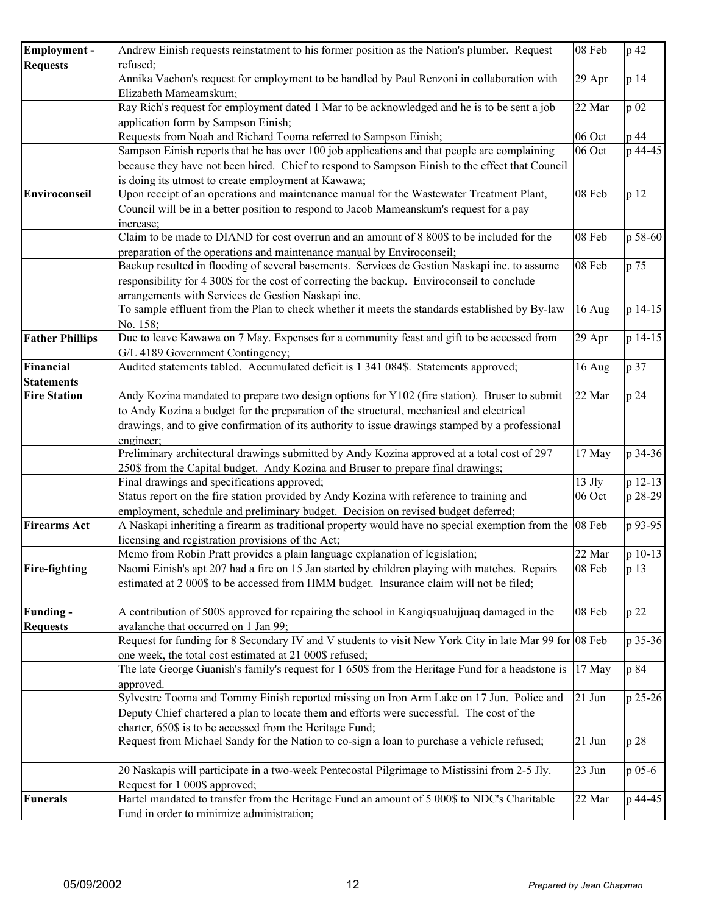| refused:<br>Annika Vachon's request for employment to be handled by Paul Renzoni in collaboration with<br>29 Apr<br>p 14<br>Elizabeth Mameamskum;<br>Ray Rich's request for employment dated 1 Mar to be acknowledged and he is to be sent a job<br>22 Mar<br>p 02<br>application form by Sampson Einish;<br>Requests from Noah and Richard Tooma referred to Sampson Einish;<br>06 Oct<br>p 44<br>p 44-45<br>Sampson Einish reports that he has over 100 job applications and that people are complaining<br>06 Oct<br>because they have not been hired. Chief to respond to Sampson Einish to the effect that Council<br>is doing its utmost to create employment at Kawawa;<br>Upon receipt of an operations and maintenance manual for the Wastewater Treatment Plant,<br>08 Feb<br>p 12<br>Enviroconseil<br>Council will be in a better position to respond to Jacob Mameanskum's request for a pay<br>increase;<br>Claim to be made to DIAND for cost overrun and an amount of 8 800\$ to be included for the<br>08 Feb<br>preparation of the operations and maintenance manual by Enviroconseil;<br>Backup resulted in flooding of several basements. Services de Gestion Naskapi inc. to assume<br>08 Feb<br>p 75<br>responsibility for 4 300\$ for the cost of correcting the backup. Enviroconseil to conclude<br>arrangements with Services de Gestion Naskapi inc.<br>To sample effluent from the Plan to check whether it meets the standards established by By-law<br>16 Aug<br>No. 158;<br>Due to leave Kawawa on 7 May. Expenses for a community feast and gift to be accessed from<br><b>Father Phillips</b><br>29 Apr<br>G/L 4189 Government Contingency;<br>Audited statements tabled. Accumulated deficit is 1 341 084\$. Statements approved;<br>p 37<br>Financial<br>16 Aug<br><b>Statements</b><br>Andy Kozina mandated to prepare two design options for Y102 (fire station). Bruser to submit<br>22 Mar<br>p 24<br><b>Fire Station</b><br>to Andy Kozina a budget for the preparation of the structural, mechanical and electrical<br>drawings, and to give confirmation of its authority to issue drawings stamped by a professional<br>engineer:<br>Preliminary architectural drawings submitted by Andy Kozina approved at a total cost of 297<br>17 May<br>250\$ from the Capital budget. Andy Kozina and Bruser to prepare final drawings;<br>Final drawings and specifications approved;<br>13 Jly<br>Status report on the fire station provided by Andy Kozina with reference to training and<br>06 Oct<br>employment, schedule and preliminary budget. Decision on revised budget deferred;<br>A Naskapi inheriting a firearm as traditional property would have no special exemption from the 08 Feb<br><b>Firearms Act</b><br>licensing and registration provisions of the Act;<br>Memo from Robin Pratt provides a plain language explanation of legislation;<br>22 Mar<br>Naomi Einish's apt 207 had a fire on 15 Jan started by children playing with matches. Repairs<br>08 Feb<br><b>Fire-fighting</b><br>p 13<br>estimated at 2 000\$ to be accessed from HMM budget. Insurance claim will not be filed;<br>A contribution of 500\$ approved for repairing the school in Kangigsualujjuaq damaged in the<br>08 Feb<br>p 22<br>Funding -<br>avalanche that occurred on 1 Jan 99;<br><b>Requests</b><br>Request for funding for 8 Secondary IV and V students to visit New York City in late Mar 99 for 08 Feb<br>one week, the total cost estimated at 21 000\$ refused;<br>The late George Guanish's family's request for 1 650\$ from the Heritage Fund for a headstone is<br>p 84<br>17 May<br>approved.<br>Sylvestre Tooma and Tommy Einish reported missing on Iron Arm Lake on 17 Jun. Police and<br>21 Jun<br>Deputy Chief chartered a plan to locate them and efforts were successful. The cost of the<br>charter, 650\$ is to be accessed from the Heritage Fund;<br>Request from Michael Sandy for the Nation to co-sign a loan to purchase a vehicle refused;<br>21 Jun<br>p 28<br>20 Naskapis will participate in a two-week Pentecostal Pilgrimage to Mistissini from 2-5 Jly.<br>23 Jun<br>p 05-6<br>Request for 1 000\$ approved;<br>Hartel mandated to transfer from the Heritage Fund an amount of 5 000\$ to NDC's Charitable<br>22 Mar<br><b>Funerals</b><br>p 44-45<br>Fund in order to minimize administration; | Employment -    | Andrew Einish requests reinstatment to his former position as the Nation's plumber. Request | 08 Feb | p 42 |
|------------------------------------------------------------------------------------------------------------------------------------------------------------------------------------------------------------------------------------------------------------------------------------------------------------------------------------------------------------------------------------------------------------------------------------------------------------------------------------------------------------------------------------------------------------------------------------------------------------------------------------------------------------------------------------------------------------------------------------------------------------------------------------------------------------------------------------------------------------------------------------------------------------------------------------------------------------------------------------------------------------------------------------------------------------------------------------------------------------------------------------------------------------------------------------------------------------------------------------------------------------------------------------------------------------------------------------------------------------------------------------------------------------------------------------------------------------------------------------------------------------------------------------------------------------------------------------------------------------------------------------------------------------------------------------------------------------------------------------------------------------------------------------------------------------------------------------------------------------------------------------------------------------------------------------------------------------------------------------------------------------------------------------------------------------------------------------------------------------------------------------------------------------------------------------------------------------------------------------------------------------------------------------------------------------------------------------------------------------------------------------------------------------------------------------------------------------------------------------------------------------------------------------------------------------------------------------------------------------------------------------------------------------------------------------------------------------------------------------------------------------------------------------------------------------------------------------------------------------------------------------------------------------------------------------------------------------------------------------------------------------------------------------------------------------------------------------------------------------------------------------------------------------------------------------------------------------------------------------------------------------------------------------------------------------------------------------------------------------------------------------------------------------------------------------------------------------------------------------------------------------------------------------------------------------------------------------------------------------------------------------------------------------------------------------------------------------------------------------------------------------------------------------------------------------------------------------------------------------------------------------------------------------------------------------------------------------------------------------------------------------------------------------------------------------------------------------------------------------------------------------------------------------------------------------------------------------------------------------------------------------------------------------------------------------------------------------------------------------------------------|-----------------|---------------------------------------------------------------------------------------------|--------|------|
| p 58-60<br>p 14-15<br>p 14-15<br>p 12-13<br>p 28-29<br>p 93-95                                                                                                                                                                                                                                                                                                                                                                                                                                                                                                                                                                                                                                                                                                                                                                                                                                                                                                                                                                                                                                                                                                                                                                                                                                                                                                                                                                                                                                                                                                                                                                                                                                                                                                                                                                                                                                                                                                                                                                                                                                                                                                                                                                                                                                                                                                                                                                                                                                                                                                                                                                                                                                                                                                                                                                                                                                                                                                                                                                                                                                                                                                                                                                                                                                                                                                                                                                                                                                                                                                                                                                                                                                                                                                                                                                                                                                                                                                                                                                                                                                                                                                                                                                                                                                                                                                               | <b>Requests</b> |                                                                                             |        |      |
|                                                                                                                                                                                                                                                                                                                                                                                                                                                                                                                                                                                                                                                                                                                                                                                                                                                                                                                                                                                                                                                                                                                                                                                                                                                                                                                                                                                                                                                                                                                                                                                                                                                                                                                                                                                                                                                                                                                                                                                                                                                                                                                                                                                                                                                                                                                                                                                                                                                                                                                                                                                                                                                                                                                                                                                                                                                                                                                                                                                                                                                                                                                                                                                                                                                                                                                                                                                                                                                                                                                                                                                                                                                                                                                                                                                                                                                                                                                                                                                                                                                                                                                                                                                                                                                                                                                                                                              |                 |                                                                                             |        |      |
|                                                                                                                                                                                                                                                                                                                                                                                                                                                                                                                                                                                                                                                                                                                                                                                                                                                                                                                                                                                                                                                                                                                                                                                                                                                                                                                                                                                                                                                                                                                                                                                                                                                                                                                                                                                                                                                                                                                                                                                                                                                                                                                                                                                                                                                                                                                                                                                                                                                                                                                                                                                                                                                                                                                                                                                                                                                                                                                                                                                                                                                                                                                                                                                                                                                                                                                                                                                                                                                                                                                                                                                                                                                                                                                                                                                                                                                                                                                                                                                                                                                                                                                                                                                                                                                                                                                                                                              |                 |                                                                                             |        |      |
|                                                                                                                                                                                                                                                                                                                                                                                                                                                                                                                                                                                                                                                                                                                                                                                                                                                                                                                                                                                                                                                                                                                                                                                                                                                                                                                                                                                                                                                                                                                                                                                                                                                                                                                                                                                                                                                                                                                                                                                                                                                                                                                                                                                                                                                                                                                                                                                                                                                                                                                                                                                                                                                                                                                                                                                                                                                                                                                                                                                                                                                                                                                                                                                                                                                                                                                                                                                                                                                                                                                                                                                                                                                                                                                                                                                                                                                                                                                                                                                                                                                                                                                                                                                                                                                                                                                                                                              |                 |                                                                                             |        |      |
|                                                                                                                                                                                                                                                                                                                                                                                                                                                                                                                                                                                                                                                                                                                                                                                                                                                                                                                                                                                                                                                                                                                                                                                                                                                                                                                                                                                                                                                                                                                                                                                                                                                                                                                                                                                                                                                                                                                                                                                                                                                                                                                                                                                                                                                                                                                                                                                                                                                                                                                                                                                                                                                                                                                                                                                                                                                                                                                                                                                                                                                                                                                                                                                                                                                                                                                                                                                                                                                                                                                                                                                                                                                                                                                                                                                                                                                                                                                                                                                                                                                                                                                                                                                                                                                                                                                                                                              |                 |                                                                                             |        |      |
| p 34-36<br>p 10-13                                                                                                                                                                                                                                                                                                                                                                                                                                                                                                                                                                                                                                                                                                                                                                                                                                                                                                                                                                                                                                                                                                                                                                                                                                                                                                                                                                                                                                                                                                                                                                                                                                                                                                                                                                                                                                                                                                                                                                                                                                                                                                                                                                                                                                                                                                                                                                                                                                                                                                                                                                                                                                                                                                                                                                                                                                                                                                                                                                                                                                                                                                                                                                                                                                                                                                                                                                                                                                                                                                                                                                                                                                                                                                                                                                                                                                                                                                                                                                                                                                                                                                                                                                                                                                                                                                                                                           |                 |                                                                                             |        |      |
|                                                                                                                                                                                                                                                                                                                                                                                                                                                                                                                                                                                                                                                                                                                                                                                                                                                                                                                                                                                                                                                                                                                                                                                                                                                                                                                                                                                                                                                                                                                                                                                                                                                                                                                                                                                                                                                                                                                                                                                                                                                                                                                                                                                                                                                                                                                                                                                                                                                                                                                                                                                                                                                                                                                                                                                                                                                                                                                                                                                                                                                                                                                                                                                                                                                                                                                                                                                                                                                                                                                                                                                                                                                                                                                                                                                                                                                                                                                                                                                                                                                                                                                                                                                                                                                                                                                                                                              |                 |                                                                                             |        |      |
|                                                                                                                                                                                                                                                                                                                                                                                                                                                                                                                                                                                                                                                                                                                                                                                                                                                                                                                                                                                                                                                                                                                                                                                                                                                                                                                                                                                                                                                                                                                                                                                                                                                                                                                                                                                                                                                                                                                                                                                                                                                                                                                                                                                                                                                                                                                                                                                                                                                                                                                                                                                                                                                                                                                                                                                                                                                                                                                                                                                                                                                                                                                                                                                                                                                                                                                                                                                                                                                                                                                                                                                                                                                                                                                                                                                                                                                                                                                                                                                                                                                                                                                                                                                                                                                                                                                                                                              |                 |                                                                                             |        |      |
|                                                                                                                                                                                                                                                                                                                                                                                                                                                                                                                                                                                                                                                                                                                                                                                                                                                                                                                                                                                                                                                                                                                                                                                                                                                                                                                                                                                                                                                                                                                                                                                                                                                                                                                                                                                                                                                                                                                                                                                                                                                                                                                                                                                                                                                                                                                                                                                                                                                                                                                                                                                                                                                                                                                                                                                                                                                                                                                                                                                                                                                                                                                                                                                                                                                                                                                                                                                                                                                                                                                                                                                                                                                                                                                                                                                                                                                                                                                                                                                                                                                                                                                                                                                                                                                                                                                                                                              |                 |                                                                                             |        |      |
|                                                                                                                                                                                                                                                                                                                                                                                                                                                                                                                                                                                                                                                                                                                                                                                                                                                                                                                                                                                                                                                                                                                                                                                                                                                                                                                                                                                                                                                                                                                                                                                                                                                                                                                                                                                                                                                                                                                                                                                                                                                                                                                                                                                                                                                                                                                                                                                                                                                                                                                                                                                                                                                                                                                                                                                                                                                                                                                                                                                                                                                                                                                                                                                                                                                                                                                                                                                                                                                                                                                                                                                                                                                                                                                                                                                                                                                                                                                                                                                                                                                                                                                                                                                                                                                                                                                                                                              |                 |                                                                                             |        |      |
|                                                                                                                                                                                                                                                                                                                                                                                                                                                                                                                                                                                                                                                                                                                                                                                                                                                                                                                                                                                                                                                                                                                                                                                                                                                                                                                                                                                                                                                                                                                                                                                                                                                                                                                                                                                                                                                                                                                                                                                                                                                                                                                                                                                                                                                                                                                                                                                                                                                                                                                                                                                                                                                                                                                                                                                                                                                                                                                                                                                                                                                                                                                                                                                                                                                                                                                                                                                                                                                                                                                                                                                                                                                                                                                                                                                                                                                                                                                                                                                                                                                                                                                                                                                                                                                                                                                                                                              |                 |                                                                                             |        |      |
|                                                                                                                                                                                                                                                                                                                                                                                                                                                                                                                                                                                                                                                                                                                                                                                                                                                                                                                                                                                                                                                                                                                                                                                                                                                                                                                                                                                                                                                                                                                                                                                                                                                                                                                                                                                                                                                                                                                                                                                                                                                                                                                                                                                                                                                                                                                                                                                                                                                                                                                                                                                                                                                                                                                                                                                                                                                                                                                                                                                                                                                                                                                                                                                                                                                                                                                                                                                                                                                                                                                                                                                                                                                                                                                                                                                                                                                                                                                                                                                                                                                                                                                                                                                                                                                                                                                                                                              |                 |                                                                                             |        |      |
|                                                                                                                                                                                                                                                                                                                                                                                                                                                                                                                                                                                                                                                                                                                                                                                                                                                                                                                                                                                                                                                                                                                                                                                                                                                                                                                                                                                                                                                                                                                                                                                                                                                                                                                                                                                                                                                                                                                                                                                                                                                                                                                                                                                                                                                                                                                                                                                                                                                                                                                                                                                                                                                                                                                                                                                                                                                                                                                                                                                                                                                                                                                                                                                                                                                                                                                                                                                                                                                                                                                                                                                                                                                                                                                                                                                                                                                                                                                                                                                                                                                                                                                                                                                                                                                                                                                                                                              |                 |                                                                                             |        |      |
|                                                                                                                                                                                                                                                                                                                                                                                                                                                                                                                                                                                                                                                                                                                                                                                                                                                                                                                                                                                                                                                                                                                                                                                                                                                                                                                                                                                                                                                                                                                                                                                                                                                                                                                                                                                                                                                                                                                                                                                                                                                                                                                                                                                                                                                                                                                                                                                                                                                                                                                                                                                                                                                                                                                                                                                                                                                                                                                                                                                                                                                                                                                                                                                                                                                                                                                                                                                                                                                                                                                                                                                                                                                                                                                                                                                                                                                                                                                                                                                                                                                                                                                                                                                                                                                                                                                                                                              |                 |                                                                                             |        |      |
|                                                                                                                                                                                                                                                                                                                                                                                                                                                                                                                                                                                                                                                                                                                                                                                                                                                                                                                                                                                                                                                                                                                                                                                                                                                                                                                                                                                                                                                                                                                                                                                                                                                                                                                                                                                                                                                                                                                                                                                                                                                                                                                                                                                                                                                                                                                                                                                                                                                                                                                                                                                                                                                                                                                                                                                                                                                                                                                                                                                                                                                                                                                                                                                                                                                                                                                                                                                                                                                                                                                                                                                                                                                                                                                                                                                                                                                                                                                                                                                                                                                                                                                                                                                                                                                                                                                                                                              |                 |                                                                                             |        |      |
|                                                                                                                                                                                                                                                                                                                                                                                                                                                                                                                                                                                                                                                                                                                                                                                                                                                                                                                                                                                                                                                                                                                                                                                                                                                                                                                                                                                                                                                                                                                                                                                                                                                                                                                                                                                                                                                                                                                                                                                                                                                                                                                                                                                                                                                                                                                                                                                                                                                                                                                                                                                                                                                                                                                                                                                                                                                                                                                                                                                                                                                                                                                                                                                                                                                                                                                                                                                                                                                                                                                                                                                                                                                                                                                                                                                                                                                                                                                                                                                                                                                                                                                                                                                                                                                                                                                                                                              |                 |                                                                                             |        |      |
|                                                                                                                                                                                                                                                                                                                                                                                                                                                                                                                                                                                                                                                                                                                                                                                                                                                                                                                                                                                                                                                                                                                                                                                                                                                                                                                                                                                                                                                                                                                                                                                                                                                                                                                                                                                                                                                                                                                                                                                                                                                                                                                                                                                                                                                                                                                                                                                                                                                                                                                                                                                                                                                                                                                                                                                                                                                                                                                                                                                                                                                                                                                                                                                                                                                                                                                                                                                                                                                                                                                                                                                                                                                                                                                                                                                                                                                                                                                                                                                                                                                                                                                                                                                                                                                                                                                                                                              |                 |                                                                                             |        |      |
|                                                                                                                                                                                                                                                                                                                                                                                                                                                                                                                                                                                                                                                                                                                                                                                                                                                                                                                                                                                                                                                                                                                                                                                                                                                                                                                                                                                                                                                                                                                                                                                                                                                                                                                                                                                                                                                                                                                                                                                                                                                                                                                                                                                                                                                                                                                                                                                                                                                                                                                                                                                                                                                                                                                                                                                                                                                                                                                                                                                                                                                                                                                                                                                                                                                                                                                                                                                                                                                                                                                                                                                                                                                                                                                                                                                                                                                                                                                                                                                                                                                                                                                                                                                                                                                                                                                                                                              |                 |                                                                                             |        |      |
|                                                                                                                                                                                                                                                                                                                                                                                                                                                                                                                                                                                                                                                                                                                                                                                                                                                                                                                                                                                                                                                                                                                                                                                                                                                                                                                                                                                                                                                                                                                                                                                                                                                                                                                                                                                                                                                                                                                                                                                                                                                                                                                                                                                                                                                                                                                                                                                                                                                                                                                                                                                                                                                                                                                                                                                                                                                                                                                                                                                                                                                                                                                                                                                                                                                                                                                                                                                                                                                                                                                                                                                                                                                                                                                                                                                                                                                                                                                                                                                                                                                                                                                                                                                                                                                                                                                                                                              |                 |                                                                                             |        |      |
|                                                                                                                                                                                                                                                                                                                                                                                                                                                                                                                                                                                                                                                                                                                                                                                                                                                                                                                                                                                                                                                                                                                                                                                                                                                                                                                                                                                                                                                                                                                                                                                                                                                                                                                                                                                                                                                                                                                                                                                                                                                                                                                                                                                                                                                                                                                                                                                                                                                                                                                                                                                                                                                                                                                                                                                                                                                                                                                                                                                                                                                                                                                                                                                                                                                                                                                                                                                                                                                                                                                                                                                                                                                                                                                                                                                                                                                                                                                                                                                                                                                                                                                                                                                                                                                                                                                                                                              |                 |                                                                                             |        |      |
|                                                                                                                                                                                                                                                                                                                                                                                                                                                                                                                                                                                                                                                                                                                                                                                                                                                                                                                                                                                                                                                                                                                                                                                                                                                                                                                                                                                                                                                                                                                                                                                                                                                                                                                                                                                                                                                                                                                                                                                                                                                                                                                                                                                                                                                                                                                                                                                                                                                                                                                                                                                                                                                                                                                                                                                                                                                                                                                                                                                                                                                                                                                                                                                                                                                                                                                                                                                                                                                                                                                                                                                                                                                                                                                                                                                                                                                                                                                                                                                                                                                                                                                                                                                                                                                                                                                                                                              |                 |                                                                                             |        |      |
|                                                                                                                                                                                                                                                                                                                                                                                                                                                                                                                                                                                                                                                                                                                                                                                                                                                                                                                                                                                                                                                                                                                                                                                                                                                                                                                                                                                                                                                                                                                                                                                                                                                                                                                                                                                                                                                                                                                                                                                                                                                                                                                                                                                                                                                                                                                                                                                                                                                                                                                                                                                                                                                                                                                                                                                                                                                                                                                                                                                                                                                                                                                                                                                                                                                                                                                                                                                                                                                                                                                                                                                                                                                                                                                                                                                                                                                                                                                                                                                                                                                                                                                                                                                                                                                                                                                                                                              |                 |                                                                                             |        |      |
|                                                                                                                                                                                                                                                                                                                                                                                                                                                                                                                                                                                                                                                                                                                                                                                                                                                                                                                                                                                                                                                                                                                                                                                                                                                                                                                                                                                                                                                                                                                                                                                                                                                                                                                                                                                                                                                                                                                                                                                                                                                                                                                                                                                                                                                                                                                                                                                                                                                                                                                                                                                                                                                                                                                                                                                                                                                                                                                                                                                                                                                                                                                                                                                                                                                                                                                                                                                                                                                                                                                                                                                                                                                                                                                                                                                                                                                                                                                                                                                                                                                                                                                                                                                                                                                                                                                                                                              |                 |                                                                                             |        |      |
|                                                                                                                                                                                                                                                                                                                                                                                                                                                                                                                                                                                                                                                                                                                                                                                                                                                                                                                                                                                                                                                                                                                                                                                                                                                                                                                                                                                                                                                                                                                                                                                                                                                                                                                                                                                                                                                                                                                                                                                                                                                                                                                                                                                                                                                                                                                                                                                                                                                                                                                                                                                                                                                                                                                                                                                                                                                                                                                                                                                                                                                                                                                                                                                                                                                                                                                                                                                                                                                                                                                                                                                                                                                                                                                                                                                                                                                                                                                                                                                                                                                                                                                                                                                                                                                                                                                                                                              |                 |                                                                                             |        |      |
|                                                                                                                                                                                                                                                                                                                                                                                                                                                                                                                                                                                                                                                                                                                                                                                                                                                                                                                                                                                                                                                                                                                                                                                                                                                                                                                                                                                                                                                                                                                                                                                                                                                                                                                                                                                                                                                                                                                                                                                                                                                                                                                                                                                                                                                                                                                                                                                                                                                                                                                                                                                                                                                                                                                                                                                                                                                                                                                                                                                                                                                                                                                                                                                                                                                                                                                                                                                                                                                                                                                                                                                                                                                                                                                                                                                                                                                                                                                                                                                                                                                                                                                                                                                                                                                                                                                                                                              |                 |                                                                                             |        |      |
|                                                                                                                                                                                                                                                                                                                                                                                                                                                                                                                                                                                                                                                                                                                                                                                                                                                                                                                                                                                                                                                                                                                                                                                                                                                                                                                                                                                                                                                                                                                                                                                                                                                                                                                                                                                                                                                                                                                                                                                                                                                                                                                                                                                                                                                                                                                                                                                                                                                                                                                                                                                                                                                                                                                                                                                                                                                                                                                                                                                                                                                                                                                                                                                                                                                                                                                                                                                                                                                                                                                                                                                                                                                                                                                                                                                                                                                                                                                                                                                                                                                                                                                                                                                                                                                                                                                                                                              |                 |                                                                                             |        |      |
|                                                                                                                                                                                                                                                                                                                                                                                                                                                                                                                                                                                                                                                                                                                                                                                                                                                                                                                                                                                                                                                                                                                                                                                                                                                                                                                                                                                                                                                                                                                                                                                                                                                                                                                                                                                                                                                                                                                                                                                                                                                                                                                                                                                                                                                                                                                                                                                                                                                                                                                                                                                                                                                                                                                                                                                                                                                                                                                                                                                                                                                                                                                                                                                                                                                                                                                                                                                                                                                                                                                                                                                                                                                                                                                                                                                                                                                                                                                                                                                                                                                                                                                                                                                                                                                                                                                                                                              |                 |                                                                                             |        |      |
|                                                                                                                                                                                                                                                                                                                                                                                                                                                                                                                                                                                                                                                                                                                                                                                                                                                                                                                                                                                                                                                                                                                                                                                                                                                                                                                                                                                                                                                                                                                                                                                                                                                                                                                                                                                                                                                                                                                                                                                                                                                                                                                                                                                                                                                                                                                                                                                                                                                                                                                                                                                                                                                                                                                                                                                                                                                                                                                                                                                                                                                                                                                                                                                                                                                                                                                                                                                                                                                                                                                                                                                                                                                                                                                                                                                                                                                                                                                                                                                                                                                                                                                                                                                                                                                                                                                                                                              |                 |                                                                                             |        |      |
|                                                                                                                                                                                                                                                                                                                                                                                                                                                                                                                                                                                                                                                                                                                                                                                                                                                                                                                                                                                                                                                                                                                                                                                                                                                                                                                                                                                                                                                                                                                                                                                                                                                                                                                                                                                                                                                                                                                                                                                                                                                                                                                                                                                                                                                                                                                                                                                                                                                                                                                                                                                                                                                                                                                                                                                                                                                                                                                                                                                                                                                                                                                                                                                                                                                                                                                                                                                                                                                                                                                                                                                                                                                                                                                                                                                                                                                                                                                                                                                                                                                                                                                                                                                                                                                                                                                                                                              |                 |                                                                                             |        |      |
|                                                                                                                                                                                                                                                                                                                                                                                                                                                                                                                                                                                                                                                                                                                                                                                                                                                                                                                                                                                                                                                                                                                                                                                                                                                                                                                                                                                                                                                                                                                                                                                                                                                                                                                                                                                                                                                                                                                                                                                                                                                                                                                                                                                                                                                                                                                                                                                                                                                                                                                                                                                                                                                                                                                                                                                                                                                                                                                                                                                                                                                                                                                                                                                                                                                                                                                                                                                                                                                                                                                                                                                                                                                                                                                                                                                                                                                                                                                                                                                                                                                                                                                                                                                                                                                                                                                                                                              |                 |                                                                                             |        |      |
|                                                                                                                                                                                                                                                                                                                                                                                                                                                                                                                                                                                                                                                                                                                                                                                                                                                                                                                                                                                                                                                                                                                                                                                                                                                                                                                                                                                                                                                                                                                                                                                                                                                                                                                                                                                                                                                                                                                                                                                                                                                                                                                                                                                                                                                                                                                                                                                                                                                                                                                                                                                                                                                                                                                                                                                                                                                                                                                                                                                                                                                                                                                                                                                                                                                                                                                                                                                                                                                                                                                                                                                                                                                                                                                                                                                                                                                                                                                                                                                                                                                                                                                                                                                                                                                                                                                                                                              |                 |                                                                                             |        |      |
|                                                                                                                                                                                                                                                                                                                                                                                                                                                                                                                                                                                                                                                                                                                                                                                                                                                                                                                                                                                                                                                                                                                                                                                                                                                                                                                                                                                                                                                                                                                                                                                                                                                                                                                                                                                                                                                                                                                                                                                                                                                                                                                                                                                                                                                                                                                                                                                                                                                                                                                                                                                                                                                                                                                                                                                                                                                                                                                                                                                                                                                                                                                                                                                                                                                                                                                                                                                                                                                                                                                                                                                                                                                                                                                                                                                                                                                                                                                                                                                                                                                                                                                                                                                                                                                                                                                                                                              |                 |                                                                                             |        |      |
|                                                                                                                                                                                                                                                                                                                                                                                                                                                                                                                                                                                                                                                                                                                                                                                                                                                                                                                                                                                                                                                                                                                                                                                                                                                                                                                                                                                                                                                                                                                                                                                                                                                                                                                                                                                                                                                                                                                                                                                                                                                                                                                                                                                                                                                                                                                                                                                                                                                                                                                                                                                                                                                                                                                                                                                                                                                                                                                                                                                                                                                                                                                                                                                                                                                                                                                                                                                                                                                                                                                                                                                                                                                                                                                                                                                                                                                                                                                                                                                                                                                                                                                                                                                                                                                                                                                                                                              |                 |                                                                                             |        |      |
|                                                                                                                                                                                                                                                                                                                                                                                                                                                                                                                                                                                                                                                                                                                                                                                                                                                                                                                                                                                                                                                                                                                                                                                                                                                                                                                                                                                                                                                                                                                                                                                                                                                                                                                                                                                                                                                                                                                                                                                                                                                                                                                                                                                                                                                                                                                                                                                                                                                                                                                                                                                                                                                                                                                                                                                                                                                                                                                                                                                                                                                                                                                                                                                                                                                                                                                                                                                                                                                                                                                                                                                                                                                                                                                                                                                                                                                                                                                                                                                                                                                                                                                                                                                                                                                                                                                                                                              |                 |                                                                                             |        |      |
|                                                                                                                                                                                                                                                                                                                                                                                                                                                                                                                                                                                                                                                                                                                                                                                                                                                                                                                                                                                                                                                                                                                                                                                                                                                                                                                                                                                                                                                                                                                                                                                                                                                                                                                                                                                                                                                                                                                                                                                                                                                                                                                                                                                                                                                                                                                                                                                                                                                                                                                                                                                                                                                                                                                                                                                                                                                                                                                                                                                                                                                                                                                                                                                                                                                                                                                                                                                                                                                                                                                                                                                                                                                                                                                                                                                                                                                                                                                                                                                                                                                                                                                                                                                                                                                                                                                                                                              |                 |                                                                                             |        |      |
|                                                                                                                                                                                                                                                                                                                                                                                                                                                                                                                                                                                                                                                                                                                                                                                                                                                                                                                                                                                                                                                                                                                                                                                                                                                                                                                                                                                                                                                                                                                                                                                                                                                                                                                                                                                                                                                                                                                                                                                                                                                                                                                                                                                                                                                                                                                                                                                                                                                                                                                                                                                                                                                                                                                                                                                                                                                                                                                                                                                                                                                                                                                                                                                                                                                                                                                                                                                                                                                                                                                                                                                                                                                                                                                                                                                                                                                                                                                                                                                                                                                                                                                                                                                                                                                                                                                                                                              |                 |                                                                                             |        |      |
|                                                                                                                                                                                                                                                                                                                                                                                                                                                                                                                                                                                                                                                                                                                                                                                                                                                                                                                                                                                                                                                                                                                                                                                                                                                                                                                                                                                                                                                                                                                                                                                                                                                                                                                                                                                                                                                                                                                                                                                                                                                                                                                                                                                                                                                                                                                                                                                                                                                                                                                                                                                                                                                                                                                                                                                                                                                                                                                                                                                                                                                                                                                                                                                                                                                                                                                                                                                                                                                                                                                                                                                                                                                                                                                                                                                                                                                                                                                                                                                                                                                                                                                                                                                                                                                                                                                                                                              |                 |                                                                                             |        |      |
|                                                                                                                                                                                                                                                                                                                                                                                                                                                                                                                                                                                                                                                                                                                                                                                                                                                                                                                                                                                                                                                                                                                                                                                                                                                                                                                                                                                                                                                                                                                                                                                                                                                                                                                                                                                                                                                                                                                                                                                                                                                                                                                                                                                                                                                                                                                                                                                                                                                                                                                                                                                                                                                                                                                                                                                                                                                                                                                                                                                                                                                                                                                                                                                                                                                                                                                                                                                                                                                                                                                                                                                                                                                                                                                                                                                                                                                                                                                                                                                                                                                                                                                                                                                                                                                                                                                                                                              |                 |                                                                                             |        |      |
| p 35-36<br>p 25-26                                                                                                                                                                                                                                                                                                                                                                                                                                                                                                                                                                                                                                                                                                                                                                                                                                                                                                                                                                                                                                                                                                                                                                                                                                                                                                                                                                                                                                                                                                                                                                                                                                                                                                                                                                                                                                                                                                                                                                                                                                                                                                                                                                                                                                                                                                                                                                                                                                                                                                                                                                                                                                                                                                                                                                                                                                                                                                                                                                                                                                                                                                                                                                                                                                                                                                                                                                                                                                                                                                                                                                                                                                                                                                                                                                                                                                                                                                                                                                                                                                                                                                                                                                                                                                                                                                                                                           |                 |                                                                                             |        |      |
|                                                                                                                                                                                                                                                                                                                                                                                                                                                                                                                                                                                                                                                                                                                                                                                                                                                                                                                                                                                                                                                                                                                                                                                                                                                                                                                                                                                                                                                                                                                                                                                                                                                                                                                                                                                                                                                                                                                                                                                                                                                                                                                                                                                                                                                                                                                                                                                                                                                                                                                                                                                                                                                                                                                                                                                                                                                                                                                                                                                                                                                                                                                                                                                                                                                                                                                                                                                                                                                                                                                                                                                                                                                                                                                                                                                                                                                                                                                                                                                                                                                                                                                                                                                                                                                                                                                                                                              |                 |                                                                                             |        |      |
|                                                                                                                                                                                                                                                                                                                                                                                                                                                                                                                                                                                                                                                                                                                                                                                                                                                                                                                                                                                                                                                                                                                                                                                                                                                                                                                                                                                                                                                                                                                                                                                                                                                                                                                                                                                                                                                                                                                                                                                                                                                                                                                                                                                                                                                                                                                                                                                                                                                                                                                                                                                                                                                                                                                                                                                                                                                                                                                                                                                                                                                                                                                                                                                                                                                                                                                                                                                                                                                                                                                                                                                                                                                                                                                                                                                                                                                                                                                                                                                                                                                                                                                                                                                                                                                                                                                                                                              |                 |                                                                                             |        |      |
|                                                                                                                                                                                                                                                                                                                                                                                                                                                                                                                                                                                                                                                                                                                                                                                                                                                                                                                                                                                                                                                                                                                                                                                                                                                                                                                                                                                                                                                                                                                                                                                                                                                                                                                                                                                                                                                                                                                                                                                                                                                                                                                                                                                                                                                                                                                                                                                                                                                                                                                                                                                                                                                                                                                                                                                                                                                                                                                                                                                                                                                                                                                                                                                                                                                                                                                                                                                                                                                                                                                                                                                                                                                                                                                                                                                                                                                                                                                                                                                                                                                                                                                                                                                                                                                                                                                                                                              |                 |                                                                                             |        |      |
|                                                                                                                                                                                                                                                                                                                                                                                                                                                                                                                                                                                                                                                                                                                                                                                                                                                                                                                                                                                                                                                                                                                                                                                                                                                                                                                                                                                                                                                                                                                                                                                                                                                                                                                                                                                                                                                                                                                                                                                                                                                                                                                                                                                                                                                                                                                                                                                                                                                                                                                                                                                                                                                                                                                                                                                                                                                                                                                                                                                                                                                                                                                                                                                                                                                                                                                                                                                                                                                                                                                                                                                                                                                                                                                                                                                                                                                                                                                                                                                                                                                                                                                                                                                                                                                                                                                                                                              |                 |                                                                                             |        |      |
|                                                                                                                                                                                                                                                                                                                                                                                                                                                                                                                                                                                                                                                                                                                                                                                                                                                                                                                                                                                                                                                                                                                                                                                                                                                                                                                                                                                                                                                                                                                                                                                                                                                                                                                                                                                                                                                                                                                                                                                                                                                                                                                                                                                                                                                                                                                                                                                                                                                                                                                                                                                                                                                                                                                                                                                                                                                                                                                                                                                                                                                                                                                                                                                                                                                                                                                                                                                                                                                                                                                                                                                                                                                                                                                                                                                                                                                                                                                                                                                                                                                                                                                                                                                                                                                                                                                                                                              |                 |                                                                                             |        |      |
|                                                                                                                                                                                                                                                                                                                                                                                                                                                                                                                                                                                                                                                                                                                                                                                                                                                                                                                                                                                                                                                                                                                                                                                                                                                                                                                                                                                                                                                                                                                                                                                                                                                                                                                                                                                                                                                                                                                                                                                                                                                                                                                                                                                                                                                                                                                                                                                                                                                                                                                                                                                                                                                                                                                                                                                                                                                                                                                                                                                                                                                                                                                                                                                                                                                                                                                                                                                                                                                                                                                                                                                                                                                                                                                                                                                                                                                                                                                                                                                                                                                                                                                                                                                                                                                                                                                                                                              |                 |                                                                                             |        |      |
|                                                                                                                                                                                                                                                                                                                                                                                                                                                                                                                                                                                                                                                                                                                                                                                                                                                                                                                                                                                                                                                                                                                                                                                                                                                                                                                                                                                                                                                                                                                                                                                                                                                                                                                                                                                                                                                                                                                                                                                                                                                                                                                                                                                                                                                                                                                                                                                                                                                                                                                                                                                                                                                                                                                                                                                                                                                                                                                                                                                                                                                                                                                                                                                                                                                                                                                                                                                                                                                                                                                                                                                                                                                                                                                                                                                                                                                                                                                                                                                                                                                                                                                                                                                                                                                                                                                                                                              |                 |                                                                                             |        |      |
|                                                                                                                                                                                                                                                                                                                                                                                                                                                                                                                                                                                                                                                                                                                                                                                                                                                                                                                                                                                                                                                                                                                                                                                                                                                                                                                                                                                                                                                                                                                                                                                                                                                                                                                                                                                                                                                                                                                                                                                                                                                                                                                                                                                                                                                                                                                                                                                                                                                                                                                                                                                                                                                                                                                                                                                                                                                                                                                                                                                                                                                                                                                                                                                                                                                                                                                                                                                                                                                                                                                                                                                                                                                                                                                                                                                                                                                                                                                                                                                                                                                                                                                                                                                                                                                                                                                                                                              |                 |                                                                                             |        |      |
|                                                                                                                                                                                                                                                                                                                                                                                                                                                                                                                                                                                                                                                                                                                                                                                                                                                                                                                                                                                                                                                                                                                                                                                                                                                                                                                                                                                                                                                                                                                                                                                                                                                                                                                                                                                                                                                                                                                                                                                                                                                                                                                                                                                                                                                                                                                                                                                                                                                                                                                                                                                                                                                                                                                                                                                                                                                                                                                                                                                                                                                                                                                                                                                                                                                                                                                                                                                                                                                                                                                                                                                                                                                                                                                                                                                                                                                                                                                                                                                                                                                                                                                                                                                                                                                                                                                                                                              |                 |                                                                                             |        |      |
|                                                                                                                                                                                                                                                                                                                                                                                                                                                                                                                                                                                                                                                                                                                                                                                                                                                                                                                                                                                                                                                                                                                                                                                                                                                                                                                                                                                                                                                                                                                                                                                                                                                                                                                                                                                                                                                                                                                                                                                                                                                                                                                                                                                                                                                                                                                                                                                                                                                                                                                                                                                                                                                                                                                                                                                                                                                                                                                                                                                                                                                                                                                                                                                                                                                                                                                                                                                                                                                                                                                                                                                                                                                                                                                                                                                                                                                                                                                                                                                                                                                                                                                                                                                                                                                                                                                                                                              |                 |                                                                                             |        |      |
|                                                                                                                                                                                                                                                                                                                                                                                                                                                                                                                                                                                                                                                                                                                                                                                                                                                                                                                                                                                                                                                                                                                                                                                                                                                                                                                                                                                                                                                                                                                                                                                                                                                                                                                                                                                                                                                                                                                                                                                                                                                                                                                                                                                                                                                                                                                                                                                                                                                                                                                                                                                                                                                                                                                                                                                                                                                                                                                                                                                                                                                                                                                                                                                                                                                                                                                                                                                                                                                                                                                                                                                                                                                                                                                                                                                                                                                                                                                                                                                                                                                                                                                                                                                                                                                                                                                                                                              |                 |                                                                                             |        |      |
|                                                                                                                                                                                                                                                                                                                                                                                                                                                                                                                                                                                                                                                                                                                                                                                                                                                                                                                                                                                                                                                                                                                                                                                                                                                                                                                                                                                                                                                                                                                                                                                                                                                                                                                                                                                                                                                                                                                                                                                                                                                                                                                                                                                                                                                                                                                                                                                                                                                                                                                                                                                                                                                                                                                                                                                                                                                                                                                                                                                                                                                                                                                                                                                                                                                                                                                                                                                                                                                                                                                                                                                                                                                                                                                                                                                                                                                                                                                                                                                                                                                                                                                                                                                                                                                                                                                                                                              |                 |                                                                                             |        |      |
|                                                                                                                                                                                                                                                                                                                                                                                                                                                                                                                                                                                                                                                                                                                                                                                                                                                                                                                                                                                                                                                                                                                                                                                                                                                                                                                                                                                                                                                                                                                                                                                                                                                                                                                                                                                                                                                                                                                                                                                                                                                                                                                                                                                                                                                                                                                                                                                                                                                                                                                                                                                                                                                                                                                                                                                                                                                                                                                                                                                                                                                                                                                                                                                                                                                                                                                                                                                                                                                                                                                                                                                                                                                                                                                                                                                                                                                                                                                                                                                                                                                                                                                                                                                                                                                                                                                                                                              |                 |                                                                                             |        |      |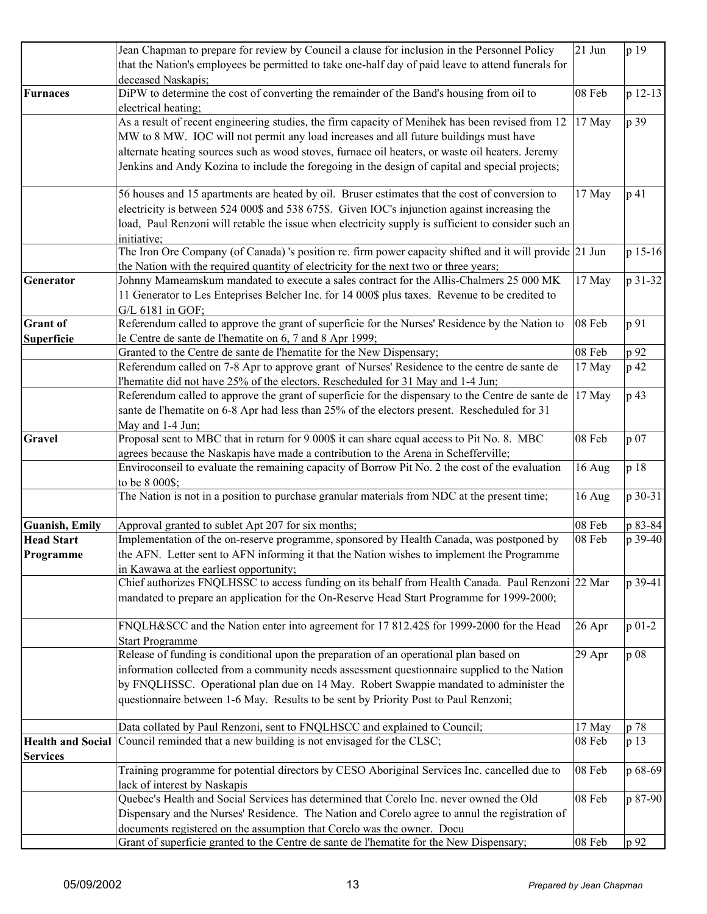|                          | Jean Chapman to prepare for review by Council a clause for inclusion in the Personnel Policy                       | $21$ Jun | p 19       |
|--------------------------|--------------------------------------------------------------------------------------------------------------------|----------|------------|
|                          | that the Nation's employees be permitted to take one-half day of paid leave to attend funerals for                 |          |            |
|                          | deceased Naskapis;                                                                                                 |          |            |
| <b>Furnaces</b>          | DiPW to determine the cost of converting the remainder of the Band's housing from oil to                           | 08 Feb   | p 12-13    |
|                          | electrical heating;                                                                                                |          |            |
|                          | As a result of recent engineering studies, the firm capacity of Menihek has been revised from 12                   |          |            |
|                          |                                                                                                                    | 17 May   | p 39       |
|                          | MW to 8 MW. IOC will not permit any load increases and all future buildings must have                              |          |            |
|                          | alternate heating sources such as wood stoves, furnace oil heaters, or waste oil heaters. Jeremy                   |          |            |
|                          | Jenkins and Andy Kozina to include the foregoing in the design of capital and special projects;                    |          |            |
|                          | 56 houses and 15 apartments are heated by oil. Bruser estimates that the cost of conversion to                     | 17 May   | p 41       |
|                          | electricity is between 524 000\$ and 538 675\$. Given IOC's injunction against increasing the                      |          |            |
|                          | load, Paul Renzoni will retable the issue when electricity supply is sufficient to consider such an<br>initiative: |          |            |
|                          | The Iron Ore Company (of Canada) 's position re. firm power capacity shifted and it will provide 21 Jun            |          | p 15-16    |
|                          |                                                                                                                    |          |            |
|                          | the Nation with the required quantity of electricity for the next two or three years;                              |          |            |
| Generator                | Johnny Mameamskum mandated to execute a sales contract for the Allis-Chalmers 25 000 MK                            | 17 May   | p 31-32    |
|                          | 11 Generator to Les Enteprises Belcher Inc. for 14 000\$ plus taxes. Revenue to be credited to                     |          |            |
|                          | G/L 6181 in GOF;                                                                                                   |          |            |
| <b>Grant</b> of          | Referendum called to approve the grant of superficie for the Nurses' Residence by the Nation to                    | 08 Feb   | p 91       |
| Superficie               | le Centre de sante de l'hematite on 6, 7 and 8 Apr 1999;                                                           |          |            |
|                          | Granted to the Centre de sante de l'hematite for the New Dispensary;                                               | 08 Feb   | p 92       |
|                          | Referendum called on 7-8 Apr to approve grant of Nurses' Residence to the centre de sante de                       | 17 May   | p 42       |
|                          | l'hematite did not have 25% of the electors. Rescheduled for 31 May and 1-4 Jun;                                   |          |            |
|                          | Referendum called to approve the grant of superficie for the dispensary to the Centre de sante de                  | 17 May   | p 43       |
|                          | sante de l'hematite on 6-8 Apr had less than 25% of the electors present. Rescheduled for 31                       |          |            |
|                          | May and 1-4 Jun;                                                                                                   |          |            |
| Gravel                   | Proposal sent to MBC that in return for 9 000\$ it can share equal access to Pit No. 8. MBC                        | 08 Feb   | p 07       |
|                          | agrees because the Naskapis have made a contribution to the Arena in Schefferville;                                |          |            |
|                          |                                                                                                                    |          | p 18       |
|                          | Enviroconseil to evaluate the remaining capacity of Borrow Pit No. 2 the cost of the evaluation                    | 16 Aug   |            |
|                          | to be 8 000\$;                                                                                                     |          |            |
|                          | The Nation is not in a position to purchase granular materials from NDC at the present time;                       | 16 Aug   | p 30-31    |
| <b>Guanish, Emily</b>    | Approval granted to sublet Apt 207 for six months;                                                                 | 08 Feb   | p 83-84    |
| <b>Head Start</b>        | Implementation of the on-reserve programme, sponsored by Health Canada, was postponed by                           | 08 Feb   | p 39-40    |
| Programme                | the AFN. Letter sent to AFN informing it that the Nation wishes to implement the Programme                         |          |            |
|                          | in Kawawa at the earliest opportunity;                                                                             |          |            |
|                          | Chief authorizes FNQLHSSC to access funding on its behalf from Health Canada. Paul Renzoni 22 Mar                  |          | p 39-41    |
|                          |                                                                                                                    |          |            |
|                          | mandated to prepare an application for the On-Reserve Head Start Programme for 1999-2000;                          |          |            |
|                          | FNQLH&SCC and the Nation enter into agreement for 17 812.42\$ for 1999-2000 for the Head                           | 26 Apr   | $p_{01-2}$ |
|                          | <b>Start Programme</b>                                                                                             |          |            |
|                          | Release of funding is conditional upon the preparation of an operational plan based on                             | 29 Apr   | p 08       |
|                          | information collected from a community needs assessment questionnaire supplied to the Nation                       |          |            |
|                          | by FNQLHSSC. Operational plan due on 14 May. Robert Swappie mandated to administer the                             |          |            |
|                          | questionnaire between 1-6 May. Results to be sent by Priority Post to Paul Renzoni;                                |          |            |
|                          |                                                                                                                    |          |            |
|                          | Data collated by Paul Renzoni, sent to FNQLHSCC and explained to Council;                                          | 17 May   | p 78       |
| <b>Health and Social</b> | Council reminded that a new building is not envisaged for the CLSC;                                                | 08 Feb   | p 13       |
|                          |                                                                                                                    |          |            |
| <b>Services</b>          |                                                                                                                    |          |            |
|                          | Training programme for potential directors by CESO Aboriginal Services Inc. cancelled due to                       | 08 Feb   | p 68-69    |
|                          | lack of interest by Naskapis                                                                                       |          |            |
|                          | Quebec's Health and Social Services has determined that Corelo Inc. never owned the Old                            | 08 Feb   | p 87-90    |
|                          | Dispensary and the Nurses' Residence. The Nation and Corelo agree to annul the registration of                     |          |            |
|                          | documents registered on the assumption that Corelo was the owner. Docu                                             |          |            |
|                          | Grant of superficie granted to the Centre de sante de l'hematite for the New Dispensary;                           | 08 Feb   | p 92       |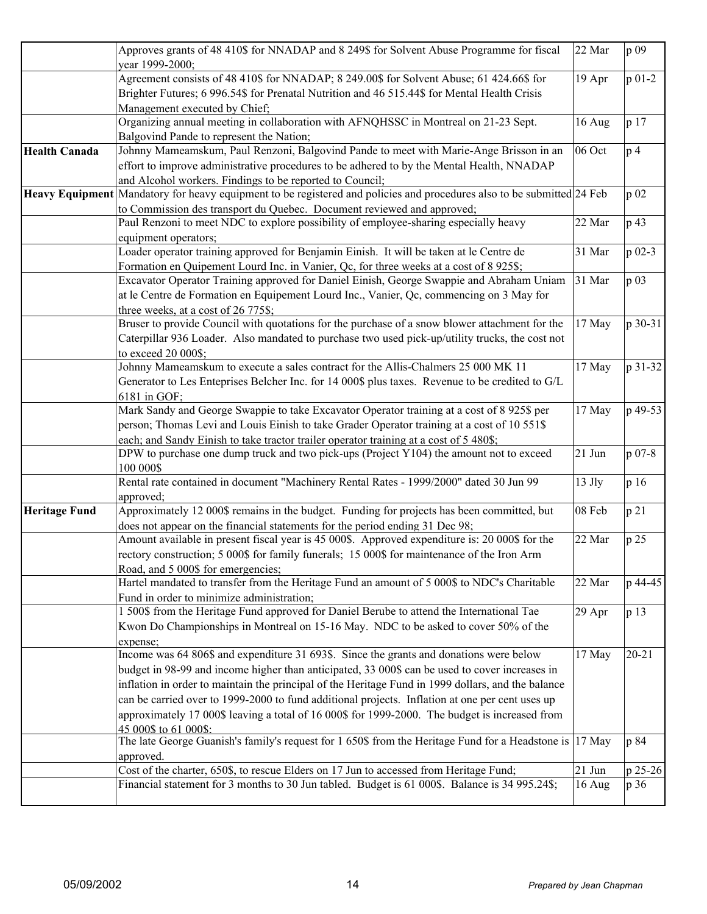|                        | Approves grants of 48 410\$ for NNADAP and 8 249\$ for Solvent Abuse Programme for fiscal                                                                                                                                                                                                                                                                                                                                                                                                                                     | 22 Mar           | p 09            |
|------------------------|-------------------------------------------------------------------------------------------------------------------------------------------------------------------------------------------------------------------------------------------------------------------------------------------------------------------------------------------------------------------------------------------------------------------------------------------------------------------------------------------------------------------------------|------------------|-----------------|
|                        | year 1999-2000;<br>Agreement consists of 48 410\$ for NNADAP; 8 249.00\$ for Solvent Abuse; 61 424.66\$ for<br>Brighter Futures; 6 996.54\$ for Prenatal Nutrition and 46 515.44\$ for Mental Health Crisis                                                                                                                                                                                                                                                                                                                   | 19 Apr           | $p 01-2$        |
|                        | Management executed by Chief;<br>Organizing annual meeting in collaboration with AFNQHSSC in Montreal on 21-23 Sept.<br>Balgovind Pande to represent the Nation;                                                                                                                                                                                                                                                                                                                                                              | 16 Aug           | p 17            |
| <b>Health Canada</b>   | Johnny Mameamskum, Paul Renzoni, Balgovind Pande to meet with Marie-Ange Brisson in an<br>effort to improve administrative procedures to be adhered to by the Mental Health, NNADAP<br>and Alcohol workers. Findings to be reported to Council;                                                                                                                                                                                                                                                                               | 06 Oct           | p <sub>4</sub>  |
| <b>Heavy Equipment</b> | Mandatory for heavy equipment to be registered and policies and procedures also to be submitted 24 Feb<br>to Commission des transport du Quebec. Document reviewed and approved;                                                                                                                                                                                                                                                                                                                                              |                  | p 02            |
|                        | Paul Renzoni to meet NDC to explore possibility of employee-sharing especially heavy<br>equipment operators;                                                                                                                                                                                                                                                                                                                                                                                                                  | 22 Mar           | p 43            |
|                        | Loader operator training approved for Benjamin Einish. It will be taken at le Centre de<br>Formation en Quipement Lourd Inc. in Vanier, Qc, for three weeks at a cost of 8 925\$;                                                                                                                                                                                                                                                                                                                                             | 31 Mar           | p 02-3          |
|                        | Excavator Operator Training approved for Daniel Einish, George Swappie and Abraham Uniam<br>at le Centre de Formation en Equipement Lourd Inc., Vanier, Qc, commencing on 3 May for<br>three weeks, at a cost of 26 775\$;                                                                                                                                                                                                                                                                                                    | 31 Mar           | p 03            |
|                        | Bruser to provide Council with quotations for the purchase of a snow blower attachment for the<br>Caterpillar 936 Loader. Also mandated to purchase two used pick-up/utility trucks, the cost not<br>to exceed 20 000\$;                                                                                                                                                                                                                                                                                                      | 17 May           | p 30-31         |
|                        | Johnny Mameamskum to execute a sales contract for the Allis-Chalmers 25 000 MK 11<br>Generator to Les Enteprises Belcher Inc. for 14 000\$ plus taxes. Revenue to be credited to G/L<br>6181 in GOF;                                                                                                                                                                                                                                                                                                                          | 17 May           | p 31-32         |
|                        | Mark Sandy and George Swappie to take Excavator Operator training at a cost of 8 925\$ per<br>person; Thomas Levi and Louis Einish to take Grader Operator training at a cost of 10 551\$<br>each; and Sandy Einish to take tractor trailer operator training at a cost of 5 480\$;                                                                                                                                                                                                                                           | 17 May           | p 49-53         |
|                        | DPW to purchase one dump truck and two pick-ups (Project Y104) the amount not to exceed<br>100 000\$                                                                                                                                                                                                                                                                                                                                                                                                                          | 21 Jun           | p 07-8          |
|                        | Rental rate contained in document "Machinery Rental Rates - 1999/2000" dated 30 Jun 99<br>approved;                                                                                                                                                                                                                                                                                                                                                                                                                           | 13 Jly           | p 16            |
| <b>Heritage Fund</b>   | Approximately 12 000\$ remains in the budget. Funding for projects has been committed, but<br>does not appear on the financial statements for the period ending 31 Dec 98;                                                                                                                                                                                                                                                                                                                                                    | 08 Feb           | p 21            |
|                        | Amount available in present fiscal year is 45 000\$. Approved expenditure is: 20 000\$ for the<br>rectory construction; 5 000\$ for family funerals; 15 000\$ for maintenance of the Iron Arm<br>Road, and 5 000\$ for emergencies;                                                                                                                                                                                                                                                                                           | 22 Mar           | p 25            |
|                        | Hartel mandated to transfer from the Heritage Fund an amount of 5 000\$ to NDC's Charitable<br>Fund in order to minimize administration;                                                                                                                                                                                                                                                                                                                                                                                      | 22 Mar           | p 44-45         |
|                        | 1 500\$ from the Heritage Fund approved for Daniel Berube to attend the International Tae<br>Kwon Do Championships in Montreal on 15-16 May. NDC to be asked to cover 50% of the<br>expense;                                                                                                                                                                                                                                                                                                                                  | 29 Apr           | p 13            |
|                        | Income was 64 806\$ and expenditure 31 693\$. Since the grants and donations were below<br>budget in 98-99 and income higher than anticipated, 33 000\$ can be used to cover increases in<br>inflation in order to maintain the principal of the Heritage Fund in 1999 dollars, and the balance<br>can be carried over to 1999-2000 to fund additional projects. Inflation at one per cent uses up<br>approximately 17 000\$ leaving a total of 16 000\$ for 1999-2000. The budget is increased from<br>45 000\$ to 61 000\$: | 17 May           | $20 - 21$       |
|                        | The late George Guanish's family's request for 1 650\$ from the Heritage Fund for a Headstone is 17 May<br>approved.                                                                                                                                                                                                                                                                                                                                                                                                          |                  | p 84            |
|                        | Cost of the charter, 650\$, to rescue Elders on 17 Jun to accessed from Heritage Fund;<br>Financial statement for 3 months to 30 Jun tabled. Budget is 61 000\$. Balance is 34 995.24\$;                                                                                                                                                                                                                                                                                                                                      | 21 Jun<br>16 Aug | p 25-26<br>p 36 |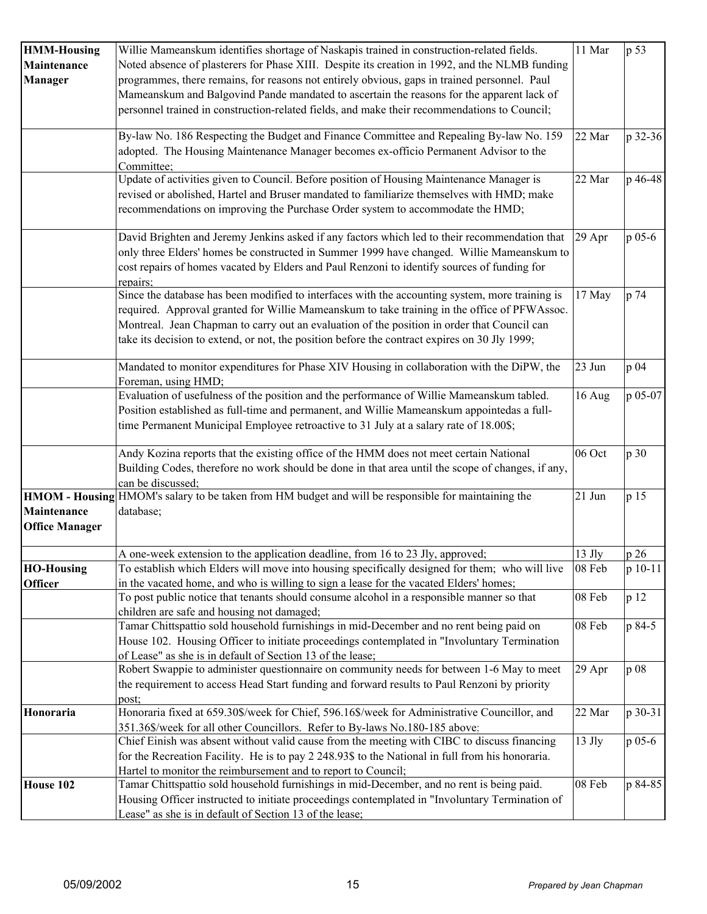| <b>HMM-Housing</b>    | Willie Mameanskum identifies shortage of Naskapis trained in construction-related fields.           | 11 Mar   | p 53    |
|-----------------------|-----------------------------------------------------------------------------------------------------|----------|---------|
| Maintenance           | Noted absence of plasterers for Phase XIII. Despite its creation in 1992, and the NLMB funding      |          |         |
| <b>Manager</b>        | programmes, there remains, for reasons not entirely obvious, gaps in trained personnel. Paul        |          |         |
|                       | Mameanskum and Balgovind Pande mandated to ascertain the reasons for the apparent lack of           |          |         |
|                       | personnel trained in construction-related fields, and make their recommendations to Council;        |          |         |
|                       |                                                                                                     |          |         |
|                       | By-law No. 186 Respecting the Budget and Finance Committee and Repealing By-law No. 159             | 22 Mar   | p 32-36 |
|                       | adopted. The Housing Maintenance Manager becomes ex-officio Permanent Advisor to the                |          |         |
|                       | Committee;                                                                                          |          |         |
|                       | Update of activities given to Council. Before position of Housing Maintenance Manager is            | 22 Mar   | p 46-48 |
|                       | revised or abolished, Hartel and Bruser mandated to familiarize themselves with HMD; make           |          |         |
|                       | recommendations on improving the Purchase Order system to accommodate the HMD;                      |          |         |
|                       |                                                                                                     |          |         |
|                       | David Brighten and Jeremy Jenkins asked if any factors which led to their recommendation that       | 29 Apr   | p 05-6  |
|                       | only three Elders' homes be constructed in Summer 1999 have changed. Willie Mameanskum to           |          |         |
|                       | cost repairs of homes vacated by Elders and Paul Renzoni to identify sources of funding for         |          |         |
|                       | repairs;                                                                                            |          |         |
|                       | Since the database has been modified to interfaces with the accounting system, more training is     | 17 May   | p 74    |
|                       | required. Approval granted for Willie Mameanskum to take training in the office of PFWAssoc.        |          |         |
|                       | Montreal. Jean Chapman to carry out an evaluation of the position in order that Council can         |          |         |
|                       | take its decision to extend, or not, the position before the contract expires on 30 Jly 1999;       |          |         |
|                       |                                                                                                     |          |         |
|                       | Mandated to monitor expenditures for Phase XIV Housing in collaboration with the DiPW, the          | 23 Jun   | p 04    |
|                       | Foreman, using HMD;                                                                                 |          |         |
|                       | Evaluation of usefulness of the position and the performance of Willie Mameanskum tabled.           | 16 Aug   | p 05-07 |
|                       | Position established as full-time and permanent, and Willie Mameanskum appointedas a full-          |          |         |
|                       | time Permanent Municipal Employee retroactive to 31 July at a salary rate of 18.00\$;               |          |         |
|                       | Andy Kozina reports that the existing office of the HMM does not meet certain National              | 06 Oct   | p 30    |
|                       | Building Codes, therefore no work should be done in that area until the scope of changes, if any,   |          |         |
|                       | can be discussed;                                                                                   |          |         |
|                       | HMOM - Housing HMOM's salary to be taken from HM budget and will be responsible for maintaining the | 21 Jun   | p 15    |
| <b>Maintenance</b>    | database;                                                                                           |          |         |
| <b>Office Manager</b> |                                                                                                     |          |         |
|                       |                                                                                                     |          |         |
|                       | A one-week extension to the application deadline, from 16 to 23 Jly, approved;                      | 13 Jly   | p 26    |
| <b>HO-Housing</b>     | To establish which Elders will move into housing specifically designed for them; who will live      | 08 Feb   | p 10-11 |
| <b>Officer</b>        | in the vacated home, and who is willing to sign a lease for the vacated Elders' homes;              |          |         |
|                       | To post public notice that tenants should consume alcohol in a responsible manner so that           | 08 Feb   | p 12    |
|                       | children are safe and housing not damaged;                                                          |          |         |
|                       | Tamar Chittspattio sold household furnishings in mid-December and no rent being paid on             | 08 Feb   | p 84-5  |
|                       | House 102. Housing Officer to initiate proceedings contemplated in "Involuntary Termination         |          |         |
|                       | of Lease" as she is in default of Section 13 of the lease;                                          |          |         |
|                       | Robert Swappie to administer questionnaire on community needs for between 1-6 May to meet           | 29 Apr   | p 08    |
|                       | the requirement to access Head Start funding and forward results to Paul Renzoni by priority        |          |         |
|                       | post;                                                                                               |          |         |
| Honoraria             | Honoraria fixed at 659.30\$/week for Chief, 596.16\$/week for Administrative Councillor, and        | 22 Mar   | p 30-31 |
|                       | 351.36\$/week for all other Councillors. Refer to By-laws No.180-185 above:                         |          |         |
|                       | Chief Einish was absent without valid cause from the meeting with CIBC to discuss financing         | $13$ Jly | p 05-6  |
|                       | for the Recreation Facility. He is to pay 2 248.93\$ to the National in full from his honoraria.    |          |         |
|                       | Hartel to monitor the reimbursement and to report to Council;                                       |          |         |
| House 102             | Tamar Chittspattio sold household furnishings in mid-December, and no rent is being paid.           | 08 Feb   | p 84-85 |
|                       | Housing Officer instructed to initiate proceedings contemplated in "Involuntary Termination of      |          |         |
|                       | Lease" as she is in default of Section 13 of the lease;                                             |          |         |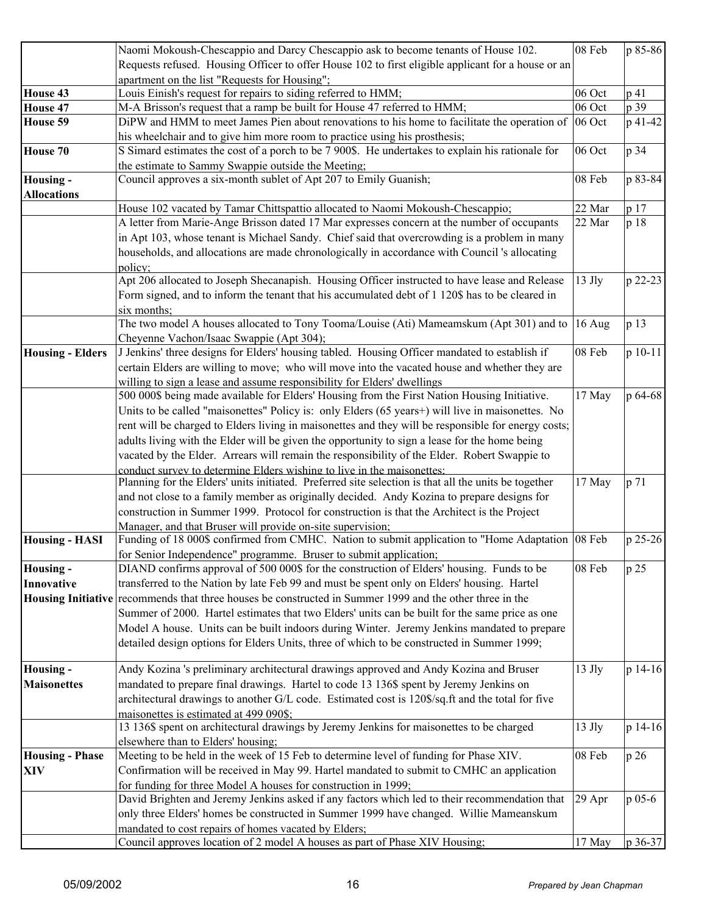|                           | Naomi Mokoush-Chescappio and Darcy Chescappio ask to become tenants of House 102.                             | 08 Feb   | p 85-86 |
|---------------------------|---------------------------------------------------------------------------------------------------------------|----------|---------|
|                           | Requests refused. Housing Officer to offer House 102 to first eligible applicant for a house or an            |          |         |
|                           | apartment on the list "Requests for Housing";                                                                 |          |         |
| House 43                  | Louis Einish's request for repairs to siding referred to HMM;                                                 | 06 Oct   | p 41    |
| House 47                  | M-A Brisson's request that a ramp be built for House 47 referred to HMM;                                      | 06 Oct   | p 39    |
| House 59                  | DiPW and HMM to meet James Pien about renovations to his home to facilitate the operation of                  | 06 Oct   | p 41-42 |
|                           | his wheelchair and to give him more room to practice using his prosthesis;                                    |          |         |
| House 70                  | S Simard estimates the cost of a porch to be 7 900\$. He undertakes to explain his rationale for              | 06 Oct   | p 34    |
|                           | the estimate to Sammy Swappie outside the Meeting;                                                            |          |         |
| Housing -                 | Council approves a six-month sublet of Apt 207 to Emily Guanish;                                              | 08 Feb   | p 83-84 |
| <b>Allocations</b>        |                                                                                                               |          |         |
|                           | House 102 vacated by Tamar Chittspattio allocated to Naomi Mokoush-Chescappio;                                | 22 Mar   | p 17    |
|                           | A letter from Marie-Ange Brisson dated 17 Mar expresses concern at the number of occupants                    | 22 Mar   | p 18    |
|                           | in Apt 103, whose tenant is Michael Sandy. Chief said that overcrowding is a problem in many                  |          |         |
|                           | households, and allocations are made chronologically in accordance with Council 's allocating                 |          |         |
|                           | policy;                                                                                                       |          |         |
|                           | Apt 206 allocated to Joseph Shecanapish. Housing Officer instructed to have lease and Release                 | $13$ Jly | p 22-23 |
|                           |                                                                                                               |          |         |
|                           | Form signed, and to inform the tenant that his accumulated debt of 1 120\$ has to be cleared in               |          |         |
|                           | six months;<br>The two model A houses allocated to Tony Tooma/Louise (Ati) Mameamskum (Apt 301) and to 16 Aug |          |         |
|                           |                                                                                                               |          | p 13    |
|                           | Cheyenne Vachon/Isaac Swappie (Apt 304);                                                                      |          |         |
| <b>Housing - Elders</b>   | J Jenkins' three designs for Elders' housing tabled. Housing Officer mandated to establish if                 | 08 Feb   | p 10-11 |
|                           | certain Elders are willing to move; who will move into the vacated house and whether they are                 |          |         |
|                           | willing to sign a lease and assume responsibility for Elders' dwellings                                       |          |         |
|                           | 500 000\$ being made available for Elders' Housing from the First Nation Housing Initiative.                  | 17 May   | p 64-68 |
|                           | Units to be called "maisonettes" Policy is: only Elders (65 years+) will live in maisonettes. No              |          |         |
|                           | rent will be charged to Elders living in maisonettes and they will be responsible for energy costs;           |          |         |
|                           | adults living with the Elder will be given the opportunity to sign a lease for the home being                 |          |         |
|                           | vacated by the Elder. Arrears will remain the responsibility of the Elder. Robert Swappie to                  |          |         |
|                           | conduct survey to determine Elders wishing to live in the maisonettes:                                        |          |         |
|                           | Planning for the Elders' units initiated. Preferred site selection is that all the units be together          | 17 May   | p 71    |
|                           | and not close to a family member as originally decided. Andy Kozina to prepare designs for                    |          |         |
|                           | construction in Summer 1999. Protocol for construction is that the Architect is the Project                   |          |         |
|                           | Manager, and that Bruser will provide on-site supervision;                                                    |          |         |
| <b>Housing - HASI</b>     | Funding of 18 000\$ confirmed from CMHC. Nation to submit application to "Home Adaptation 08 Feb              |          | p 25-26 |
|                           | for Senior Independence" programme. Bruser to submit application;                                             |          |         |
| Housing -                 | DIAND confirms approval of 500 000\$ for the construction of Elders' housing. Funds to be                     | 08 Feb   | p 25    |
| Innovative                | transferred to the Nation by late Feb 99 and must be spent only on Elders' housing. Hartel                    |          |         |
| <b>Housing Initiative</b> | recommends that three houses be constructed in Summer 1999 and the other three in the                         |          |         |
|                           | Summer of 2000. Hartel estimates that two Elders' units can be built for the same price as one                |          |         |
|                           | Model A house. Units can be built indoors during Winter. Jeremy Jenkins mandated to prepare                   |          |         |
|                           | detailed design options for Elders Units, three of which to be constructed in Summer 1999;                    |          |         |
|                           |                                                                                                               |          |         |
| <b>Housing -</b>          | Andy Kozina 's preliminary architectural drawings approved and Andy Kozina and Bruser                         | $13$ Jly | p 14-16 |
| <b>Maisonettes</b>        | mandated to prepare final drawings. Hartel to code 13 136\$ spent by Jeremy Jenkins on                        |          |         |
|                           | architectural drawings to another G/L code. Estimated cost is 120\$/sq.ft and the total for five              |          |         |
|                           | maisonettes is estimated at 499 090\$:                                                                        |          |         |
|                           | 13 136\$ spent on architectural drawings by Jeremy Jenkins for maisonettes to be charged                      | $13$ Jly | p 14-16 |
|                           | elsewhere than to Elders' housing;                                                                            |          |         |
| <b>Housing - Phase</b>    | Meeting to be held in the week of 15 Feb to determine level of funding for Phase XIV.                         | 08 Feb   | p 26    |
| <b>XIV</b>                | Confirmation will be received in May 99. Hartel mandated to submit to CMHC an application                     |          |         |
|                           | for funding for three Model A houses for construction in 1999;                                                |          |         |
|                           | David Brighten and Jeremy Jenkins asked if any factors which led to their recommendation that                 | 29 Apr   | p 05-6  |
|                           | only three Elders' homes be constructed in Summer 1999 have changed. Willie Mameanskum                        |          |         |
|                           | mandated to cost repairs of homes vacated by Elders;                                                          |          |         |
|                           | Council approves location of 2 model A houses as part of Phase XIV Housing;                                   | 17 May   | p 36-37 |
|                           |                                                                                                               |          |         |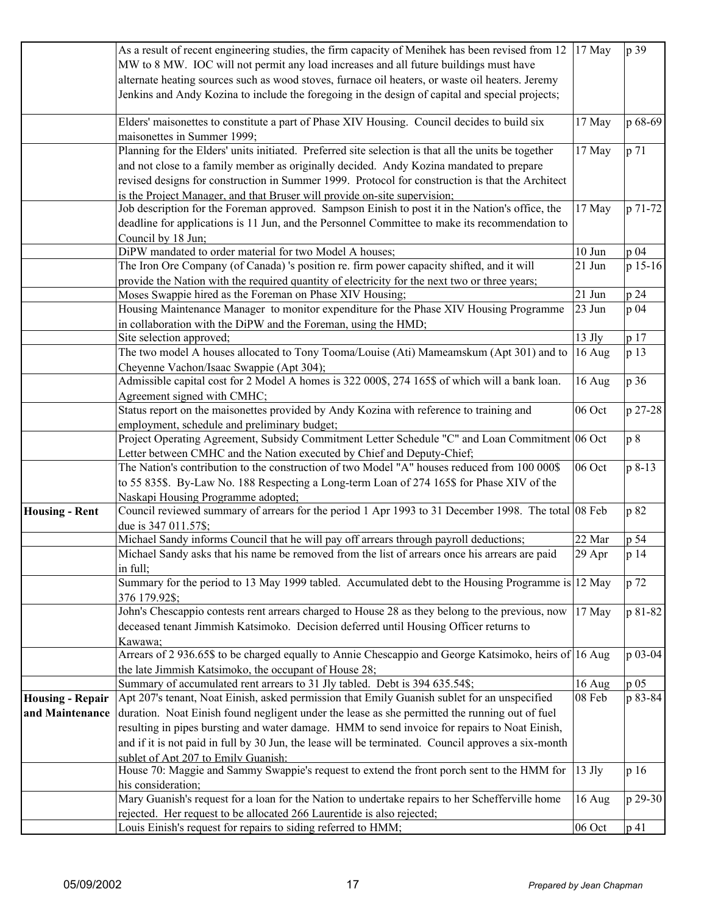| As a result of recent engineering studies, the firm capacity of Menihek has been revised from 12                             | 17 May   | p 39    |
|------------------------------------------------------------------------------------------------------------------------------|----------|---------|
| MW to 8 MW. IOC will not permit any load increases and all future buildings must have                                        |          |         |
| alternate heating sources such as wood stoves, furnace oil heaters, or waste oil heaters. Jeremy                             |          |         |
| Jenkins and Andy Kozina to include the foregoing in the design of capital and special projects;                              |          |         |
|                                                                                                                              |          |         |
| Elders' maisonettes to constitute a part of Phase XIV Housing. Council decides to build six                                  | 17 May   | p 68-69 |
| maisonettes in Summer 1999;                                                                                                  |          |         |
| Planning for the Elders' units initiated. Preferred site selection is that all the units be together                         | 17 May   | p 71    |
| and not close to a family member as originally decided. Andy Kozina mandated to prepare                                      |          |         |
| revised designs for construction in Summer 1999. Protocol for construction is that the Architect                             |          |         |
| is the Project Manager, and that Bruser will provide on-site supervision;                                                    |          |         |
| Job description for the Foreman approved. Sampson Einish to post it in the Nation's office, the                              | 17 May   | p 71-72 |
| deadline for applications is 11 Jun, and the Personnel Committee to make its recommendation to                               |          |         |
| Council by 18 Jun;                                                                                                           |          |         |
| DiPW mandated to order material for two Model A houses;                                                                      | 10 Jun   | p 04    |
| The Iron Ore Company (of Canada) 's position re. firm power capacity shifted, and it will                                    | 21 Jun   | p 15-16 |
| provide the Nation with the required quantity of electricity for the next two or three years;                                |          |         |
| Moses Swappie hired as the Foreman on Phase XIV Housing;                                                                     | 21 Jun   | p 24    |
| Housing Maintenance Manager to monitor expenditure for the Phase XIV Housing Programme                                       | 23 Jun   | p 04    |
| in collaboration with the DiPW and the Foreman, using the HMD;                                                               |          |         |
| Site selection approved;                                                                                                     | $13$ Jly | p 17    |
| The two model A houses allocated to Tony Tooma/Louise (Ati) Mameamskum (Apt 301) and to                                      | 16 Aug   | p 13    |
| Cheyenne Vachon/Isaac Swappie (Apt 304);                                                                                     |          |         |
| Admissible capital cost for 2 Model A homes is 322 000\$, 274 165\$ of which will a bank loan.                               | 16 Aug   | p 36    |
| Agreement signed with CMHC;                                                                                                  |          |         |
| Status report on the maisonettes provided by Andy Kozina with reference to training and                                      | 06 Oct   | p 27-28 |
| employment, schedule and preliminary budget;                                                                                 |          |         |
| Project Operating Agreement, Subsidy Commitment Letter Schedule "C" and Loan Commitment 06 Oct                               |          | p 8     |
| Letter between CMHC and the Nation executed by Chief and Deputy-Chief;                                                       |          |         |
| The Nation's contribution to the construction of two Model "A" houses reduced from 100 000\$                                 | 06 Oct   | p 8-13  |
| to 55 835\$. By-Law No. 188 Respecting a Long-term Loan of 274 165\$ for Phase XIV of the                                    |          |         |
| Naskapi Housing Programme adopted;                                                                                           |          |         |
| Council reviewed summary of arrears for the period 1 Apr 1993 to 31 December 1998. The total 08 Feb<br><b>Housing - Rent</b> |          | p 82    |
| due is 347 011.57\$;                                                                                                         |          |         |
| Michael Sandy informs Council that he will pay off arrears through payroll deductions;                                       | 22 Mar   | p 54    |
| Michael Sandy asks that his name be removed from the list of arrears once his arrears are paid                               | 29 Apr   | p 14    |
| in full;                                                                                                                     |          |         |
| Summary for the period to 13 May 1999 tabled. Accumulated debt to the Housing Programme is 12 May                            |          | p 72    |
| 376 179.92\$;                                                                                                                |          |         |
| John's Chescappio contests rent arrears charged to House 28 as they belong to the previous, now                              | 17 May   | p 81-82 |
| deceased tenant Jimmish Katsimoko. Decision deferred until Housing Officer returns to                                        |          |         |
| Kawawa;                                                                                                                      |          |         |
| Arrears of 2 936.65\$ to be charged equally to Annie Chescappio and George Katsimoko, heirs of 16 Aug                        |          | p 03-04 |
| the late Jimmish Katsimoko, the occupant of House 28;                                                                        |          |         |
| Summary of accumulated rent arrears to 31 Jly tabled. Debt is 394 635.54\$;                                                  | 16 Aug   | p 05    |
| <b>Housing - Repair</b><br>Apt 207's tenant, Noat Einish, asked permission that Emily Guanish sublet for an unspecified      | 08 Feb   | p 83-84 |
| duration. Noat Einish found negligent under the lease as she permitted the running out of fuel<br>and Maintenance            |          |         |
| resulting in pipes bursting and water damage. HMM to send invoice for repairs to Noat Einish,                                |          |         |
| and if it is not paid in full by 30 Jun, the lease will be terminated. Council approves a six-month                          |          |         |
| sublet of Apt 207 to Emily Guanish:                                                                                          |          |         |
| House 70: Maggie and Sammy Swappie's request to extend the front porch sent to the HMM for                                   | $13$ Jly | p 16    |
| his consideration;                                                                                                           |          |         |
| Mary Guanish's request for a loan for the Nation to undertake repairs to her Schefferville home                              | 16 Aug   | p 29-30 |
| rejected. Her request to be allocated 266 Laurentide is also rejected;                                                       |          |         |
| Louis Einish's request for repairs to siding referred to HMM;                                                                | 06 Oct   | p 41    |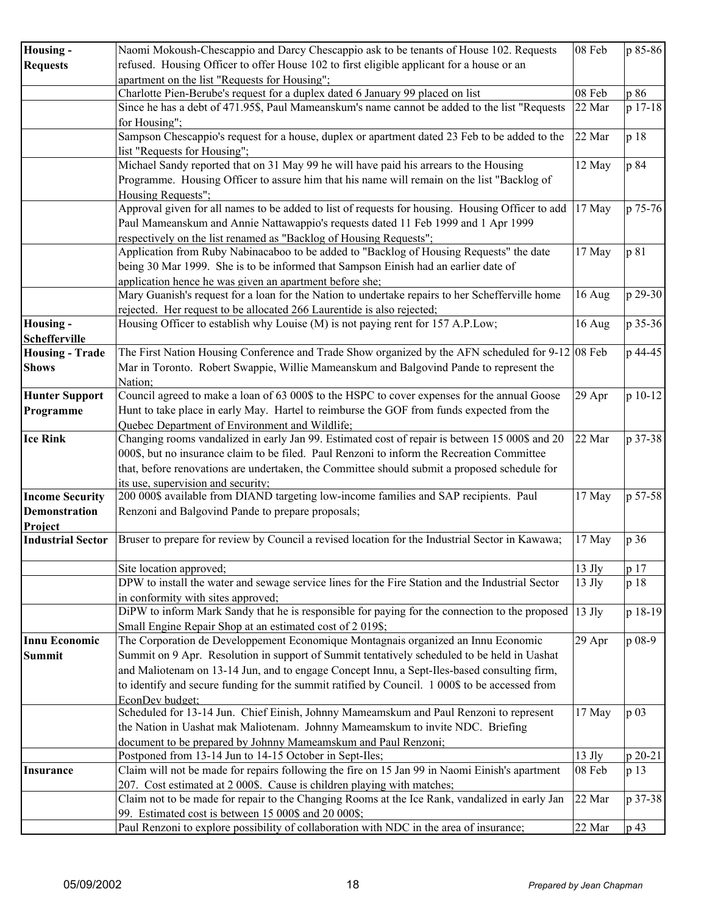| <b>Housing -</b>                               | Naomi Mokoush-Chescappio and Darcy Chescappio ask to be tenants of House 102. Requests                                      | 08 Feb   | p 85-86 |
|------------------------------------------------|-----------------------------------------------------------------------------------------------------------------------------|----------|---------|
| <b>Requests</b>                                | refused. Housing Officer to offer House 102 to first eligible applicant for a house or an                                   |          |         |
|                                                | apartment on the list "Requests for Housing";                                                                               |          |         |
|                                                | Charlotte Pien-Berube's request for a duplex dated 6 January 99 placed on list                                              | 08 Feb   | p 86    |
|                                                | Since he has a debt of 471.95\$, Paul Mameanskum's name cannot be added to the list "Requests                               | 22 Mar   | p 17-18 |
|                                                | for Housing";                                                                                                               |          |         |
|                                                | Sampson Chescappio's request for a house, duplex or apartment dated 23 Feb to be added to the                               | 22 Mar   | p 18    |
|                                                | list "Requests for Housing";                                                                                                |          |         |
|                                                | Michael Sandy reported that on 31 May 99 he will have paid his arrears to the Housing                                       | 12 May   | p 84    |
|                                                | Programme. Housing Officer to assure him that his name will remain on the list "Backlog of                                  |          |         |
|                                                | Housing Requests";                                                                                                          |          |         |
|                                                | Approval given for all names to be added to list of requests for housing. Housing Officer to add                            | 17 May   | p 75-76 |
|                                                | Paul Mameanskum and Annie Nattawappio's requests dated 11 Feb 1999 and 1 Apr 1999                                           |          |         |
|                                                | respectively on the list renamed as "Backlog of Housing Requests";                                                          |          |         |
|                                                | Application from Ruby Nabinacaboo to be added to "Backlog of Housing Requests" the date                                     | 17 May   | p 81    |
|                                                | being 30 Mar 1999. She is to be informed that Sampson Einish had an earlier date of                                         |          |         |
|                                                | application hence he was given an apartment before she;                                                                     |          |         |
|                                                | Mary Guanish's request for a loan for the Nation to undertake repairs to her Schefferville home                             | 16 Aug   | p 29-30 |
|                                                | rejected. Her request to be allocated 266 Laurentide is also rejected;                                                      |          |         |
| <b>Housing -</b>                               | Housing Officer to establish why Louise (M) is not paying rent for 157 A.P.Low;                                             | 16 Aug   | p 35-36 |
| <b>Schefferville</b>                           |                                                                                                                             |          |         |
| <b>Housing - Trade</b>                         | The First Nation Housing Conference and Trade Show organized by the AFN scheduled for 9-12 08 Feb                           |          | p 44-45 |
| <b>Shows</b>                                   | Mar in Toronto. Robert Swappie, Willie Mameanskum and Balgovind Pande to represent the                                      |          |         |
|                                                | Nation;                                                                                                                     |          |         |
| <b>Hunter Support</b>                          | Council agreed to make a loan of 63 000\$ to the HSPC to cover expenses for the annual Goose                                | 29 Apr   | p 10-12 |
| Programme                                      | Hunt to take place in early May. Hartel to reimburse the GOF from funds expected from the                                   |          |         |
|                                                | Quebec Department of Environment and Wildlife;                                                                              |          |         |
| <b>Ice Rink</b>                                | Changing rooms vandalized in early Jan 99. Estimated cost of repair is between 15 000\$ and 20                              | 22 Mar   | p 37-38 |
|                                                | 000\$, but no insurance claim to be filed. Paul Renzoni to inform the Recreation Committee                                  |          |         |
|                                                | that, before renovations are undertaken, the Committee should submit a proposed schedule for                                |          |         |
|                                                | its use, supervision and security;<br>200 000\$ available from DIAND targeting low-income families and SAP recipients. Paul |          | p 57-58 |
| <b>Income Security</b><br><b>Demonstration</b> |                                                                                                                             | 17 May   |         |
|                                                | Renzoni and Balgovind Pande to prepare proposals;                                                                           |          |         |
| Project<br><b>Industrial Sector</b>            | Bruser to prepare for review by Council a revised location for the Industrial Sector in Kawawa;                             | 17 May   | p 36    |
|                                                |                                                                                                                             |          |         |
|                                                | Site location approved;                                                                                                     | 13 Jly   | p 17    |
|                                                | DPW to install the water and sewage service lines for the Fire Station and the Industrial Sector                            | $13$ Jly | p 18    |
|                                                | in conformity with sites approved;                                                                                          |          |         |
|                                                | DiPW to inform Mark Sandy that he is responsible for paying for the connection to the proposed                              | $13$ Jly | p 18-19 |
|                                                | Small Engine Repair Shop at an estimated cost of 2019\$;                                                                    |          |         |
| <b>Innu Economic</b>                           | The Corporation de Developpement Economique Montagnais organized an Innu Economic                                           | 29 Apr   | p 08-9  |
| <b>Summit</b>                                  | Summit on 9 Apr. Resolution in support of Summit tentatively scheduled to be held in Uashat                                 |          |         |
|                                                | and Maliotenam on 13-14 Jun, and to engage Concept Innu, a Sept-Iles-based consulting firm,                                 |          |         |
|                                                | to identify and secure funding for the summit ratified by Council. 1 000\$ to be accessed from                              |          |         |
|                                                | EconDev budget:                                                                                                             |          |         |
|                                                | Scheduled for 13-14 Jun. Chief Einish, Johnny Mameamskum and Paul Renzoni to represent                                      | 17 May   | p 03    |
|                                                | the Nation in Uashat mak Maliotenam. Johnny Mameamskum to invite NDC. Briefing                                              |          |         |
|                                                | document to be prepared by Johnny Mameamskum and Paul Renzoni;                                                              |          |         |
|                                                | Postponed from 13-14 Jun to 14-15 October in Sept-Iles;                                                                     | $13$ Jly | p 20-21 |
| <b>Insurance</b>                               | Claim will not be made for repairs following the fire on 15 Jan 99 in Naomi Einish's apartment                              | 08 Feb   | p 13    |
|                                                | 207. Cost estimated at 2 000\$. Cause is children playing with matches;                                                     |          |         |
|                                                | Claim not to be made for repair to the Changing Rooms at the Ice Rank, vandalized in early Jan                              | 22 Mar   | p 37-38 |
|                                                | 99. Estimated cost is between 15 000\$ and 20 000\$;                                                                        |          |         |
|                                                | Paul Renzoni to explore possibility of collaboration with NDC in the area of insurance;                                     | 22 Mar   | p 43    |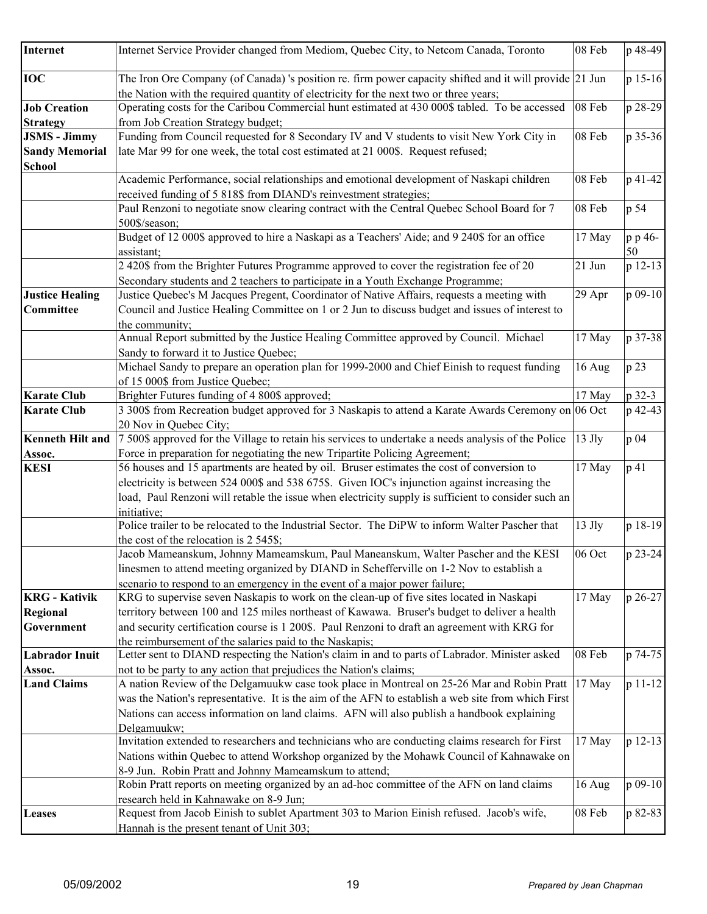| Internet                                   | Internet Service Provider changed from Mediom, Quebec City, to Netcom Canada, Toronto                                                                                                                           | 08 Feb   | p 48-49       |
|--------------------------------------------|-----------------------------------------------------------------------------------------------------------------------------------------------------------------------------------------------------------------|----------|---------------|
| <b>IOC</b>                                 | The Iron Ore Company (of Canada) 's position re. firm power capacity shifted and it will provide 21 Jun<br>the Nation with the required quantity of electricity for the next two or three years;                |          | p 15-16       |
| <b>Job Creation</b>                        | Operating costs for the Caribou Commercial hunt estimated at 430 000\$ tabled. To be accessed                                                                                                                   | 08 Feb   | p 28-29       |
| <b>Strategy</b>                            | from Job Creation Strategy budget;                                                                                                                                                                              |          |               |
| <b>JSMS</b> - Jimmy                        | Funding from Council requested for 8 Secondary IV and V students to visit New York City in                                                                                                                      | 08 Feb   | p 35-36       |
| <b>Sandy Memorial</b>                      | late Mar 99 for one week, the total cost estimated at 21 000\$. Request refused;                                                                                                                                |          |               |
| <b>School</b>                              |                                                                                                                                                                                                                 |          |               |
|                                            | Academic Performance, social relationships and emotional development of Naskapi children<br>received funding of 5 818\$ from DIAND's reinvestment strategies;                                                   | 08 Feb   | p 41-42       |
|                                            | Paul Renzoni to negotiate snow clearing contract with the Central Quebec School Board for 7<br>500\$/season;                                                                                                    | 08 Feb   | p 54          |
|                                            | Budget of 12 000\$ approved to hire a Naskapi as a Teachers' Aide; and 9 240\$ for an office<br>assistant;                                                                                                      | 17 May   | p p 46-<br>50 |
|                                            | 2 420\$ from the Brighter Futures Programme approved to cover the registration fee of 20<br>Secondary students and 2 teachers to participate in a Youth Exchange Programme;                                     | 21 Jun   | p 12-13       |
| <b>Justice Healing</b><br><b>Committee</b> | Justice Quebec's M Jacques Pregent, Coordinator of Native Affairs, requests a meeting with<br>Council and Justice Healing Committee on 1 or 2 Jun to discuss budget and issues of interest to<br>the community; | 29 Apr   | p 09-10       |
|                                            | Annual Report submitted by the Justice Healing Committee approved by Council. Michael<br>Sandy to forward it to Justice Quebec;                                                                                 | 17 May   | p 37-38       |
|                                            | Michael Sandy to prepare an operation plan for 1999-2000 and Chief Einish to request funding<br>of 15 000\$ from Justice Quebec;                                                                                | 16 Aug   | p 23          |
| <b>Karate Club</b>                         | Brighter Futures funding of 4 800\$ approved;                                                                                                                                                                   | 17 May   | p 32-3        |
| <b>Karate Club</b>                         | 3 300\$ from Recreation budget approved for 3 Naskapis to attend a Karate Awards Ceremony on 06 Oct                                                                                                             |          | p 42-43       |
|                                            | 20 Nov in Quebec City;                                                                                                                                                                                          |          |               |
| Kenneth Hilt and                           | 7 500\$ approved for the Village to retain his services to undertake a needs analysis of the Police                                                                                                             | $13$ Jly | p 04          |
| Assoc.                                     | Force in preparation for negotiating the new Tripartite Policing Agreement;                                                                                                                                     |          |               |
| <b>KESI</b>                                | 56 houses and 15 apartments are heated by oil. Bruser estimates the cost of conversion to                                                                                                                       | 17 May   | p 41          |
|                                            | electricity is between 524 000\$ and 538 675\$. Given IOC's injunction against increasing the                                                                                                                   |          |               |
|                                            | load, Paul Renzoni will retable the issue when electricity supply is sufficient to consider such an                                                                                                             |          |               |
|                                            | initiative;                                                                                                                                                                                                     |          |               |
|                                            | Police trailer to be relocated to the Industrial Sector. The DiPW to inform Walter Pascher that                                                                                                                 | $13$ Jly | p 18-19       |
|                                            | the cost of the relocation is 2 545\$;                                                                                                                                                                          |          |               |
|                                            | Jacob Mameanskum, Johnny Mameamskum, Paul Maneanskum, Walter Pascher and the KESI                                                                                                                               | 06 Oct   | p 23-24       |
|                                            | linesmen to attend meeting organized by DIAND in Schefferville on 1-2 Nov to establish a                                                                                                                        |          |               |
|                                            | scenario to respond to an emergency in the event of a major power failure;                                                                                                                                      |          |               |
| <b>KRG</b> - Kativik                       | KRG to supervise seven Naskapis to work on the clean-up of five sites located in Naskapi                                                                                                                        | 17 May   | p 26-27       |
| Regional                                   | territory between 100 and 125 miles northeast of Kawawa. Bruser's budget to deliver a health                                                                                                                    |          |               |
| Government                                 | and security certification course is 1 200\$. Paul Renzoni to draft an agreement with KRG for                                                                                                                   |          |               |
|                                            | the reimbursement of the salaries paid to the Naskapis;                                                                                                                                                         |          |               |
| <b>Labrador Inuit</b>                      | Letter sent to DIAND respecting the Nation's claim in and to parts of Labrador. Minister asked                                                                                                                  | 08 Feb   | p 74-75       |
| Assoc.<br><b>Land Claims</b>               | not to be party to any action that prejudices the Nation's claims;<br>A nation Review of the Delgamuukw case took place in Montreal on 25-26 Mar and Robin Pratt                                                | 17 May   | p 11-12       |
|                                            |                                                                                                                                                                                                                 |          |               |
|                                            | was the Nation's representative. It is the aim of the AFN to establish a web site from which First                                                                                                              |          |               |
|                                            | Nations can access information on land claims. AFN will also publish a handbook explaining                                                                                                                      |          |               |
|                                            | Delgamuukw;                                                                                                                                                                                                     |          |               |
|                                            | Invitation extended to researchers and technicians who are conducting claims research for First                                                                                                                 | 17 May   | p 12-13       |
|                                            | Nations within Quebec to attend Workshop organized by the Mohawk Council of Kahnawake on                                                                                                                        |          |               |
|                                            | 8-9 Jun. Robin Pratt and Johnny Mameamskum to attend;                                                                                                                                                           |          |               |
|                                            | Robin Pratt reports on meeting organized by an ad-hoc committee of the AFN on land claims                                                                                                                       | 16 Aug   | p 09-10       |
|                                            | research held in Kahnawake on 8-9 Jun;<br>Request from Jacob Einish to sublet Apartment 303 to Marion Einish refused. Jacob's wife,                                                                             | 08 Feb   | p 82-83       |
| <b>Leases</b>                              | Hannah is the present tenant of Unit 303;                                                                                                                                                                       |          |               |
|                                            |                                                                                                                                                                                                                 |          |               |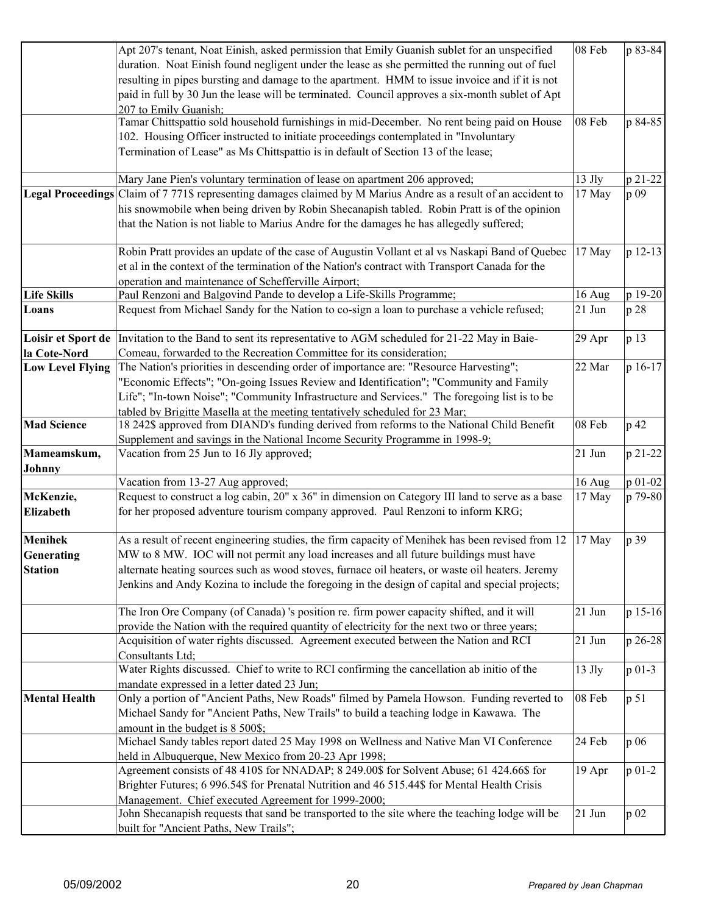|                         | Apt 207's tenant, Noat Einish, asked permission that Emily Guanish sublet for an unspecified                    | 08 Feb   | p 83-84    |
|-------------------------|-----------------------------------------------------------------------------------------------------------------|----------|------------|
|                         | duration. Noat Einish found negligent under the lease as she permitted the running out of fuel                  |          |            |
|                         | resulting in pipes bursting and damage to the apartment. HMM to issue invoice and if it is not                  |          |            |
|                         | paid in full by 30 Jun the lease will be terminated. Council approves a six-month sublet of Apt                 |          |            |
|                         | 207 to Emily Guanish;                                                                                           |          |            |
|                         | Tamar Chittspattio sold household furnishings in mid-December. No rent being paid on House                      | 08 Feb   | p 84-85    |
|                         | 102. Housing Officer instructed to initiate proceedings contemplated in "Involuntary                            |          |            |
|                         | Termination of Lease" as Ms Chittspattio is in default of Section 13 of the lease;                              |          |            |
|                         | Mary Jane Pien's voluntary termination of lease on apartment 206 approved;                                      | 13 Jly   | p 21-22    |
|                         | Legal Proceedings Claim of 7 771\$ representing damages claimed by M Marius Andre as a result of an accident to | 17 May   | p 09       |
|                         | his snowmobile when being driven by Robin Shecanapish tabled. Robin Pratt is of the opinion                     |          |            |
|                         | that the Nation is not liable to Marius Andre for the damages he has allegedly suffered;                        |          |            |
|                         | Robin Pratt provides an update of the case of Augustin Vollant et al vs Naskapi Band of Quebec                  | 17 May   | p 12-13    |
|                         | et al in the context of the termination of the Nation's contract with Transport Canada for the                  |          |            |
|                         | operation and maintenance of Schefferville Airport;                                                             |          |            |
| <b>Life Skills</b>      | Paul Renzoni and Balgovind Pande to develop a Life-Skills Programme;                                            | 16 Aug   | p 19-20    |
| Loans                   | Request from Michael Sandy for the Nation to co-sign a loan to purchase a vehicle refused;                      | $21$ Jun | p 28       |
| Loisir et Sport de      | Invitation to the Band to sent its representative to AGM scheduled for 21-22 May in Baie-                       | 29 Apr   | p 13       |
| la Cote-Nord            | Comeau, forwarded to the Recreation Committee for its consideration;                                            |          |            |
| <b>Low Level Flying</b> | The Nation's priorities in descending order of importance are: "Resource Harvesting";                           | 22 Mar   | p 16-17    |
|                         | "Economic Effects"; "On-going Issues Review and Identification"; "Community and Family                          |          |            |
|                         | Life"; "In-town Noise"; "Community Infrastructure and Services." The foregoing list is to be                    |          |            |
|                         | tabled by Brigitte Masella at the meeting tentatively scheduled for 23 Mar;                                     |          |            |
| <b>Mad Science</b>      | 18 242\$ approved from DIAND's funding derived from reforms to the National Child Benefit                       | 08 Feb   | p 42       |
|                         | Supplement and savings in the National Income Security Programme in 1998-9;                                     |          |            |
| Mameamskum,             | Vacation from 25 Jun to 16 Jly approved;                                                                        | 21 Jun   | p 21-22    |
| Johnny                  |                                                                                                                 |          |            |
|                         | Vacation from 13-27 Aug approved;                                                                               | 16 Aug   | p 01-02    |
| McKenzie,               | Request to construct a log cabin, 20" x 36" in dimension on Category III land to serve as a base                | 17 May   | p 79-80    |
| <b>Elizabeth</b>        | for her proposed adventure tourism company approved. Paul Renzoni to inform KRG;                                |          |            |
| <b>Menihek</b>          | As a result of recent engineering studies, the firm capacity of Menihek has been revised from 12                | 17 May   | p 39       |
| Generating              | MW to 8 MW. IOC will not permit any load increases and all future buildings must have                           |          |            |
| <b>Station</b>          | alternate heating sources such as wood stoves, furnace oil heaters, or waste oil heaters. Jeremy                |          |            |
|                         | Jenkins and Andy Kozina to include the foregoing in the design of capital and special projects;                 |          |            |
|                         | The Iron Ore Company (of Canada) 's position re. firm power capacity shifted, and it will                       | 21 Jun   | p 15-16    |
|                         | provide the Nation with the required quantity of electricity for the next two or three years;                   |          |            |
|                         | Acquisition of water rights discussed. Agreement executed between the Nation and RCI                            | 21 Jun   | p 26-28    |
|                         | Consultants Ltd;                                                                                                |          |            |
|                         | Water Rights discussed. Chief to write to RCI confirming the cancellation ab initio of the                      | $13$ Jly | p 01-3     |
|                         | mandate expressed in a letter dated 23 Jun;                                                                     |          |            |
| <b>Mental Health</b>    | Only a portion of "Ancient Paths, New Roads" filmed by Pamela Howson. Funding reverted to                       | 08 Feb   | p 51       |
|                         | Michael Sandy for "Ancient Paths, New Trails" to build a teaching lodge in Kawawa. The                          |          |            |
|                         | amount in the budget is 8 500\$;                                                                                |          |            |
|                         | Michael Sandy tables report dated 25 May 1998 on Wellness and Native Man VI Conference                          | 24 Feb   | p 06       |
|                         | held in Albuquerque, New Mexico from 20-23 Apr 1998;                                                            |          |            |
|                         | Agreement consists of 48 410\$ for NNADAP; 8 249.00\$ for Solvent Abuse; 61 424.66\$ for                        | 19 Apr   | $p_{01-2}$ |
|                         | Brighter Futures; 6 996.54\$ for Prenatal Nutrition and 46 515.44\$ for Mental Health Crisis                    |          |            |
|                         | Management. Chief executed Agreement for 1999-2000;                                                             |          |            |
|                         | John Shecanapish requests that sand be transported to the site where the teaching lodge will be                 | $21$ Jun | p 02       |
|                         | built for "Ancient Paths, New Trails";                                                                          |          |            |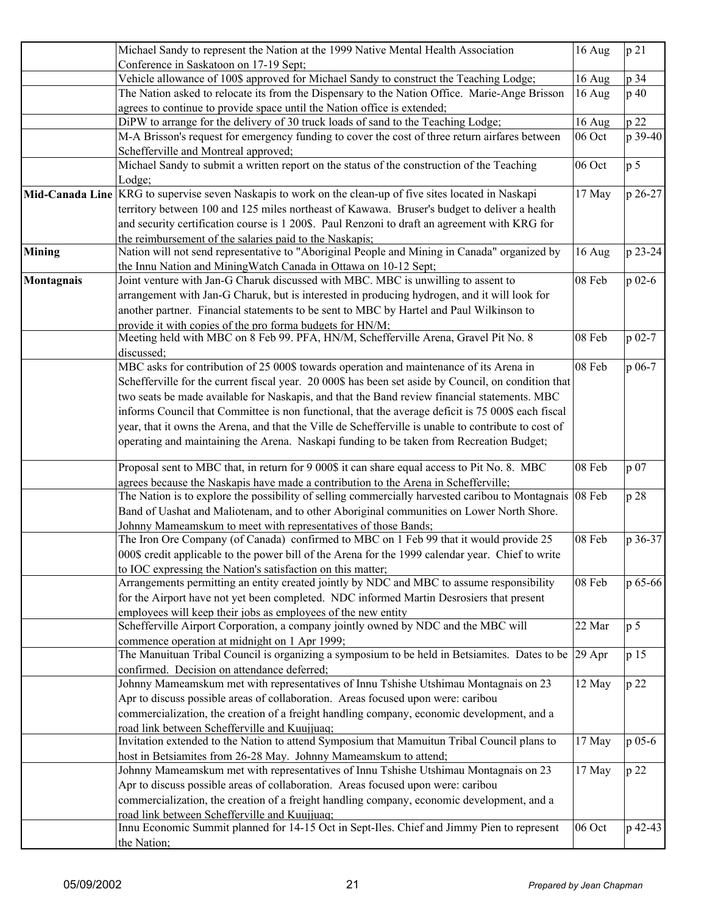|               | Michael Sandy to represent the Nation at the 1999 Native Mental Health Association                                                                   | 16 Aug | p 21           |
|---------------|------------------------------------------------------------------------------------------------------------------------------------------------------|--------|----------------|
|               | Conference in Saskatoon on 17-19 Sept;                                                                                                               |        |                |
|               | Vehicle allowance of 100\$ approved for Michael Sandy to construct the Teaching Lodge;                                                               | 16 Aug | p 34           |
|               | The Nation asked to relocate its from the Dispensary to the Nation Office. Marie-Ange Brisson                                                        | 16 Aug | p 40           |
|               | agrees to continue to provide space until the Nation office is extended;                                                                             |        |                |
|               | DiPW to arrange for the delivery of 30 truck loads of sand to the Teaching Lodge;                                                                    | 16 Aug | p 22           |
|               | M-A Brisson's request for emergency funding to cover the cost of three return airfares between                                                       | 06 Oct | p 39-40        |
|               | Schefferville and Montreal approved;                                                                                                                 |        |                |
|               | Michael Sandy to submit a written report on the status of the construction of the Teaching                                                           | 06 Oct | p <sub>5</sub> |
|               | Lodge;                                                                                                                                               |        |                |
|               | Mid-Canada Line KRG to supervise seven Naskapis to work on the clean-up of five sites located in Naskapi                                             | 17 May | p 26-27        |
|               | territory between 100 and 125 miles northeast of Kawawa. Bruser's budget to deliver a health                                                         |        |                |
|               | and security certification course is 1 200\$. Paul Renzoni to draft an agreement with KRG for                                                        |        |                |
|               | the reimbursement of the salaries paid to the Naskapis:                                                                                              |        |                |
| <b>Mining</b> | Nation will not send representative to "Aboriginal People and Mining in Canada" organized by                                                         | 16 Aug | p 23-24        |
|               |                                                                                                                                                      |        |                |
|               | the Innu Nation and MiningWatch Canada in Ottawa on 10-12 Sept;<br>Joint venture with Jan-G Charuk discussed with MBC. MBC is unwilling to assent to | 08 Feb | $p$ 02-6       |
| Montagnais    |                                                                                                                                                      |        |                |
|               | arrangement with Jan-G Charuk, but is interested in producing hydrogen, and it will look for                                                         |        |                |
|               | another partner. Financial statements to be sent to MBC by Hartel and Paul Wilkinson to                                                              |        |                |
|               | provide it with copies of the pro forma budgets for HN/M;                                                                                            |        |                |
|               | Meeting held with MBC on 8 Feb 99. PFA, HN/M, Schefferville Arena, Gravel Pit No. 8                                                                  | 08 Feb | p 02-7         |
|               | discussed;                                                                                                                                           |        |                |
|               | MBC asks for contribution of 25 000\$ towards operation and maintenance of its Arena in                                                              | 08 Feb | p 06-7         |
|               | Schefferville for the current fiscal year. 20 000\$ has been set aside by Council, on condition that                                                 |        |                |
|               | two seats be made available for Naskapis, and that the Band review financial statements. MBC                                                         |        |                |
|               | informs Council that Committee is non functional, that the average deficit is 75 000\$ each fiscal                                                   |        |                |
|               | year, that it owns the Arena, and that the Ville de Schefferville is unable to contribute to cost of                                                 |        |                |
|               | operating and maintaining the Arena. Naskapi funding to be taken from Recreation Budget;                                                             |        |                |
|               | Proposal sent to MBC that, in return for 9 000\$ it can share equal access to Pit No. 8. MBC                                                         | 08 Feb | p 07           |
|               | agrees because the Naskapis have made a contribution to the Arena in Schefferville;                                                                  |        |                |
|               | The Nation is to explore the possibility of selling commercially harvested caribou to Montagnais                                                     | 08 Feb | p 28           |
|               | Band of Uashat and Maliotenam, and to other Aboriginal communities on Lower North Shore.                                                             |        |                |
|               | Johnny Mameamskum to meet with representatives of those Bands;                                                                                       |        |                |
|               | The Iron Ore Company (of Canada) confirmed to MBC on 1 Feb 99 that it would provide 25                                                               | 08 Feb | p 36-37        |
|               | 000\$ credit applicable to the power bill of the Arena for the 1999 calendar year. Chief to write                                                    |        |                |
|               | to IOC expressing the Nation's satisfaction on this matter;                                                                                          |        |                |
|               | Arrangements permitting an entity created jointly by NDC and MBC to assume responsibility                                                            | 08 Feb | p 65-66        |
|               | for the Airport have not yet been completed. NDC informed Martin Desrosiers that present                                                             |        |                |
|               | employees will keep their jobs as employees of the new entity                                                                                        |        |                |
|               | Schefferville Airport Corporation, a company jointly owned by NDC and the MBC will                                                                   | 22 Mar | p <sub>5</sub> |
|               | commence operation at midnight on 1 Apr 1999;                                                                                                        |        |                |
|               | The Manuituan Tribal Council is organizing a symposium to be held in Betsiamites. Dates to be                                                        | 29 Apr | p 15           |
|               | confirmed. Decision on attendance deferred;                                                                                                          |        |                |
|               | Johnny Mameamskum met with representatives of Innu Tshishe Utshimau Montagnais on 23                                                                 | 12 May | p 22           |
|               |                                                                                                                                                      |        |                |
|               | Apr to discuss possible areas of collaboration. Areas focused upon were: caribou                                                                     |        |                |
|               | commercialization, the creation of a freight handling company, economic development, and a                                                           |        |                |
|               | road link between Schefferville and Kuujjuaq;                                                                                                        |        |                |
|               | Invitation extended to the Nation to attend Symposium that Mamuitun Tribal Council plans to                                                          | 17 May | p 05-6         |
|               | host in Betsiamites from 26-28 May. Johnny Mameamskum to attend;                                                                                     |        |                |
|               | Johnny Mameamskum met with representatives of Innu Tshishe Utshimau Montagnais on 23                                                                 | 17 May | p 22           |
|               | Apr to discuss possible areas of collaboration. Areas focused upon were: caribou                                                                     |        |                |
|               | commercialization, the creation of a freight handling company, economic development, and a                                                           |        |                |
|               | road link between Schefferville and Kuujjuaq;                                                                                                        |        |                |
|               | Innu Economic Summit planned for 14-15 Oct in Sept-Iles. Chief and Jimmy Pien to represent                                                           | 06 Oct | p 42-43        |
|               | the Nation;                                                                                                                                          |        |                |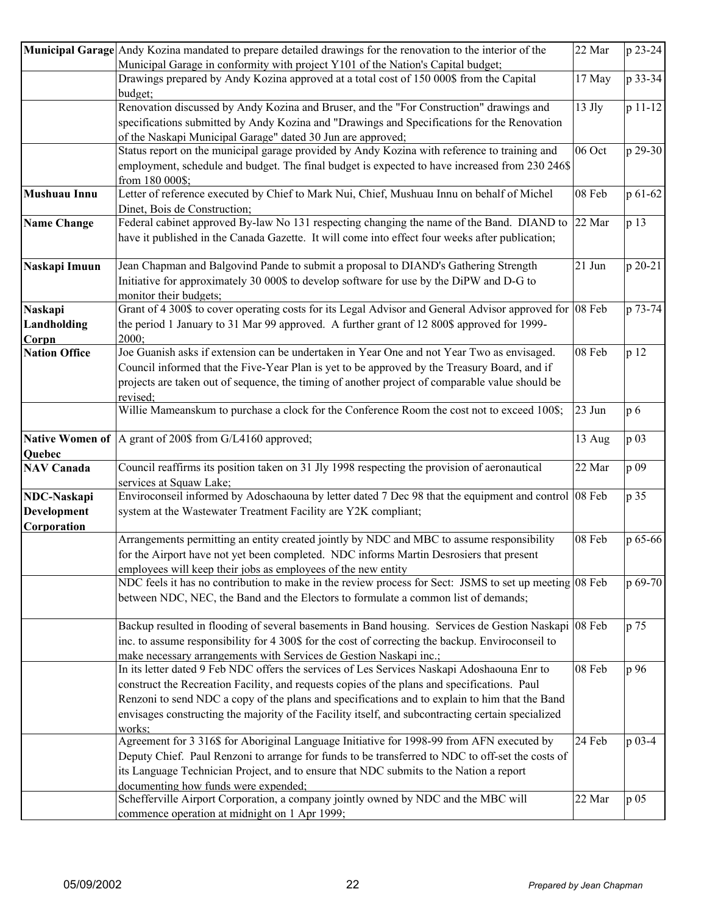|                            | Municipal Garage Andy Kozina mandated to prepare detailed drawings for the renovation to the interior of the                                                                | 22 Mar   | p 23-24    |
|----------------------------|-----------------------------------------------------------------------------------------------------------------------------------------------------------------------------|----------|------------|
|                            | Municipal Garage in conformity with project Y101 of the Nation's Capital budget;<br>Drawings prepared by Andy Kozina approved at a total cost of 150 000\$ from the Capital | 17 May   | p 33-34    |
|                            | budget;                                                                                                                                                                     |          |            |
|                            | Renovation discussed by Andy Kozina and Bruser, and the "For Construction" drawings and                                                                                     | $13$ Jly | p 11-12    |
|                            | specifications submitted by Andy Kozina and "Drawings and Specifications for the Renovation                                                                                 |          |            |
|                            | of the Naskapi Municipal Garage" dated 30 Jun are approved;                                                                                                                 |          |            |
|                            | Status report on the municipal garage provided by Andy Kozina with reference to training and                                                                                | 06 Oct   | p 29-30    |
|                            | employment, schedule and budget. The final budget is expected to have increased from 230 246\$<br>from 180 000\$;                                                           |          |            |
| Mushuau Innu               | Letter of reference executed by Chief to Mark Nui, Chief, Mushuau Innu on behalf of Michel                                                                                  | 08 Feb   | p 61-62    |
|                            | Dinet, Bois de Construction;                                                                                                                                                |          |            |
| <b>Name Change</b>         | Federal cabinet approved By-law No 131 respecting changing the name of the Band. DIAND to                                                                                   | 22 Mar   | p 13       |
|                            | have it published in the Canada Gazette. It will come into effect four weeks after publication;                                                                             |          |            |
| Naskapi Imuun              | Jean Chapman and Balgovind Pande to submit a proposal to DIAND's Gathering Strength                                                                                         | 21 Jun   | p 20-21    |
|                            | Initiative for approximately 30 000\$ to develop software for use by the DiPW and D-G to                                                                                    |          |            |
|                            | monitor their budgets;                                                                                                                                                      |          |            |
| Naskapi                    | Grant of 4 300\$ to cover operating costs for its Legal Advisor and General Advisor approved for 08 Feb                                                                     |          | p 73-74    |
| Landholding                | the period 1 January to 31 Mar 99 approved. A further grant of 12 800\$ approved for 1999-                                                                                  |          |            |
| Corpn                      | 2000;                                                                                                                                                                       |          |            |
| <b>Nation Office</b>       | Joe Guanish asks if extension can be undertaken in Year One and not Year Two as envisaged.                                                                                  | 08 Feb   | p 12       |
|                            | Council informed that the Five-Year Plan is yet to be approved by the Treasury Board, and if                                                                                |          |            |
|                            | projects are taken out of sequence, the timing of another project of comparable value should be                                                                             |          |            |
|                            | revised:<br>Willie Mameanskum to purchase a clock for the Conference Room the cost not to exceed 100\$;                                                                     | 23 Jun   | $p\ 6$     |
|                            |                                                                                                                                                                             |          |            |
|                            | Native Women of  A grant of 200\$ from G/L4160 approved;                                                                                                                    | 13 Aug   | p 03       |
| Quebec                     |                                                                                                                                                                             |          |            |
| <b>NAV Canada</b>          | Council reaffirms its position taken on 31 Jly 1998 respecting the provision of aeronautical                                                                                | 22 Mar   | p 09       |
|                            | services at Squaw Lake;                                                                                                                                                     |          |            |
| NDC-Naskapi                | Enviroconseil informed by Adoschaouna by letter dated 7 Dec 98 that the equipment and control 08 Feb<br>system at the Wastewater Treatment Facility are Y2K compliant;      |          | p 35       |
| Development<br>Corporation |                                                                                                                                                                             |          |            |
|                            | Arrangements permitting an entity created jointly by NDC and MBC to assume responsibility                                                                                   | 08 Feb   | p 65-66    |
|                            | for the Airport have not yet been completed. NDC informs Martin Desrosiers that present                                                                                     |          |            |
|                            | employees will keep their jobs as employees of the new entity                                                                                                               |          |            |
|                            | NDC feels it has no contribution to make in the review process for Sect: JSMS to set up meeting 08 Feb                                                                      |          | p 69-70    |
|                            | between NDC, NEC, the Band and the Electors to formulate a common list of demands;                                                                                          |          |            |
|                            | Backup resulted in flooding of several basements in Band housing. Services de Gestion Naskapi 08 Feb                                                                        |          | p 75       |
|                            | inc. to assume responsibility for 4 300\$ for the cost of correcting the backup. Enviroconseil to                                                                           |          |            |
|                            | make necessary arrangements with Services de Gestion Naskapi inc.;                                                                                                          |          |            |
|                            | In its letter dated 9 Feb NDC offers the services of Les Services Naskapi Adoshaouna Enr to                                                                                 | 08 Feb   | p 96       |
|                            | construct the Recreation Facility, and requests copies of the plans and specifications. Paul                                                                                |          |            |
|                            | Renzoni to send NDC a copy of the plans and specifications and to explain to him that the Band                                                                              |          |            |
|                            | envisages constructing the majority of the Facility itself, and subcontracting certain specialized                                                                          |          |            |
|                            | works:                                                                                                                                                                      |          |            |
|                            | Agreement for 3 316\$ for Aboriginal Language Initiative for 1998-99 from AFN executed by                                                                                   | 24 Feb   | p 03-4     |
|                            | Deputy Chief. Paul Renzoni to arrange for funds to be transferred to NDC to off-set the costs of                                                                            |          |            |
|                            | its Language Technician Project, and to ensure that NDC submits to the Nation a report<br>documenting how funds were expended;                                              |          |            |
|                            | Schefferville Airport Corporation, a company jointly owned by NDC and the MBC will                                                                                          | 22 Mar   | $p_{0.05}$ |
|                            | commence operation at midnight on 1 Apr 1999;                                                                                                                               |          |            |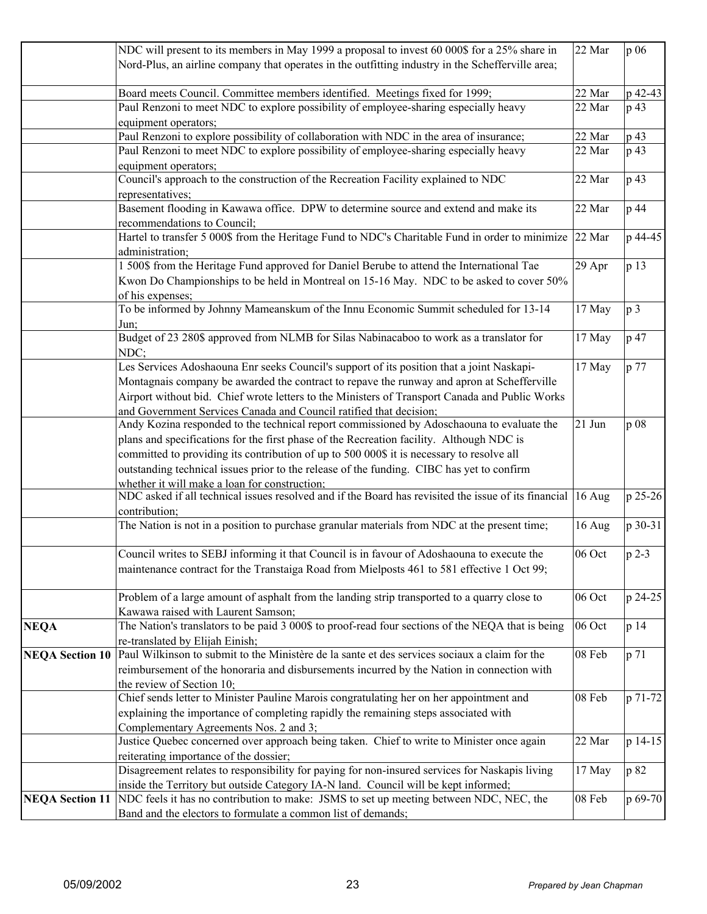|                        | NDC will present to its members in May 1999 a proposal to invest 60 000\$ for a 25% share in                | 22 Mar | p 06           |
|------------------------|-------------------------------------------------------------------------------------------------------------|--------|----------------|
|                        | Nord-Plus, an airline company that operates in the outfitting industry in the Schefferville area;           |        |                |
|                        |                                                                                                             |        |                |
|                        | Board meets Council. Committee members identified. Meetings fixed for 1999;                                 | 22 Mar | p 42-43        |
|                        | Paul Renzoni to meet NDC to explore possibility of employee-sharing especially heavy                        | 22 Mar | p 43           |
|                        | equipment operators;                                                                                        |        |                |
|                        | Paul Renzoni to explore possibility of collaboration with NDC in the area of insurance;                     | 22 Mar | p 43           |
|                        | Paul Renzoni to meet NDC to explore possibility of employee-sharing especially heavy                        | 22 Mar | p 43           |
|                        | equipment operators;                                                                                        |        |                |
|                        | Council's approach to the construction of the Recreation Facility explained to NDC                          | 22 Mar | p 43           |
|                        | representatives;                                                                                            |        |                |
|                        | Basement flooding in Kawawa office. DPW to determine source and extend and make its                         | 22 Mar | p 44           |
|                        | recommendations to Council;                                                                                 |        |                |
|                        | Hartel to transfer 5 000\$ from the Heritage Fund to NDC's Charitable Fund in order to minimize 22 Mar      |        | p 44-45        |
|                        | administration;                                                                                             |        |                |
|                        | 1 500\$ from the Heritage Fund approved for Daniel Berube to attend the International Tae                   | 29 Apr | p 13           |
|                        | Kwon Do Championships to be held in Montreal on 15-16 May. NDC to be asked to cover 50%                     |        |                |
|                        | of his expenses;                                                                                            |        |                |
|                        | To be informed by Johnny Mameanskum of the Innu Economic Summit scheduled for 13-14                         | 17 May | p <sub>3</sub> |
|                        |                                                                                                             |        |                |
|                        | Jun;<br>Budget of 23 280\$ approved from NLMB for Silas Nabinacaboo to work as a translator for             |        | p 47           |
|                        | NDC;                                                                                                        | 17 May |                |
|                        | Les Services Adoshaouna Enr seeks Council's support of its position that a joint Naskapi-                   | 17 May | p 77           |
|                        |                                                                                                             |        |                |
|                        | Montagnais company be awarded the contract to repave the runway and apron at Schefferville                  |        |                |
|                        | Airport without bid. Chief wrote letters to the Ministers of Transport Canada and Public Works              |        |                |
|                        | and Government Services Canada and Council ratified that decision;                                          |        |                |
|                        | Andy Kozina responded to the technical report commissioned by Adoschaouna to evaluate the                   | 21 Jun | p 08           |
|                        | plans and specifications for the first phase of the Recreation facility. Although NDC is                    |        |                |
|                        | committed to providing its contribution of up to 500 000\$ it is necessary to resolve all                   |        |                |
|                        | outstanding technical issues prior to the release of the funding. CIBC has yet to confirm                   |        |                |
|                        | whether it will make a loan for construction:                                                               |        |                |
|                        | NDC asked if all technical issues resolved and if the Board has revisited the issue of its financial 16 Aug |        | p 25-26        |
|                        | contribution;                                                                                               |        |                |
|                        | The Nation is not in a position to purchase granular materials from NDC at the present time;                | 16 Aug | p 30-31        |
|                        | Council writes to SEBJ informing it that Council is in favour of Adoshaouna to execute the                  | 06 Oct | $p$ 2-3        |
|                        | maintenance contract for the Transtaiga Road from Mielposts 461 to 581 effective 1 Oct 99;                  |        |                |
|                        |                                                                                                             |        |                |
|                        | Problem of a large amount of asphalt from the landing strip transported to a quarry close to                | 06 Oct | p 24-25        |
|                        | Kawawa raised with Laurent Samson;                                                                          |        |                |
| <b>NEQA</b>            | The Nation's translators to be paid 3 000\$ to proof-read four sections of the NEQA that is being           | 06 Oct | p 14           |
|                        | re-translated by Elijah Einish;                                                                             |        |                |
| <b>NEQA Section 10</b> | Paul Wilkinson to submit to the Ministère de la sante et des services sociaux a claim for the               | 08 Feb | p 71           |
|                        | reimbursement of the honoraria and disbursements incurred by the Nation in connection with                  |        |                |
|                        | the review of Section 10;                                                                                   |        |                |
|                        | Chief sends letter to Minister Pauline Marois congratulating her on her appointment and                     | 08 Feb | p 71-72        |
|                        | explaining the importance of completing rapidly the remaining steps associated with                         |        |                |
|                        | Complementary Agreements Nos. 2 and 3;                                                                      |        |                |
|                        | Justice Quebec concerned over approach being taken. Chief to write to Minister once again                   | 22 Mar | p 14-15        |
|                        | reiterating importance of the dossier;                                                                      |        |                |
|                        | Disagreement relates to responsibility for paying for non-insured services for Naskapis living              | 17 May | p 82           |
|                        | inside the Territory but outside Category IA-N land. Council will be kept informed;                         |        |                |
| <b>NEQA Section 11</b> | NDC feels it has no contribution to make: JSMS to set up meeting between NDC, NEC, the                      | 08 Feb | p 69-70        |
|                        | Band and the electors to formulate a common list of demands;                                                |        |                |
|                        |                                                                                                             |        |                |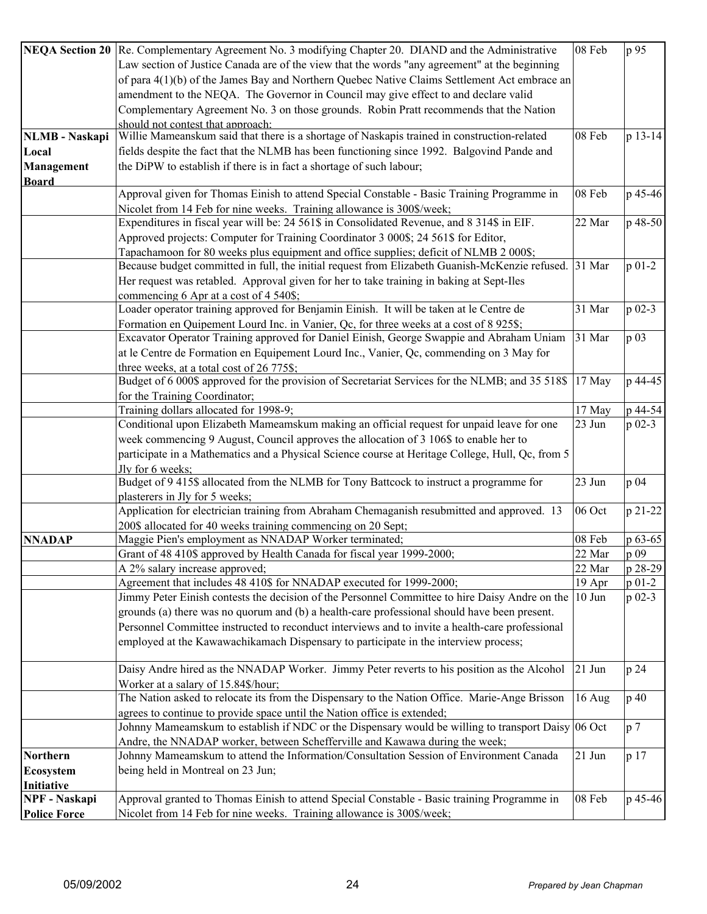|                       | NEQA Section 20 Re. Complementary Agreement No. 3 modifying Chapter 20. DIAND and the Administrative  | 08 Feb   | p 95           |
|-----------------------|-------------------------------------------------------------------------------------------------------|----------|----------------|
|                       | Law section of Justice Canada are of the view that the words "any agreement" at the beginning         |          |                |
|                       | of para 4(1)(b) of the James Bay and Northern Quebec Native Claims Settlement Act embrace an          |          |                |
|                       | amendment to the NEQA. The Governor in Council may give effect to and declare valid                   |          |                |
|                       | Complementary Agreement No. 3 on those grounds. Robin Pratt recommends that the Nation                |          |                |
|                       | should not contest that annroach:                                                                     |          |                |
| <b>NLMB</b> - Naskapi | Willie Mameanskum said that there is a shortage of Naskapis trained in construction-related           | 08 Feb   | p 13-14        |
| Local                 | fields despite the fact that the NLMB has been functioning since 1992. Balgovind Pande and            |          |                |
| Management            | the DiPW to establish if there is in fact a shortage of such labour;                                  |          |                |
| <b>Board</b>          |                                                                                                       |          |                |
|                       | Approval given for Thomas Einish to attend Special Constable - Basic Training Programme in            | 08 Feb   | p 45-46        |
|                       | Nicolet from 14 Feb for nine weeks. Training allowance is 300\$/week;                                 |          |                |
|                       | Expenditures in fiscal year will be: 24 561\$ in Consolidated Revenue, and 8 314\$ in EIF.            | 22 Mar   | p 48-50        |
|                       | Approved projects: Computer for Training Coordinator 3 000\$; 24 561\$ for Editor,                    |          |                |
|                       | Tapachamoon for 80 weeks plus equipment and office supplies; deficit of NLMB 2 000\$;                 |          |                |
|                       | Because budget committed in full, the initial request from Elizabeth Guanish-McKenzie refused. 31 Mar |          | $p 01-2$       |
|                       | Her request was retabled. Approval given for her to take training in baking at Sept-Iles              |          |                |
|                       | commencing 6 Apr at a cost of 4 540\$;                                                                |          |                |
|                       | Loader operator training approved for Benjamin Einish. It will be taken at le Centre de               | 31 Mar   | $p$ 02-3       |
|                       | Formation en Quipement Lourd Inc. in Vanier, Qc, for three weeks at a cost of 8 925\$;                |          |                |
|                       | Excavator Operator Training approved for Daniel Einish, George Swappie and Abraham Uniam              | 31 Mar   | p 03           |
|                       | at le Centre de Formation en Equipement Lourd Inc., Vanier, Qc, commending on 3 May for               |          |                |
|                       | three weeks, at a total cost of 26 775\$;                                                             |          |                |
|                       | Budget of 6 000\$ approved for the provision of Secretariat Services for the NLMB; and 35 518\$       | 17 May   | p 44-45        |
|                       | for the Training Coordinator;<br>Training dollars allocated for 1998-9;                               | 17 May   | p 44-54        |
|                       | Conditional upon Elizabeth Mameamskum making an official request for unpaid leave for one             | 23 Jun   | $p_{02-3}$     |
|                       | week commencing 9 August, Council approves the allocation of 3 106\$ to enable her to                 |          |                |
|                       | participate in a Mathematics and a Physical Science course at Heritage College, Hull, Qc, from 5      |          |                |
|                       | Jly for 6 weeks:                                                                                      |          |                |
|                       | Budget of 9 415\$ allocated from the NLMB for Tony Battcock to instruct a programme for               | 23 Jun   | p 04           |
|                       | plasterers in Jly for 5 weeks;                                                                        |          |                |
|                       | Application for electrician training from Abraham Chemaganish resubmitted and approved. 13            | 06 Oct   | p 21-22        |
|                       | 200\$ allocated for 40 weeks training commencing on 20 Sept;                                          |          |                |
| <b>NNADAP</b>         | Maggie Pien's employment as NNADAP Worker terminated;                                                 | 08 Feb   | p 63-65        |
|                       | Grant of 48 410\$ approved by Health Canada for fiscal year 1999-2000;                                | 22 Mar   | p 09           |
|                       | A 2% salary increase approved;                                                                        | 22 Mar   | p 28-29        |
|                       | Agreement that includes 48 410\$ for NNADAP executed for 1999-2000;                                   | 19 Apr   | $p_{01-2}$     |
|                       | Jimmy Peter Einish contests the decision of the Personnel Committee to hire Daisy Andre on the        | $10$ Jun | $p_{02-3}$     |
|                       | grounds (a) there was no quorum and (b) a health-care professional should have been present.          |          |                |
|                       | Personnel Committee instructed to reconduct interviews and to invite a health-care professional       |          |                |
|                       | employed at the Kawawachikamach Dispensary to participate in the interview process;                   |          |                |
|                       |                                                                                                       |          |                |
|                       | Daisy Andre hired as the NNADAP Worker. Jimmy Peter reverts to his position as the Alcohol            | $21$ Jun | p 24           |
|                       | Worker at a salary of 15.84\$/hour;                                                                   |          |                |
|                       | The Nation asked to relocate its from the Dispensary to the Nation Office. Marie-Ange Brisson         | 16 Aug   | p 40           |
|                       | agrees to continue to provide space until the Nation office is extended;                              |          |                |
|                       | Johnny Mameamskum to establish if NDC or the Dispensary would be willing to transport Daisy 06 Oct    |          | p <sub>7</sub> |
|                       | Andre, the NNADAP worker, between Schefferville and Kawawa during the week;                           |          |                |
| <b>Northern</b>       | Johnny Mameamskum to attend the Information/Consultation Session of Environment Canada                | 21 Jun   | p 17           |
| <b>Ecosystem</b>      | being held in Montreal on 23 Jun;                                                                     |          |                |
| Initiative            |                                                                                                       |          |                |
| <b>NPF</b> - Naskapi  | Approval granted to Thomas Einish to attend Special Constable - Basic training Programme in           | 08 Feb   | p 45-46        |
| <b>Police Force</b>   | Nicolet from 14 Feb for nine weeks. Training allowance is 300\$/week;                                 |          |                |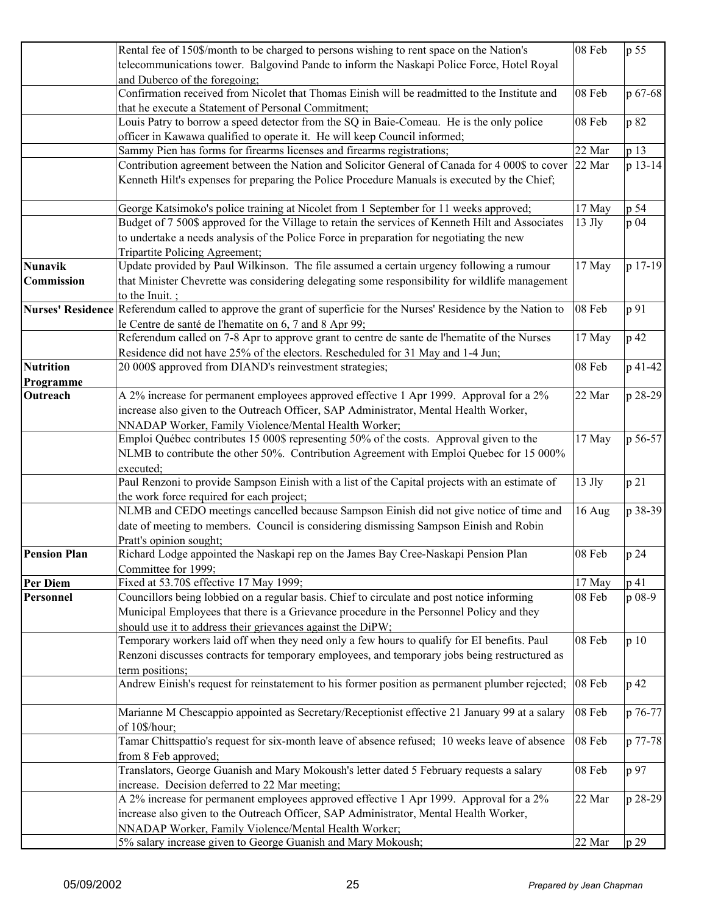|                       | Rental fee of 150\$/month to be charged to persons wishing to rent space on the Nation's                          | 08 Feb   | p 55    |
|-----------------------|-------------------------------------------------------------------------------------------------------------------|----------|---------|
|                       | telecommunications tower. Balgovind Pande to inform the Naskapi Police Force, Hotel Royal                         |          |         |
|                       | and Duberco of the foregoing;                                                                                     |          |         |
|                       | Confirmation received from Nicolet that Thomas Einish will be readmitted to the Institute and                     | 08 Feb   | p 67-68 |
|                       | that he execute a Statement of Personal Commitment;                                                               |          |         |
|                       | Louis Patry to borrow a speed detector from the SQ in Baie-Comeau. He is the only police                          | 08 Feb   | p 82    |
|                       | officer in Kawawa qualified to operate it. He will keep Council informed;                                         |          |         |
|                       | Sammy Pien has forms for firearms licenses and firearms registrations;                                            | 22 Mar   | p 13    |
|                       | Contribution agreement between the Nation and Solicitor General of Canada for 4 000\$ to cover                    | 22 Mar   | p 13-14 |
|                       | Kenneth Hilt's expenses for preparing the Police Procedure Manuals is executed by the Chief;                      |          |         |
|                       |                                                                                                                   |          |         |
|                       | George Katsimoko's police training at Nicolet from 1 September for 11 weeks approved;                             | 17 May   | p 54    |
|                       | Budget of 7 500\$ approved for the Village to retain the services of Kenneth Hilt and Associates                  | $13$ Jly | p 04    |
|                       | to undertake a needs analysis of the Police Force in preparation for negotiating the new                          |          |         |
|                       | Tripartite Policing Agreement;                                                                                    |          |         |
| <b>Nunavik</b>        | Update provided by Paul Wilkinson. The file assumed a certain urgency following a rumour                          | 17 May   | p 17-19 |
| Commission            | that Minister Chevrette was considering delegating some responsibility for wildlife management                    |          |         |
|                       | to the Inuit. $\vdots$                                                                                            |          |         |
|                       | Nurses' Residence Referendum called to approve the grant of superficie for the Nurses' Residence by the Nation to | 08 Feb   | p 91    |
|                       | le Centre de santé de l'hematite on 6, 7 and 8 Apr 99;                                                            |          |         |
|                       | Referendum called on 7-8 Apr to approve grant to centre de sante de l'hematite of the Nurses                      | 17 May   | p 42    |
|                       | Residence did not have 25% of the electors. Rescheduled for 31 May and 1-4 Jun;                                   |          |         |
| <b>Nutrition</b>      | 20 000\$ approved from DIAND's reinvestment strategies;                                                           | 08 Feb   | p 41-42 |
|                       |                                                                                                                   |          |         |
| Programme<br>Outreach | A 2% increase for permanent employees approved effective 1 Apr 1999. Approval for a 2%                            | 22 Mar   | p 28-29 |
|                       | increase also given to the Outreach Officer, SAP Administrator, Mental Health Worker,                             |          |         |
|                       |                                                                                                                   |          |         |
|                       | NNADAP Worker, Family Violence/Mental Health Worker;                                                              |          |         |
|                       | Emploi Québec contributes 15 000\$ representing 50% of the costs. Approval given to the                           | 17 May   | p 56-57 |
|                       | NLMB to contribute the other 50%. Contribution Agreement with Emploi Quebec for 15 000%                           |          |         |
|                       | executed:                                                                                                         |          |         |
|                       | Paul Renzoni to provide Sampson Einish with a list of the Capital projects with an estimate of                    | 13 Jly   | p 21    |
|                       | the work force required for each project;                                                                         |          |         |
|                       | NLMB and CEDO meetings cancelled because Sampson Einish did not give notice of time and                           | 16 Aug   | p 38-39 |
|                       | date of meeting to members. Council is considering dismissing Sampson Einish and Robin                            |          |         |
|                       | Pratt's opinion sought;                                                                                           |          |         |
| <b>Pension Plan</b>   | Richard Lodge appointed the Naskapi rep on the James Bay Cree-Naskapi Pension Plan                                | 08 Feb   | p 24    |
|                       | Committee for 1999;                                                                                               |          |         |
| Per Diem              | Fixed at 53.70\$ effective 17 May 1999;                                                                           | 17 May   | p 41    |
| Personnel             | Councillors being lobbied on a regular basis. Chief to circulate and post notice informing                        | 08 Feb   | p 08-9  |
|                       | Municipal Employees that there is a Grievance procedure in the Personnel Policy and they                          |          |         |
|                       | should use it to address their grievances against the DiPW;                                                       |          |         |
|                       | Temporary workers laid off when they need only a few hours to qualify for EI benefits. Paul                       | 08 Feb   | p 10    |
|                       | Renzoni discusses contracts for temporary employees, and temporary jobs being restructured as                     |          |         |
|                       | term positions;                                                                                                   |          |         |
|                       | Andrew Einish's request for reinstatement to his former position as permanent plumber rejected;                   | 08 Feb   | p 42    |
|                       |                                                                                                                   |          |         |
|                       | Marianne M Chescappio appointed as Secretary/Receptionist effective 21 January 99 at a salary                     | 08 Feb   | p 76-77 |
|                       | of 10\$/hour;                                                                                                     |          |         |
|                       | Tamar Chittspattio's request for six-month leave of absence refused; 10 weeks leave of absence                    | 08 Feb   | p 77-78 |
|                       | from 8 Feb approved;                                                                                              |          |         |
|                       | Translators, George Guanish and Mary Mokoush's letter dated 5 February requests a salary                          | 08 Feb   | p 97    |
|                       | increase. Decision deferred to 22 Mar meeting;                                                                    |          |         |
|                       | A 2% increase for permanent employees approved effective 1 Apr 1999. Approval for a 2%                            | 22 Mar   | p 28-29 |
|                       | increase also given to the Outreach Officer, SAP Administrator, Mental Health Worker,                             |          |         |
|                       | NNADAP Worker, Family Violence/Mental Health Worker;                                                              |          |         |
|                       | 5% salary increase given to George Guanish and Mary Mokoush;                                                      | 22 Mar   | p 29    |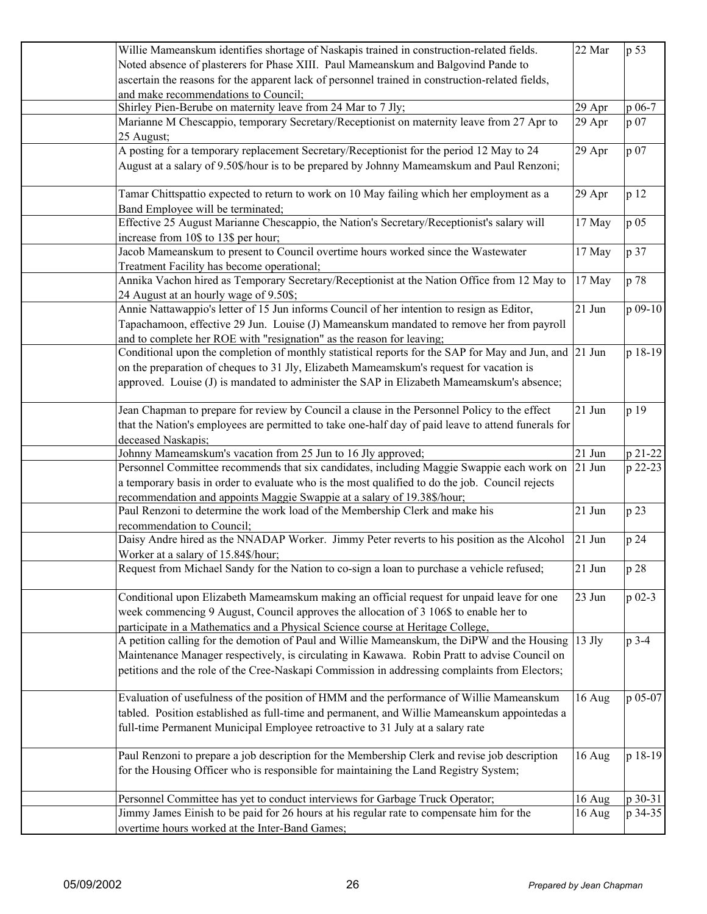| Willie Mameanskum identifies shortage of Naskapis trained in construction-related fields.<br>22 Mar                                      | p 53       |
|------------------------------------------------------------------------------------------------------------------------------------------|------------|
| Noted absence of plasterers for Phase XIII. Paul Mameanskum and Balgovind Pande to                                                       |            |
| ascertain the reasons for the apparent lack of personnel trained in construction-related fields,                                         |            |
| and make recommendations to Council;                                                                                                     |            |
| Shirley Pien-Berube on maternity leave from 24 Mar to 7 Jly;<br>29 Apr                                                                   | p 06-7     |
| Marianne M Chescappio, temporary Secretary/Receptionist on maternity leave from 27 Apr to<br>29 Apr                                      | p 07       |
| 25 August;                                                                                                                               |            |
| A posting for a temporary replacement Secretary/Receptionist for the period 12 May to 24<br>29 Apr                                       | p 07       |
| August at a salary of 9.50\$/hour is to be prepared by Johnny Mameamskum and Paul Renzoni;                                               |            |
| Tamar Chittspattio expected to return to work on 10 May failing which her employment as a<br>29 Apr<br>Band Employee will be terminated; | p 12       |
| Effective 25 August Marianne Chescappio, the Nation's Secretary/Receptionist's salary will<br>17 May                                     | p 05       |
| increase from 10\$ to 13\$ per hour;                                                                                                     |            |
| Jacob Mameanskum to present to Council overtime hours worked since the Wastewater<br>17 May                                              | p 37       |
| Treatment Facility has become operational;                                                                                               |            |
| Annika Vachon hired as Temporary Secretary/Receptionist at the Nation Office from 12 May to<br>17 May                                    | p 78       |
| 24 August at an hourly wage of 9.50\$;                                                                                                   |            |
| Annie Nattawappio's letter of 15 Jun informs Council of her intention to resign as Editor,<br>21 Jun                                     | p 09-10    |
| Tapachamoon, effective 29 Jun. Louise (J) Mameanskum mandated to remove her from payroll                                                 |            |
| and to complete her ROE with "resignation" as the reason for leaving;                                                                    |            |
| Conditional upon the completion of monthly statistical reports for the SAP for May and Jun, and 21 Jun                                   | p 18-19    |
| on the preparation of cheques to 31 Jly, Elizabeth Mameamskum's request for vacation is                                                  |            |
| approved. Louise (J) is mandated to administer the SAP in Elizabeth Mameamskum's absence;                                                |            |
|                                                                                                                                          |            |
| Jean Chapman to prepare for review by Council a clause in the Personnel Policy to the effect<br>21 Jun                                   | p 19       |
| that the Nation's employees are permitted to take one-half day of paid leave to attend funerals for                                      |            |
| deceased Naskapis;                                                                                                                       |            |
| Johnny Mameamskum's vacation from 25 Jun to 16 Jly approved;<br>21 Jun                                                                   | p 21-22    |
| Personnel Committee recommends that six candidates, including Maggie Swappie each work on<br>$21$ Jun                                    | p 22-23    |
| a temporary basis in order to evaluate who is the most qualified to do the job. Council rejects                                          |            |
| recommendation and appoints Maggie Swappie at a salary of 19.38\$/hour;                                                                  |            |
| 21 Jun<br>Paul Renzoni to determine the work load of the Membership Clerk and make his                                                   | p 23       |
| recommendation to Council;                                                                                                               |            |
| Daisy Andre hired as the NNADAP Worker. Jimmy Peter reverts to his position as the Alcohol<br>$21$ Jun                                   | p 24       |
| Worker at a salary of 15.84\$/hour;                                                                                                      |            |
| Request from Michael Sandy for the Nation to co-sign a loan to purchase a vehicle refused;<br>21 Jun                                     | p 28       |
|                                                                                                                                          |            |
| Conditional upon Elizabeth Mameamskum making an official request for unpaid leave for one<br>23 Jun                                      | $p_{02-3}$ |
| week commencing 9 August, Council approves the allocation of 3 106\$ to enable her to                                                    |            |
| participate in a Mathematics and a Physical Science course at Heritage College,                                                          |            |
| $13$ Jly<br>A petition calling for the demotion of Paul and Willie Mameanskum, the DiPW and the Housing                                  | p 3-4      |
| Maintenance Manager respectively, is circulating in Kawawa. Robin Pratt to advise Council on                                             |            |
| petitions and the role of the Cree-Naskapi Commission in addressing complaints from Electors;                                            |            |
|                                                                                                                                          |            |
| Evaluation of usefulness of the position of HMM and the performance of Willie Mameanskum<br>16 Aug                                       | p 05-07    |
| tabled. Position established as full-time and permanent, and Willie Mameanskum appointedas a                                             |            |
| full-time Permanent Municipal Employee retroactive to 31 July at a salary rate                                                           |            |
| Paul Renzoni to prepare a job description for the Membership Clerk and revise job description<br>16 Aug                                  | p 18-19    |
| for the Housing Officer who is responsible for maintaining the Land Registry System;                                                     |            |
|                                                                                                                                          |            |
| Personnel Committee has yet to conduct interviews for Garbage Truck Operator;<br>16 Aug                                                  | p 30-31    |
| Jimmy James Einish to be paid for 26 hours at his regular rate to compensate him for the<br>16 Aug                                       | p 34-35    |
| overtime hours worked at the Inter-Band Games;                                                                                           |            |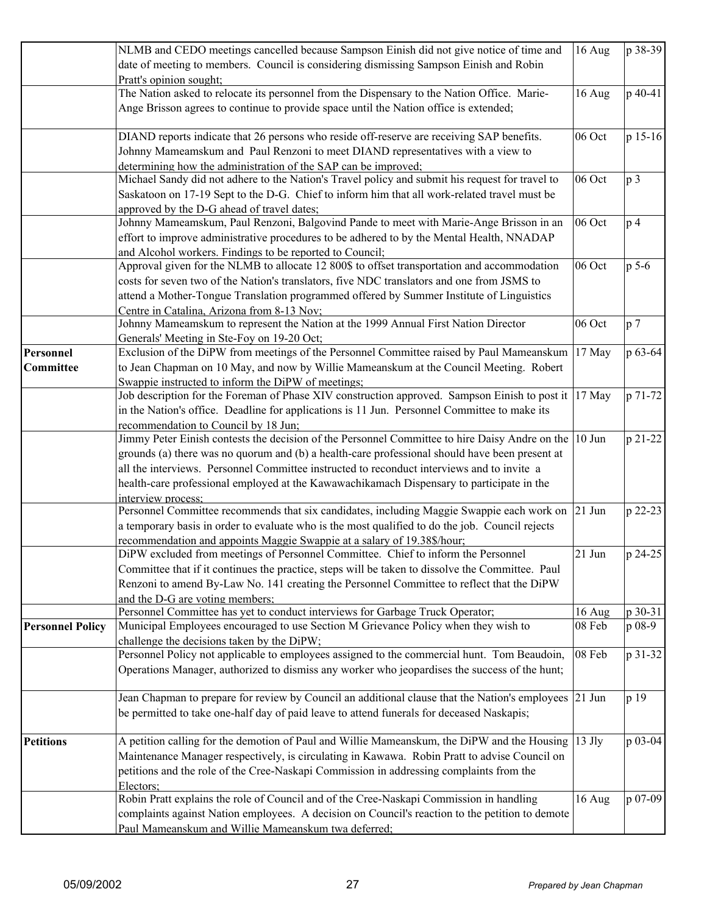|                         | NLMB and CEDO meetings cancelled because Sampson Einish did not give notice of time and               | 16 Aug   | p 38-39        |
|-------------------------|-------------------------------------------------------------------------------------------------------|----------|----------------|
|                         | date of meeting to members. Council is considering dismissing Sampson Einish and Robin                |          |                |
|                         | Pratt's opinion sought;                                                                               |          |                |
|                         | The Nation asked to relocate its personnel from the Dispensary to the Nation Office. Marie-           | 16 Aug   | p 40-41        |
|                         | Ange Brisson agrees to continue to provide space until the Nation office is extended;                 |          |                |
|                         |                                                                                                       |          |                |
|                         | DIAND reports indicate that 26 persons who reside off-reserve are receiving SAP benefits.             | 06 Oct   | p 15-16        |
|                         | Johnny Mameamskum and Paul Renzoni to meet DIAND representatives with a view to                       |          |                |
|                         | determining how the administration of the SAP can be improved;                                        |          |                |
|                         | Michael Sandy did not adhere to the Nation's Travel policy and submit his request for travel to       | 06 Oct   | p <sub>3</sub> |
|                         | Saskatoon on 17-19 Sept to the D-G. Chief to inform him that all work-related travel must be          |          |                |
|                         | approved by the D-G ahead of travel dates;                                                            |          |                |
|                         | Johnny Mameamskum, Paul Renzoni, Balgovind Pande to meet with Marie-Ange Brisson in an                | 06 Oct   | p <sub>4</sub> |
|                         | effort to improve administrative procedures to be adhered to by the Mental Health, NNADAP             |          |                |
|                         | and Alcohol workers. Findings to be reported to Council;                                              |          |                |
|                         | Approval given for the NLMB to allocate 12 800\$ to offset transportation and accommodation           | 06 Oct   | $p$ 5-6        |
|                         | costs for seven two of the Nation's translators, five NDC translators and one from JSMS to            |          |                |
|                         |                                                                                                       |          |                |
|                         | attend a Mother-Tongue Translation programmed offered by Summer Institute of Linguistics              |          |                |
|                         | Centre in Catalina, Arizona from 8-13 Nov;                                                            | 06 Oct   |                |
|                         | Johnny Mameamskum to represent the Nation at the 1999 Annual First Nation Director                    |          | p <sub>7</sub> |
|                         | Generals' Meeting in Ste-Foy on 19-20 Oct;                                                            |          |                |
| Personnel               | Exclusion of the DiPW from meetings of the Personnel Committee raised by Paul Mameanskum              | 17 May   | p 63-64        |
| <b>Committee</b>        | to Jean Chapman on 10 May, and now by Willie Mameanskum at the Council Meeting. Robert                |          |                |
|                         | Swappie instructed to inform the DiPW of meetings;                                                    |          |                |
|                         | Job description for the Foreman of Phase XIV construction approved. Sampson Einish to post it 17 May  |          | p 71-72        |
|                         | in the Nation's office. Deadline for applications is 11 Jun. Personnel Committee to make its          |          |                |
|                         | recommendation to Council by 18 Jun;                                                                  |          |                |
|                         | Jimmy Peter Einish contests the decision of the Personnel Committee to hire Daisy Andre on the 10 Jun |          | p 21-22        |
|                         | grounds (a) there was no quorum and (b) a health-care professional should have been present at        |          |                |
|                         | all the interviews. Personnel Committee instructed to reconduct interviews and to invite a            |          |                |
|                         | health-care professional employed at the Kawawachikamach Dispensary to participate in the             |          |                |
|                         | interview process:                                                                                    |          |                |
|                         | Personnel Committee recommends that six candidates, including Maggie Swappie each work on 21 Jun      |          | p 22-23        |
|                         | a temporary basis in order to evaluate who is the most qualified to do the job. Council rejects       |          |                |
|                         | recommendation and appoints Maggie Swappie at a salary of 19.38\$/hour;                               |          |                |
|                         | DiPW excluded from meetings of Personnel Committee. Chief to inform the Personnel                     | 21 Jun   | p 24-25        |
|                         | Committee that if it continues the practice, steps will be taken to dissolve the Committee. Paul      |          |                |
|                         | Renzoni to amend By-Law No. 141 creating the Personnel Committee to reflect that the DiPW             |          |                |
|                         | and the D-G are voting members:                                                                       |          |                |
|                         | Personnel Committee has yet to conduct interviews for Garbage Truck Operator;                         | 16 Aug   | p 30-31        |
| <b>Personnel Policy</b> | Municipal Employees encouraged to use Section M Grievance Policy when they wish to                    | 08 Feb   | p 08-9         |
|                         | challenge the decisions taken by the DiPW;                                                            |          |                |
|                         | Personnel Policy not applicable to employees assigned to the commercial hunt. Tom Beaudoin,           | 08 Feb   | p 31-32        |
|                         | Operations Manager, authorized to dismiss any worker who jeopardises the success of the hunt;         |          |                |
|                         |                                                                                                       |          |                |
|                         | Jean Chapman to prepare for review by Council an additional clause that the Nation's employees 21 Jun |          | p 19           |
|                         | be permitted to take one-half day of paid leave to attend funerals for deceased Naskapis;             |          |                |
|                         |                                                                                                       |          |                |
| <b>Petitions</b>        | A petition calling for the demotion of Paul and Willie Mameanskum, the DiPW and the Housing           | $13$ Jly | p 03-04        |
|                         | Maintenance Manager respectively, is circulating in Kawawa. Robin Pratt to advise Council on          |          |                |
|                         | petitions and the role of the Cree-Naskapi Commission in addressing complaints from the               |          |                |
|                         |                                                                                                       |          |                |
|                         | Electors;<br>Robin Pratt explains the role of Council and of the Cree-Naskapi Commission in handling  | 16 Aug   | p 07-09        |
|                         |                                                                                                       |          |                |
|                         | complaints against Nation employees. A decision on Council's reaction to the petition to demote       |          |                |
|                         | Paul Mameanskum and Willie Mameanskum twa deferred;                                                   |          |                |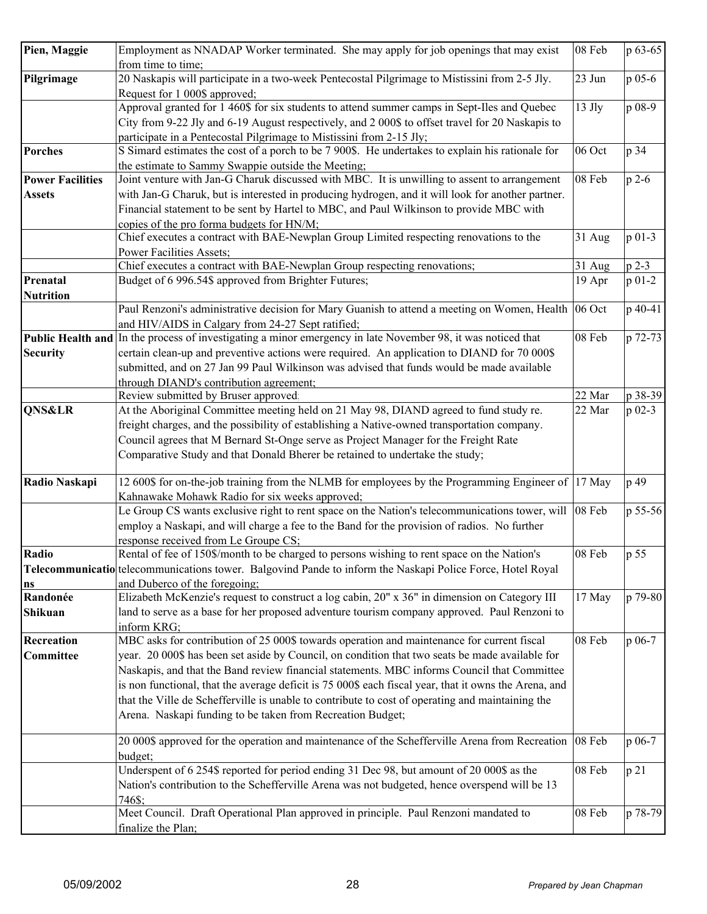| Pien, Maggie            | Employment as NNADAP Worker terminated. She may apply for job openings that may exist                        | 08 Feb   | p 63-65    |
|-------------------------|--------------------------------------------------------------------------------------------------------------|----------|------------|
|                         | from time to time;                                                                                           |          |            |
| Pilgrimage              | 20 Naskapis will participate in a two-week Pentecostal Pilgrimage to Mistissini from 2-5 Jly.                | 23 Jun   | p 05-6     |
|                         | Request for 1 000\$ approved;                                                                                |          |            |
|                         | Approval granted for 1 460\$ for six students to attend summer camps in Sept-Iles and Quebec                 | $13$ Jly | p 08-9     |
|                         | City from 9-22 Jly and 6-19 August respectively, and 2 000\$ to offset travel for 20 Naskapis to             |          |            |
|                         | participate in a Pentecostal Pilgrimage to Mistissini from 2-15 Jly;                                         |          |            |
| <b>Porches</b>          | S Simard estimates the cost of a porch to be 7 900\$. He undertakes to explain his rationale for             | 06 Oct   | p 34       |
|                         | the estimate to Sammy Swappie outside the Meeting;                                                           |          |            |
| <b>Power Facilities</b> | Joint venture with Jan-G Charuk discussed with MBC. It is unwilling to assent to arrangement                 | 08 Feb   | $p$ 2-6    |
| <b>Assets</b>           | with Jan-G Charuk, but is interested in producing hydrogen, and it will look for another partner.            |          |            |
|                         | Financial statement to be sent by Hartel to MBC, and Paul Wilkinson to provide MBC with                      |          |            |
|                         | copies of the pro forma budgets for HN/M;                                                                    |          |            |
|                         | Chief executes a contract with BAE-Newplan Group Limited respecting renovations to the                       | 31 Aug   | $p 01-3$   |
|                         | Power Facilities Assets;                                                                                     |          |            |
|                         | Chief executes a contract with BAE-Newplan Group respecting renovations;                                     | 31 Aug   | $p$ 2-3    |
| Prenatal                | Budget of 6 996.54\$ approved from Brighter Futures;                                                         | 19 Apr   | $p 01-2$   |
| <b>Nutrition</b>        |                                                                                                              |          |            |
|                         | Paul Renzoni's administrative decision for Mary Guanish to attend a meeting on Women, Health 06 Oct          |          | p 40-41    |
|                         | and HIV/AIDS in Calgary from 24-27 Sept ratified;                                                            |          |            |
|                         | Public Health and In the process of investigating a minor emergency in late November 98, it was noticed that | 08 Feb   | p 72-73    |
| <b>Security</b>         | certain clean-up and preventive actions were required. An application to DIAND for 70 000\$                  |          |            |
|                         | submitted, and on 27 Jan 99 Paul Wilkinson was advised that funds would be made available                    |          |            |
|                         | through DIAND's contribution agreement;                                                                      |          |            |
|                         | Review submitted by Bruser approved.                                                                         | 22 Mar   | p 38-39    |
| <b>QNS&amp;LR</b>       | At the Aboriginal Committee meeting held on 21 May 98, DIAND agreed to fund study re.                        | 22 Mar   | $p_{02-3}$ |
|                         | freight charges, and the possibility of establishing a Native-owned transportation company.                  |          |            |
|                         | Council agrees that M Bernard St-Onge serve as Project Manager for the Freight Rate                          |          |            |
|                         | Comparative Study and that Donald Bherer be retained to undertake the study;                                 |          |            |
| Radio Naskapi           | 12 600\$ for on-the-job training from the NLMB for employees by the Programming Engineer of 17 May           |          | p 49       |
|                         | Kahnawake Mohawk Radio for six weeks approved;                                                               |          |            |
|                         | Le Group CS wants exclusive right to rent space on the Nation's telecommunications tower, will 08 Feb        |          | p 55-56    |
|                         | employ a Naskapi, and will charge a fee to the Band for the provision of radios. No further                  |          |            |
|                         | response received from Le Groupe CS;                                                                         |          |            |
| Radio                   | Rental of fee of 150\$/month to be charged to persons wishing to rent space on the Nation's                  | 08 Feb   | p 55       |
|                         | Telecommunicatio telecommunications tower. Balgovind Pande to inform the Naskapi Police Force, Hotel Royal   |          |            |
| ns                      | and Duberco of the foregoing;                                                                                |          |            |
| Randonée                | Elizabeth McKenzie's request to construct a log cabin, 20" x 36" in dimension on Category III                | 17 May   | p 79-80    |
| <b>Shikuan</b>          | land to serve as a base for her proposed adventure tourism company approved. Paul Renzoni to                 |          |            |
|                         | inform KRG;                                                                                                  |          |            |
| Recreation              | MBC asks for contribution of 25 000\$ towards operation and maintenance for current fiscal                   | 08 Feb   | p 06-7     |
| <b>Committee</b>        | year. 20 000\$ has been set aside by Council, on condition that two seats be made available for              |          |            |
|                         | Naskapis, and that the Band review financial statements. MBC informs Council that Committee                  |          |            |
|                         | is non functional, that the average deficit is 75 000\$ each fiscal year, that it owns the Arena, and        |          |            |
|                         | that the Ville de Schefferville is unable to contribute to cost of operating and maintaining the             |          |            |
|                         | Arena. Naskapi funding to be taken from Recreation Budget;                                                   |          |            |
|                         | 20 000\$ approved for the operation and maintenance of the Schefferville Arena from Recreation               | 08 Feb   | p 06-7     |
|                         | budget;                                                                                                      |          |            |
|                         | Underspent of 6 254\$ reported for period ending 31 Dec 98, but amount of 20 000\$ as the                    | 08 Feb   | p 21       |
|                         | Nation's contribution to the Schefferville Arena was not budgeted, hence overspend will be 13                |          |            |
|                         | 746\$;                                                                                                       |          |            |
|                         | Meet Council. Draft Operational Plan approved in principle. Paul Renzoni mandated to                         | 08 Feb   | p 78-79    |
|                         | finalize the Plan;                                                                                           |          |            |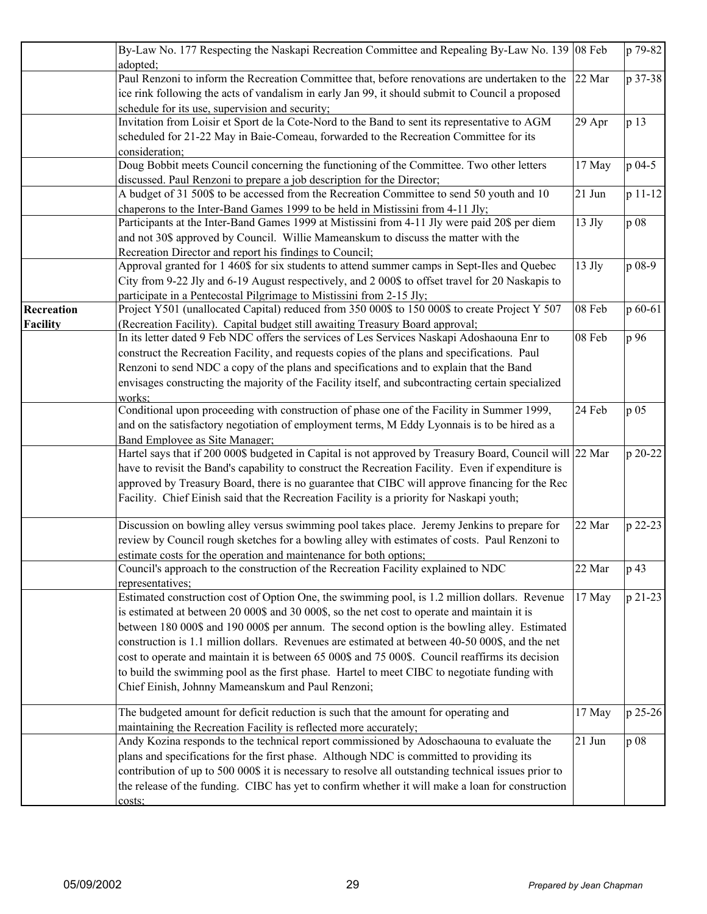|                                      | By-Law No. 177 Respecting the Naskapi Recreation Committee and Repealing By-Law No. 139 08 Feb<br>adopted;                                                                                                                                                                                                                                                                                                                                                                                                                                                                                                                                                |                  | p 79-82         |
|--------------------------------------|-----------------------------------------------------------------------------------------------------------------------------------------------------------------------------------------------------------------------------------------------------------------------------------------------------------------------------------------------------------------------------------------------------------------------------------------------------------------------------------------------------------------------------------------------------------------------------------------------------------------------------------------------------------|------------------|-----------------|
|                                      | Paul Renzoni to inform the Recreation Committee that, before renovations are undertaken to the 22 Mar<br>ice rink following the acts of vandalism in early Jan 99, it should submit to Council a proposed<br>schedule for its use, supervision and security;                                                                                                                                                                                                                                                                                                                                                                                              |                  | p 37-38         |
|                                      | Invitation from Loisir et Sport de la Cote-Nord to the Band to sent its representative to AGM<br>scheduled for 21-22 May in Baie-Comeau, forwarded to the Recreation Committee for its<br>consideration;                                                                                                                                                                                                                                                                                                                                                                                                                                                  | 29 Apr           | p 13            |
|                                      | Doug Bobbit meets Council concerning the functioning of the Committee. Two other letters<br>discussed. Paul Renzoni to prepare a job description for the Director;                                                                                                                                                                                                                                                                                                                                                                                                                                                                                        | 17 May           | p 04-5          |
|                                      | A budget of 31 500\$ to be accessed from the Recreation Committee to send 50 youth and 10<br>chaperons to the Inter-Band Games 1999 to be held in Mistissini from 4-11 Jly;                                                                                                                                                                                                                                                                                                                                                                                                                                                                               | 21 Jun           | $p 11-12$       |
|                                      | Participants at the Inter-Band Games 1999 at Mistissini from 4-11 Jly were paid 20\$ per diem<br>and not 30\$ approved by Council. Willie Mameanskum to discuss the matter with the<br>Recreation Director and report his findings to Council;                                                                                                                                                                                                                                                                                                                                                                                                            | $13$ Jly         | p 08            |
|                                      | Approval granted for 1 460\$ for six students to attend summer camps in Sept-Iles and Quebec<br>City from 9-22 Jly and 6-19 August respectively, and 2 000\$ to offset travel for 20 Naskapis to<br>participate in a Pentecostal Pilgrimage to Mistissini from 2-15 Jly;                                                                                                                                                                                                                                                                                                                                                                                  | $13$ Jly         | p 08-9          |
| <b>Recreation</b><br><b>Facility</b> | Project Y501 (unallocated Capital) reduced from 350 000\$ to 150 000\$ to create Project Y 507<br>(Recreation Facility). Capital budget still awaiting Treasury Board approval;                                                                                                                                                                                                                                                                                                                                                                                                                                                                           | 08 Feb           | p 60-61         |
|                                      | In its letter dated 9 Feb NDC offers the services of Les Services Naskapi Adoshaouna Enr to<br>construct the Recreation Facility, and requests copies of the plans and specifications. Paul<br>Renzoni to send NDC a copy of the plans and specifications and to explain that the Band<br>envisages constructing the majority of the Facility itself, and subcontracting certain specialized<br>works:                                                                                                                                                                                                                                                    | 08 Feb           | p 96            |
|                                      | Conditional upon proceeding with construction of phase one of the Facility in Summer 1999,<br>and on the satisfactory negotiation of employment terms, M Eddy Lyonnais is to be hired as a<br>Band Employee as Site Manager;                                                                                                                                                                                                                                                                                                                                                                                                                              | 24 Feb           | p 05            |
|                                      | Hartel says that if 200 000\$ budgeted in Capital is not approved by Treasury Board, Council will 22 Mar<br>have to revisit the Band's capability to construct the Recreation Facility. Even if expenditure is<br>approved by Treasury Board, there is no guarantee that CIBC will approve financing for the Rec<br>Facility. Chief Einish said that the Recreation Facility is a priority for Naskapi youth;                                                                                                                                                                                                                                             |                  | p 20-22         |
|                                      | Discussion on bowling alley versus swimming pool takes place. Jeremy Jenkins to prepare for<br>review by Council rough sketches for a bowling alley with estimates of costs. Paul Renzoni to<br>estimate costs for the operation and maintenance for both options;                                                                                                                                                                                                                                                                                                                                                                                        | 22 Mar           | p 22-23         |
|                                      | Council's approach to the construction of the Recreation Facility explained to NDC<br>representatives;                                                                                                                                                                                                                                                                                                                                                                                                                                                                                                                                                    | 22 Mar           | p 43            |
|                                      | Estimated construction cost of Option One, the swimming pool, is 1.2 million dollars. Revenue<br>is estimated at between 20 000\$ and 30 000\$, so the net cost to operate and maintain it is<br>between 180 000\$ and 190 000\$ per annum. The second option is the bowling alley. Estimated<br>construction is 1.1 million dollars. Revenues are estimated at between 40-50 000\$, and the net<br>cost to operate and maintain it is between 65 000\$ and 75 000\$. Council reaffirms its decision<br>to build the swimming pool as the first phase. Hartel to meet CIBC to negotiate funding with<br>Chief Einish, Johnny Mameanskum and Paul Renzoni; | 17 May           | p 21-23         |
|                                      | The budgeted amount for deficit reduction is such that the amount for operating and<br>maintaining the Recreation Facility is reflected more accurately;<br>Andy Kozina responds to the technical report commissioned by Adoschaouna to evaluate the                                                                                                                                                                                                                                                                                                                                                                                                      | 17 May<br>21 Jun | p 25-26<br>p 08 |
|                                      | plans and specifications for the first phase. Although NDC is committed to providing its<br>contribution of up to 500 000\$ it is necessary to resolve all outstanding technical issues prior to<br>the release of the funding. CIBC has yet to confirm whether it will make a loan for construction<br>costs:                                                                                                                                                                                                                                                                                                                                            |                  |                 |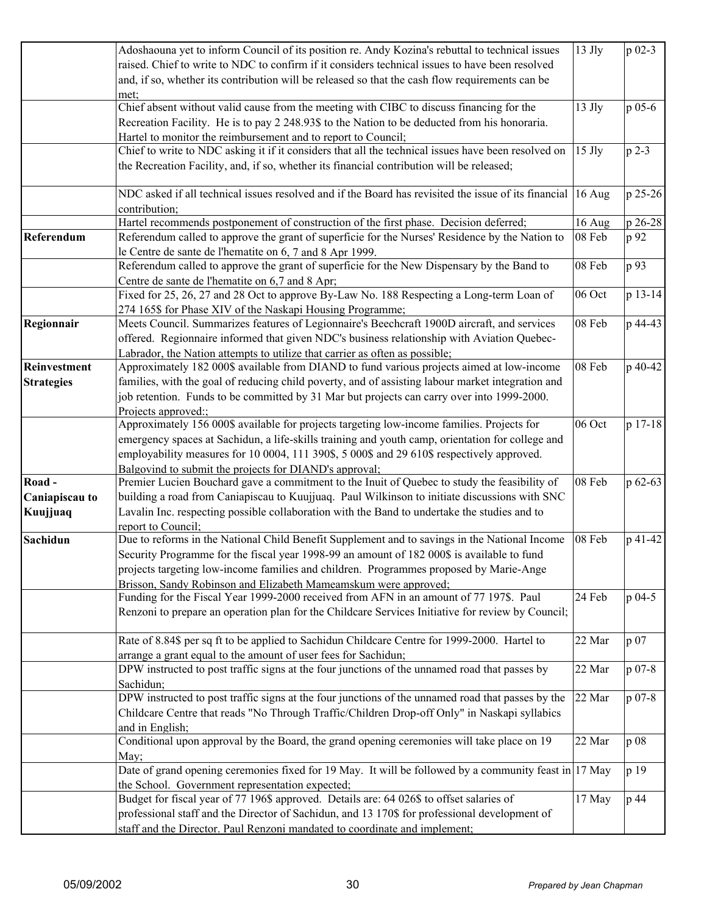|                   | Adoshaouna yet to inform Council of its position re. Andy Kozina's rebuttal to technical issues                   | $13$ Jly | p 02-3  |
|-------------------|-------------------------------------------------------------------------------------------------------------------|----------|---------|
|                   | raised. Chief to write to NDC to confirm if it considers technical issues to have been resolved                   |          |         |
|                   | and, if so, whether its contribution will be released so that the cash flow requirements can be                   |          |         |
|                   | met;                                                                                                              |          |         |
|                   | Chief absent without valid cause from the meeting with CIBC to discuss financing for the                          | $13$ Jly | p 05-6  |
|                   | Recreation Facility. He is to pay 2 248.93\$ to the Nation to be deducted from his honoraria.                     |          |         |
|                   | Hartel to monitor the reimbursement and to report to Council;                                                     |          |         |
|                   | Chief to write to NDC asking it if it considers that all the technical issues have been resolved on               | $15$ Jly | $p 2-3$ |
|                   | the Recreation Facility, and, if so, whether its financial contribution will be released;                         |          |         |
|                   |                                                                                                                   |          |         |
|                   | NDC asked if all technical issues resolved and if the Board has revisited the issue of its financial 16 Aug       |          | p 25-26 |
|                   | contribution;                                                                                                     |          |         |
|                   | Hartel recommends postponement of construction of the first phase. Decision deferred;                             | 16 Aug   | p 26-28 |
| Referendum        | Referendum called to approve the grant of superficie for the Nurses' Residence by the Nation to                   | 08 Feb   | p 92    |
|                   | le Centre de sante de l'hematite on 6, 7 and 8 Apr 1999.                                                          |          |         |
|                   | Referendum called to approve the grant of superficie for the New Dispensary by the Band to                        | 08 Feb   | p 93    |
|                   | Centre de sante de l'hematite on 6,7 and 8 Apr;                                                                   |          |         |
|                   | Fixed for 25, 26, 27 and 28 Oct to approve By-Law No. 188 Respecting a Long-term Loan of                          | 06 Oct   | p 13-14 |
|                   | 274 165\$ for Phase XIV of the Naskapi Housing Programme;                                                         |          |         |
| Regionnair        | Meets Council. Summarizes features of Legionnaire's Beechcraft 1900D aircraft, and services                       | 08 Feb   | p 44-43 |
|                   | offered. Regionnaire informed that given NDC's business relationship with Aviation Quebec-                        |          |         |
|                   | Labrador, the Nation attempts to utilize that carrier as often as possible;                                       |          |         |
| Reinvestment      | Approximately 182 000\$ available from DIAND to fund various projects aimed at low-income                         | 08 Feb   | p 40-42 |
|                   | families, with the goal of reducing child poverty, and of assisting labour market integration and                 |          |         |
| <b>Strategies</b> |                                                                                                                   |          |         |
|                   | job retention. Funds to be committed by 31 Mar but projects can carry over into 1999-2000.                        |          |         |
|                   | Projects approved::<br>Approximately 156 000\$ available for projects targeting low-income families. Projects for | 06 Oct   | p 17-18 |
|                   |                                                                                                                   |          |         |
|                   | emergency spaces at Sachidun, a life-skills training and youth camp, orientation for college and                  |          |         |
|                   | employability measures for 10 0004, 111 390\$, 5 000\$ and 29 610\$ respectively approved.                        |          |         |
|                   | Balgovind to submit the projects for DIAND's approval;                                                            |          |         |
| Road-             | Premier Lucien Bouchard gave a commitment to the Inuit of Quebec to study the feasibility of                      | 08 Feb   | p 62-63 |
| Caniapiscau to    | building a road from Caniapiscau to Kuujjuaq. Paul Wilkinson to initiate discussions with SNC                     |          |         |
| Kuujjuaq          | Lavalin Inc. respecting possible collaboration with the Band to undertake the studies and to                      |          |         |
|                   | report to Council:                                                                                                |          |         |
| <b>Sachidun</b>   | Due to reforms in the National Child Benefit Supplement and to savings in the National Income                     | 08 Feb   | p 41-42 |
|                   | Security Programme for the fiscal year 1998-99 an amount of 182 000\$ is available to fund                        |          |         |
|                   | projects targeting low-income families and children. Programmes proposed by Marie-Ange                            |          |         |
|                   | Brisson, Sandy Robinson and Elizabeth Mameamskum were approved;                                                   |          |         |
|                   | Funding for the Fiscal Year 1999-2000 received from AFN in an amount of 77 197\$. Paul                            | 24 Feb   | p 04-5  |
|                   | Renzoni to prepare an operation plan for the Childcare Services Initiative for review by Council;                 |          |         |
|                   |                                                                                                                   |          |         |
|                   | Rate of 8.84\$ per sq ft to be applied to Sachidun Childcare Centre for 1999-2000. Hartel to                      | 22 Mar   | p 07    |
|                   | arrange a grant equal to the amount of user fees for Sachidun;                                                    |          |         |
|                   | DPW instructed to post traffic signs at the four junctions of the unnamed road that passes by                     | 22 Mar   | p 07-8  |
|                   | Sachidun;                                                                                                         |          |         |
|                   | DPW instructed to post traffic signs at the four junctions of the unnamed road that passes by the                 | 22 Mar   | p 07-8  |
|                   | Childcare Centre that reads "No Through Traffic/Children Drop-off Only" in Naskapi syllabics                      |          |         |
|                   | and in English;                                                                                                   |          |         |
|                   | Conditional upon approval by the Board, the grand opening ceremonies will take place on 19                        | 22 Mar   | p 08    |
|                   | May;                                                                                                              |          |         |
|                   | Date of grand opening ceremonies fixed for 19 May. It will be followed by a community feast in 17 May             |          | p 19    |
|                   | the School. Government representation expected;                                                                   |          |         |
|                   | Budget for fiscal year of 77 196\$ approved. Details are: 64 026\$ to offset salaries of                          | 17 May   | p 44    |
|                   | professional staff and the Director of Sachidun, and 13 170\$ for professional development of                     |          |         |
|                   | staff and the Director. Paul Renzoni mandated to coordinate and implement;                                        |          |         |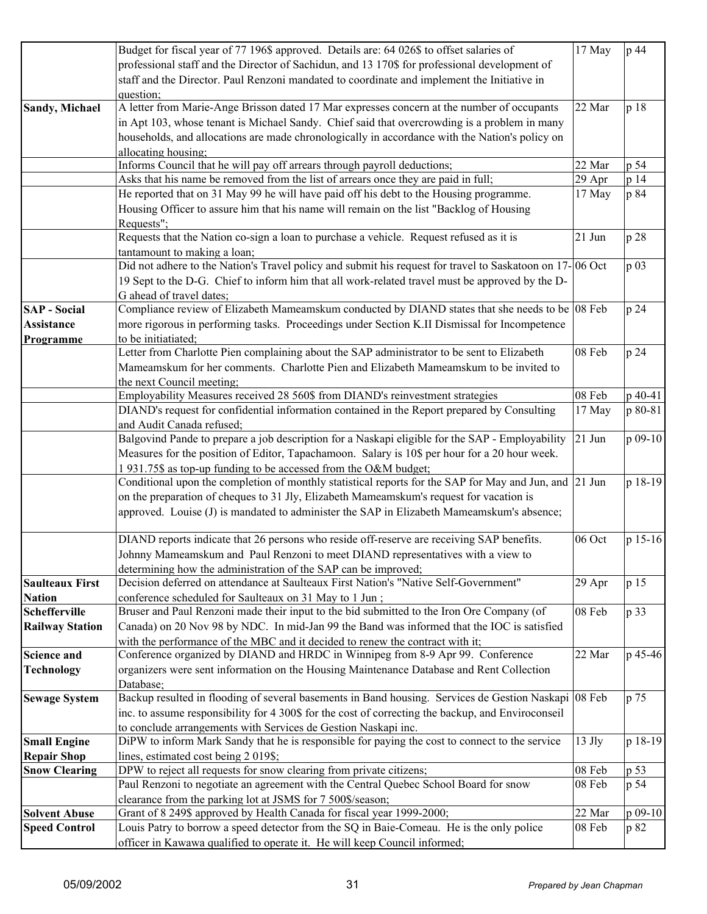|                        | Budget for fiscal year of 77 196\$ approved. Details are: 64 026\$ to offset salaries of                 | 17 May   | p 44    |
|------------------------|----------------------------------------------------------------------------------------------------------|----------|---------|
|                        | professional staff and the Director of Sachidun, and 13 170\$ for professional development of            |          |         |
|                        | staff and the Director. Paul Renzoni mandated to coordinate and implement the Initiative in              |          |         |
|                        | question;                                                                                                |          |         |
| <b>Sandy, Michael</b>  | A letter from Marie-Ange Brisson dated 17 Mar expresses concern at the number of occupants               | 22 Mar   | p 18    |
|                        | in Apt 103, whose tenant is Michael Sandy. Chief said that overcrowding is a problem in many             |          |         |
|                        | households, and allocations are made chronologically in accordance with the Nation's policy on           |          |         |
|                        | allocating housing;                                                                                      |          |         |
|                        | Informs Council that he will pay off arrears through payroll deductions;                                 | 22 Mar   | p 54    |
|                        | Asks that his name be removed from the list of arrears once they are paid in full;                       | 29 Apr   | p 14    |
|                        | He reported that on 31 May 99 he will have paid off his debt to the Housing programme.                   | 17 May   | p 84    |
|                        | Housing Officer to assure him that his name will remain on the list "Backlog of Housing                  |          |         |
|                        | Requests";                                                                                               |          |         |
|                        | Requests that the Nation co-sign a loan to purchase a vehicle. Request refused as it is                  | 21 Jun   | p 28    |
|                        | tantamount to making a loan;                                                                             |          |         |
|                        | Did not adhere to the Nation's Travel policy and submit his request for travel to Saskatoon on 17-06 Oct |          | p 03    |
|                        | 19 Sept to the D-G. Chief to inform him that all work-related travel must be approved by the D-          |          |         |
|                        | G ahead of travel dates;                                                                                 |          |         |
| <b>SAP</b> - Social    | Compliance review of Elizabeth Mameamskum conducted by DIAND states that she needs to be 08 Feb          |          | p 24    |
| <b>Assistance</b>      | more rigorous in performing tasks. Proceedings under Section K.II Dismissal for Incompetence             |          |         |
| Programme              | to be initiatiated:                                                                                      |          |         |
|                        | Letter from Charlotte Pien complaining about the SAP administrator to be sent to Elizabeth               | 08 Feb   | p 24    |
|                        | Mameamskum for her comments. Charlotte Pien and Elizabeth Mameamskum to be invited to                    |          |         |
|                        | the next Council meeting;                                                                                |          |         |
|                        | Employability Measures received 28 560\$ from DIAND's reinvestment strategies                            | 08 Feb   | p 40-41 |
|                        | DIAND's request for confidential information contained in the Report prepared by Consulting              | 17 May   | p 80-81 |
|                        | and Audit Canada refused;                                                                                |          |         |
|                        | Balgovind Pande to prepare a job description for a Naskapi eligible for the SAP - Employability          | $21$ Jun | p 09-10 |
|                        | Measures for the position of Editor, Tapachamoon. Salary is 10\$ per hour for a 20 hour week.            |          |         |
|                        | 1 931.75\$ as top-up funding to be accessed from the O&M budget;                                         |          |         |
|                        | Conditional upon the completion of monthly statistical reports for the SAP for May and Jun, and 21 Jun   |          | p 18-19 |
|                        | on the preparation of cheques to 31 Jly, Elizabeth Mameamskum's request for vacation is                  |          |         |
|                        | approved. Louise (J) is mandated to administer the SAP in Elizabeth Mameamskum's absence;                |          |         |
|                        | DIAND reports indicate that 26 persons who reside off-reserve are receiving SAP benefits.                | 06 Oct   | p 15-16 |
|                        | Johnny Mameamskum and Paul Renzoni to meet DIAND representatives with a view to                          |          |         |
|                        | determining how the administration of the SAP can be improved;                                           |          |         |
| <b>Saulteaux First</b> | Decision deferred on attendance at Saulteaux First Nation's "Native Self-Government"                     | 29 Apr   | p 15    |
| <b>Nation</b>          | conference scheduled for Saulteaux on 31 May to 1 Jun;                                                   |          |         |
| <b>Schefferville</b>   | Bruser and Paul Renzoni made their input to the bid submitted to the Iron Ore Company (of                | 08 Feb   | p 33    |
| <b>Railway Station</b> | Canada) on 20 Nov 98 by NDC. In mid-Jan 99 the Band was informed that the IOC is satisfied               |          |         |
|                        | with the performance of the MBC and it decided to renew the contract with it;                            |          |         |
| <b>Science and</b>     | Conference organized by DIAND and HRDC in Winnipeg from 8-9 Apr 99. Conference                           | 22 Mar   | p 45-46 |
| <b>Technology</b>      | organizers were sent information on the Housing Maintenance Database and Rent Collection                 |          |         |
|                        | Database;                                                                                                |          |         |
| <b>Sewage System</b>   | Backup resulted in flooding of several basements in Band housing. Services de Gestion Naskapi 08 Feb     |          | p 75    |
|                        | inc. to assume responsibility for 4 300\$ for the cost of correcting the backup, and Enviroconseil       |          |         |
|                        | to conclude arrangements with Services de Gestion Naskapi inc.                                           |          |         |
| <b>Small Engine</b>    | DiPW to inform Mark Sandy that he is responsible for paying the cost to connect to the service           | $13$ Jly | p 18-19 |
| <b>Repair Shop</b>     | lines, estimated cost being 2 019\$;                                                                     |          |         |
| <b>Snow Clearing</b>   | DPW to reject all requests for snow clearing from private citizens;                                      | 08 Feb   | p 53    |
|                        | Paul Renzoni to negotiate an agreement with the Central Quebec School Board for snow                     | 08 Feb   | p 54    |
|                        | clearance from the parking lot at JSMS for 7 500\$/season;                                               |          |         |
| <b>Solvent Abuse</b>   | Grant of 8 249\$ approved by Health Canada for fiscal year 1999-2000;                                    | 22 Mar   | p 09-10 |
| <b>Speed Control</b>   | Louis Patry to borrow a speed detector from the SQ in Baie-Comeau. He is the only police                 | 08 Feb   | p 82    |
|                        | officer in Kawawa qualified to operate it. He will keep Council informed;                                |          |         |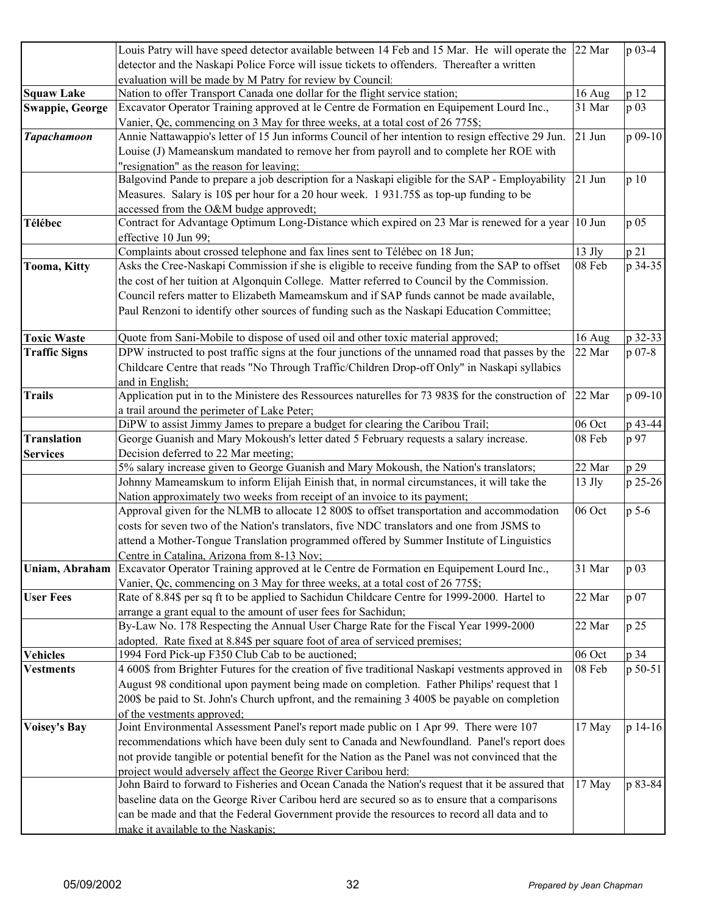|                        | Louis Patry will have speed detector available between 14 Feb and 15 Mar. He will operate the 22 Mar |          | p 03-4   |
|------------------------|------------------------------------------------------------------------------------------------------|----------|----------|
|                        | detector and the Naskapi Police Force will issue tickets to offenders. Thereafter a written          |          |          |
|                        | evaluation will be made by M Patry for review by Council.                                            |          |          |
| <b>Squaw Lake</b>      | Nation to offer Transport Canada one dollar for the flight service station;                          | 16 Aug   | p 12     |
| <b>Swappie, George</b> | Excavator Operator Training approved at le Centre de Formation en Equipement Lourd Inc.,             | 31 Mar   | p 03     |
|                        | Vanier, Qc, commencing on 3 May for three weeks, at a total cost of 26 775\$;                        |          |          |
| <b>Tapachamoon</b>     | Annie Nattawappio's letter of 15 Jun informs Council of her intention to resign effective 29 Jun.    | $21$ Jun | p 09-10  |
|                        | Louise (J) Mameanskum mandated to remove her from payroll and to complete her ROE with               |          |          |
|                        | "resignation" as the reason for leaving:                                                             |          |          |
|                        | Balgovind Pande to prepare a job description for a Naskapi eligible for the SAP - Employability      | $21$ Jun | p 10     |
|                        | Measures. Salary is 10\$ per hour for a 20 hour week. 1931.75\$ as top-up funding to be              |          |          |
|                        | accessed from the O&M budge approvedt;                                                               |          |          |
| Télébec                | Contract for Advantage Optimum Long-Distance which expired on 23 Mar is renewed for a year           | 10 Jun   | p 05     |
|                        | effective 10 Jun 99;                                                                                 |          |          |
|                        | Complaints about crossed telephone and fax lines sent to Télébec on 18 Jun;                          | 13 Jly   | p 21     |
| <b>Tooma, Kitty</b>    | Asks the Cree-Naskapi Commission if she is eligible to receive funding from the SAP to offset        | 08 Feb   | p 34-35  |
|                        | the cost of her tuition at Algonquin College. Matter referred to Council by the Commission.          |          |          |
|                        | Council refers matter to Elizabeth Mameamskum and if SAP funds cannot be made available,             |          |          |
|                        | Paul Renzoni to identify other sources of funding such as the Naskapi Education Committee;           |          |          |
|                        |                                                                                                      |          |          |
| <b>Toxic Waste</b>     | Quote from Sani-Mobile to dispose of used oil and other toxic material approved;                     | 16 Aug   | p 32-33  |
| <b>Traffic Signs</b>   | DPW instructed to post traffic signs at the four junctions of the unnamed road that passes by the    | 22 Mar   | $p 07-8$ |
|                        | Childcare Centre that reads "No Through Traffic/Children Drop-off Only" in Naskapi syllabics         |          |          |
|                        | and in English;                                                                                      |          |          |
| <b>Trails</b>          | Application put in to the Ministere des Ressources naturelles for 73 983\$ for the construction of   | 22 Mar   | p 09-10  |
|                        | a trail around the perimeter of Lake Peter;                                                          |          |          |
|                        | DiPW to assist Jimmy James to prepare a budget for clearing the Caribou Trail;                       | 06 Oct   | p 43-44  |
| <b>Translation</b>     | George Guanish and Mary Mokoush's letter dated 5 February requests a salary increase.                | 08 Feb   | p 97     |
| <b>Services</b>        | Decision deferred to 22 Mar meeting;                                                                 |          |          |
|                        | 5% salary increase given to George Guanish and Mary Mokoush, the Nation's translators;               | 22 Mar   | p 29     |
|                        | Johnny Mameamskum to inform Elijah Einish that, in normal circumstances, it will take the            | $13$ Jly | p 25-26  |
|                        | Nation approximately two weeks from receipt of an invoice to its payment;                            |          |          |
|                        | Approval given for the NLMB to allocate 12 800\$ to offset transportation and accommodation          | 06 Oct   | $p$ 5-6  |
|                        | costs for seven two of the Nation's translators, five NDC translators and one from JSMS to           |          |          |
|                        | attend a Mother-Tongue Translation programmed offered by Summer Institute of Linguistics             |          |          |
|                        | Centre in Catalina, Arizona from 8-13 Nov;                                                           |          |          |
| Uniam, Abraham         | Excavator Operator Training approved at le Centre de Formation en Equipement Lourd Inc.,             | 31 Mar   | p 03     |
|                        | Vanier, Qc, commencing on 3 May for three weeks, at a total cost of 26 775\$;                        |          |          |
| <b>User Fees</b>       | Rate of 8.84\$ per sq ft to be applied to Sachidun Childcare Centre for 1999-2000. Hartel to         | 22 Mar   | p 07     |
|                        | arrange a grant equal to the amount of user fees for Sachidun;                                       |          |          |
|                        | By-Law No. 178 Respecting the Annual User Charge Rate for the Fiscal Year 1999-2000                  | 22 Mar   | p 25     |
|                        | adopted. Rate fixed at 8.84\$ per square foot of area of serviced premises;                          |          |          |
| <b>Vehicles</b>        | 1994 Ford Pick-up F350 Club Cab to be auctioned;                                                     | 06 Oct   | p 34     |
| <b>Vestments</b>       | 4 600\$ from Brighter Futures for the creation of five traditional Naskapi vestments approved in     | 08 Feb   | p 50-51  |
|                        | August 98 conditional upon payment being made on completion. Father Philips' request that 1          |          |          |
|                        | 200\$ be paid to St. John's Church upfront, and the remaining 3 400\$ be payable on completion       |          |          |
|                        | of the vestments approved;                                                                           |          |          |
| <b>Voisey's Bay</b>    | Joint Environmental Assessment Panel's report made public on 1 Apr 99. There were 107                | 17 May   | p 14-16  |
|                        | recommendations which have been duly sent to Canada and Newfoundland. Panel's report does            |          |          |
|                        | not provide tangible or potential benefit for the Nation as the Panel was not convinced that the     |          |          |
|                        | project would adversely affect the George River Caribou herd.                                        |          |          |
|                        | John Baird to forward to Fisheries and Ocean Canada the Nation's request that it be assured that     | 17 May   | p 83-84  |
|                        | baseline data on the George River Caribou herd are secured so as to ensure that a comparisons        |          |          |
|                        | can be made and that the Federal Government provide the resources to record all data and to          |          |          |
|                        | make it available to the Naskapis:                                                                   |          |          |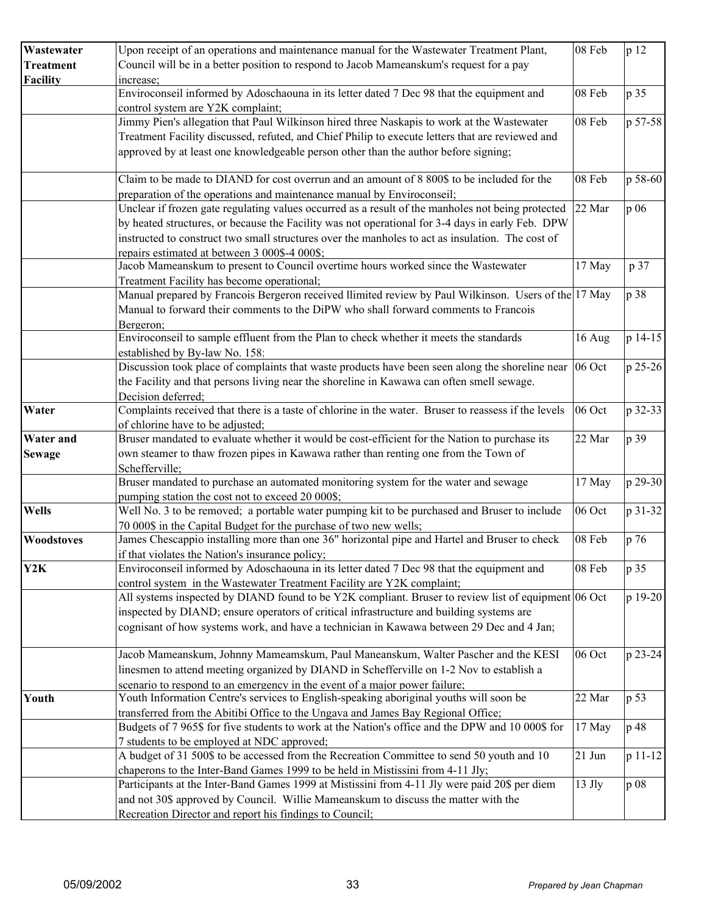| Wastewater       | Upon receipt of an operations and maintenance manual for the Wastewater Treatment Plant,                                                                                      | 08 Feb   | p 12    |
|------------------|-------------------------------------------------------------------------------------------------------------------------------------------------------------------------------|----------|---------|
| <b>Treatment</b> | Council will be in a better position to respond to Jacob Mameanskum's request for a pay                                                                                       |          |         |
| <b>Facility</b>  | increase;                                                                                                                                                                     |          |         |
|                  | Enviroconseil informed by Adoschaouna in its letter dated 7 Dec 98 that the equipment and                                                                                     | 08 Feb   | p 35    |
|                  | control system are Y2K complaint;                                                                                                                                             |          |         |
|                  | Jimmy Pien's allegation that Paul Wilkinson hired three Naskapis to work at the Wastewater                                                                                    | 08 Feb   | p 57-58 |
|                  | Treatment Facility discussed, refuted, and Chief Philip to execute letters that are reviewed and                                                                              |          |         |
|                  | approved by at least one knowledgeable person other than the author before signing;                                                                                           |          |         |
|                  | Claim to be made to DIAND for cost overrun and an amount of 8 800\$ to be included for the                                                                                    | 08 Feb   | p 58-60 |
|                  | preparation of the operations and maintenance manual by Enviroconseil;                                                                                                        |          |         |
|                  | Unclear if frozen gate regulating values occurred as a result of the manholes not being protected                                                                             | 22 Mar   | p 06    |
|                  | by heated structures, or because the Facility was not operational for 3-4 days in early Feb. DPW                                                                              |          |         |
|                  | instructed to construct two small structures over the manholes to act as insulation. The cost of                                                                              |          |         |
|                  | repairs estimated at between 3 000\$-4 000\$;                                                                                                                                 |          |         |
|                  | Jacob Mameanskum to present to Council overtime hours worked since the Wastewater                                                                                             | 17 May   | p 37    |
|                  | Treatment Facility has become operational;                                                                                                                                    |          |         |
|                  | Manual prepared by Francois Bergeron received llimited review by Paul Wilkinson. Users of the 17 May                                                                          |          | p 38    |
|                  | Manual to forward their comments to the DiPW who shall forward comments to Francois                                                                                           |          |         |
|                  | Bergeron;                                                                                                                                                                     |          |         |
|                  | Enviroconseil to sample effluent from the Plan to check whether it meets the standards                                                                                        | 16 Aug   | p 14-15 |
|                  | established by By-law No. 158;                                                                                                                                                |          |         |
|                  | Discussion took place of complaints that waste products have been seen along the shoreline near $ 06 \text{ Oct} $                                                            |          | p 25-26 |
|                  | the Facility and that persons living near the shoreline in Kawawa can often smell sewage.                                                                                     |          |         |
|                  | Decision deferred;                                                                                                                                                            |          |         |
| Water            | Complaints received that there is a taste of chlorine in the water. Bruser to reassess if the levels                                                                          | 06 Oct   | p 32-33 |
|                  | of chlorine have to be adjusted;                                                                                                                                              |          |         |
| <b>Water and</b> | Bruser mandated to evaluate whether it would be cost-efficient for the Nation to purchase its                                                                                 | 22 Mar   | p 39    |
| <b>Sewage</b>    | own steamer to thaw frozen pipes in Kawawa rather than renting one from the Town of                                                                                           |          |         |
|                  | Schefferville;                                                                                                                                                                |          |         |
|                  | Bruser mandated to purchase an automated monitoring system for the water and sewage                                                                                           | 17 May   | p 29-30 |
|                  | pumping station the cost not to exceed 20 000\$;                                                                                                                              |          |         |
| <b>Wells</b>     | Well No. 3 to be removed; a portable water pumping kit to be purchased and Bruser to include                                                                                  | 06 Oct   | p 31-32 |
|                  | 70 000\$ in the Capital Budget for the purchase of two new wells;                                                                                                             |          |         |
| Woodstoves       | James Chescappio installing more than one 36" horizontal pipe and Hartel and Bruser to check                                                                                  | 08 Feb   | p 76    |
|                  | if that violates the Nation's insurance policy;                                                                                                                               |          |         |
| Y2K              | Enviroconseil informed by Adoschaouna in its letter dated 7 Dec 98 that the equipment and                                                                                     | 08 Feb   | p 35    |
|                  | control system in the Wastewater Treatment Facility are Y2K complaint;<br>All systems inspected by DIAND found to be Y2K compliant. Bruser to review list of equipment 06 Oct |          | p 19-20 |
|                  | inspected by DIAND; ensure operators of critical infrastructure and building systems are                                                                                      |          |         |
|                  |                                                                                                                                                                               |          |         |
|                  | cognisant of how systems work, and have a technician in Kawawa between 29 Dec and 4 Jan;                                                                                      |          |         |
|                  | Jacob Mameanskum, Johnny Mameamskum, Paul Maneanskum, Walter Pascher and the KESI                                                                                             | 06 Oct   | p 23-24 |
|                  | linesmen to attend meeting organized by DIAND in Schefferville on 1-2 Nov to establish a                                                                                      |          |         |
|                  | scenario to respond to an emergency in the event of a major power failure;                                                                                                    |          |         |
| Youth            | Youth Information Centre's services to English-speaking aboriginal youths will soon be                                                                                        | 22 Mar   | p 53    |
|                  | transferred from the Abitibi Office to the Ungava and James Bay Regional Office;                                                                                              |          |         |
|                  | Budgets of 7 965\$ for five students to work at the Nation's office and the DPW and 10 000\$ for                                                                              | 17 May   | p 48    |
|                  | 7 students to be employed at NDC approved;                                                                                                                                    |          |         |
|                  | A budget of 31 500\$ to be accessed from the Recreation Committee to send 50 youth and 10                                                                                     | $21$ Jun | p 11-12 |
|                  | chaperons to the Inter-Band Games 1999 to be held in Mistissini from 4-11 Jly;                                                                                                |          |         |
|                  | Participants at the Inter-Band Games 1999 at Mistissini from 4-11 Jly were paid 20\$ per diem                                                                                 | $13$ Jly | p 08    |
|                  | and not 30\$ approved by Council. Willie Mameanskum to discuss the matter with the                                                                                            |          |         |
|                  | Recreation Director and report his findings to Council;                                                                                                                       |          |         |